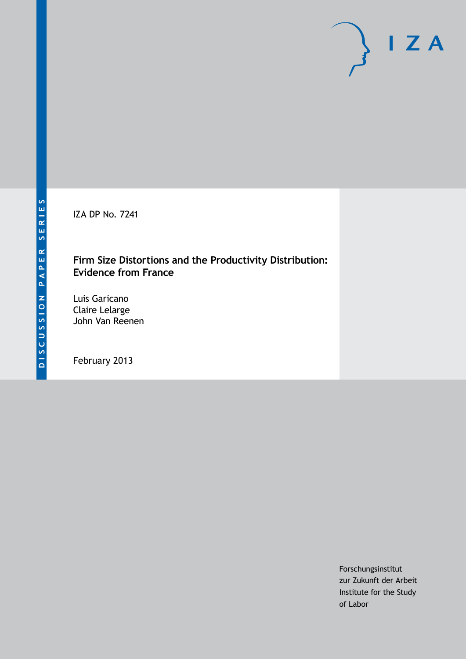IZA DP No. 7241

## **Firm Size Distortions and the Productivity Distribution: Evidence from France**

Luis Garicano Claire Lelarge John Van Reenen

February 2013

Forschungsinstitut zur Zukunft der Arbeit Institute for the Study of Labor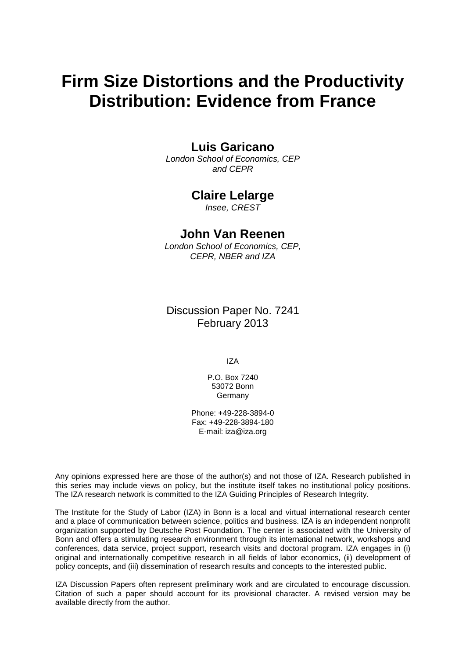# **Firm Size Distortions and the Productivity Distribution: Evidence from France**

### **Luis Garicano**

*London School of Economics, CEP and CEPR*

### **Claire Lelarge**

*Insee, CREST*

### **John Van Reenen**

*London School of Economics, CEP, CEPR, NBER and IZA*

Discussion Paper No. 7241 February 2013

IZA

P.O. Box 7240 53072 Bonn Germany

Phone: +49-228-3894-0 Fax: +49-228-3894-180 E-mail: [iza@iza.org](mailto:iza@iza.org)

Any opinions expressed here are those of the author(s) and not those of IZA. Research published in this series may include views on policy, but the institute itself takes no institutional policy positions. The IZA research network is committed to the IZA Guiding Principles of Research Integrity.

The Institute for the Study of Labor (IZA) in Bonn is a local and virtual international research center and a place of communication between science, politics and business. IZA is an independent nonprofit organization supported by Deutsche Post Foundation. The center is associated with the University of Bonn and offers a stimulating research environment through its international network, workshops and conferences, data service, project support, research visits and doctoral program. IZA engages in (i) original and internationally competitive research in all fields of labor economics, (ii) development of policy concepts, and (iii) dissemination of research results and concepts to the interested public.

<span id="page-1-0"></span>IZA Discussion Papers often represent preliminary work and are circulated to encourage discussion. Citation of such a paper should account for its provisional character. A revised version may be available directly from the author.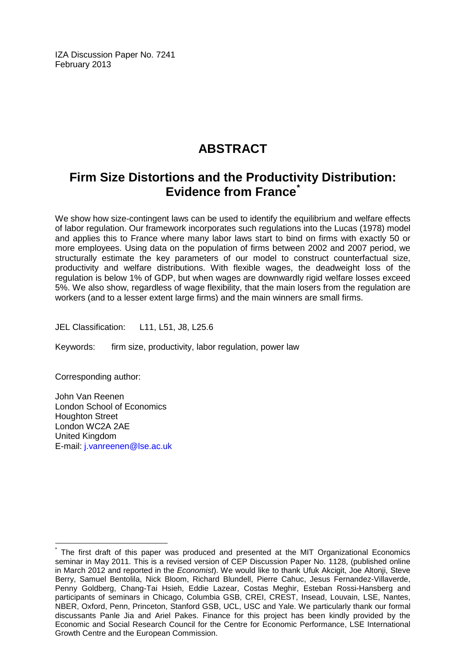IZA Discussion Paper No. 7241 February 2013

## **ABSTRACT**

## **Firm Size Distortions and the Productivity Distribution: Evidence from France[\\*](#page-1-0)**

We show how size-contingent laws can be used to identify the equilibrium and welfare effects of labor regulation. Our framework incorporates such regulations into the Lucas (1978) model and applies this to France where many labor laws start to bind on firms with exactly 50 or more employees. Using data on the population of firms between 2002 and 2007 period, we structurally estimate the key parameters of our model to construct counterfactual size, productivity and welfare distributions. With flexible wages, the deadweight loss of the regulation is below 1% of GDP, but when wages are downwardly rigid welfare losses exceed 5%. We also show, regardless of wage flexibility, that the main losers from the regulation are workers (and to a lesser extent large firms) and the main winners are small firms.

JEL Classification: L11, L51, J8, L25.6

Keywords: firm size, productivity, labor regulation, power law

Corresponding author:

John Van Reenen London School of Economics Houghton Street London WC2A 2AE United Kingdom E-mail: [j.vanreenen@lse.ac.uk](mailto:j.vanreenen@lse.ac.uk)

The first draft of this paper was produced and presented at the MIT Organizational Economics seminar in May 2011. This is a revised version of CEP Discussion Paper No. 1128, (published online in March 2012 and reported in the *Economist*). We would like to thank Ufuk Akcigit, Joe Altonji, Steve Berry, Samuel Bentolila, Nick Bloom, Richard Blundell, Pierre Cahuc, Jesus Fernandez-Villaverde, Penny Goldberg, Chang-Tai Hsieh, Eddie Lazear, Costas Meghir, Esteban Rossi-Hansberg and participants of seminars in Chicago, Columbia GSB, CREI, CREST, Insead, Louvain, LSE, Nantes, NBER, Oxford, Penn, Princeton, Stanford GSB, UCL, USC and Yale. We particularly thank our formal discussants Panle Jia and Ariel Pakes. Finance for this project has been kindly provided by the Economic and Social Research Council for the Centre for Economic Performance, LSE International Growth Centre and the European Commission.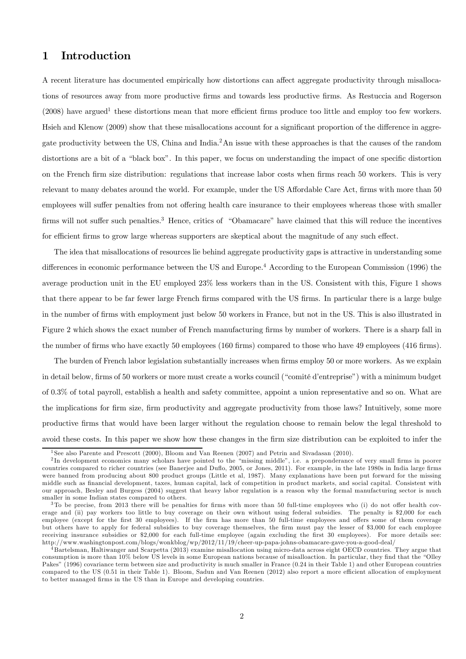### 1 Introduction

A recent literature has documented empirically how distortions can affect aggregate productivity through misallocations of resources away from more productive firms and towards less productive firms. As Restuccia and Rogerson  $(2008)$  have argued<sup>1</sup> these distortions mean that more efficient firms produce too little and employ too few workers. Hsieh and Klenow (2009) show that these misallocations account for a significant proportion of the difference in aggregate productivity between the US, China and India.2An issue with these approaches is that the causes of the random distortions are a bit of a "black box". In this paper, we focus on understanding the impact of one specific distortion on the French firm size distribution: regulations that increase labor costs when firms reach 50 workers. This is very relevant to many debates around the world. For example, under the US Affordable Care Act, firms with more than 50 employees will suffer penalties from not offering health care insurance to their employees whereas those with smaller firms will not suffer such penalties.3 Hence, critics of "Obamacare" have claimed that this will reduce the incentives for efficient firms to grow large whereas supporters are skeptical about the magnitude of any such effect.

The idea that misallocations of resources lie behind aggregate productivity gaps is attractive in understanding some differences in economic performance between the US and Europe.4 According to the European Commission (1996) the average production unit in the EU employed 23% less workers than in the US. Consistent with this, Figure 1 shows that there appear to be far fewer large French firms compared with the US firms. In particular there is a large bulge in the number of firms with employment just below 50 workers in France, but not in the US. This is also illustrated in Figure 2 which shows the exact number of French manufacturing firms by number of workers. There is a sharp fall in the number of firms who have exactly 50 employees (160 firms) compared to those who have 49 employees (416 firms).

The burden of French labor legislation substantially increases when firms employ 50 or more workers. As we explain in detail below, firms of 50 workers or more must create a works council ("comité d'entreprise") with a minimum budget of 0.3% of total payroll, establish a health and safety committee, appoint a union representative and so on. What are the implications for firm size, firm productivity and aggregate productivity from those laws? Intuitively, some more productive firms that would have been larger without the regulation choose to remain below the legal threshold to avoid these costs. In this paper we show how these changes in the firm size distribution can be exploited to infer the

<sup>1</sup> See also Parente and Prescott (2000), Bloom and Van Reenen (2007) and Petrin and Sivadasan (2010).

<sup>&</sup>lt;sup>2</sup>In development economics many scholars have pointed to the "missing middle", i.e. a preponderance of very small firms in poorer countries compared to richer countries (see Banerjee and Duflo, 2005, or Jones, 2011). For example, in the late 1980s in India large firms were banned from producing about 800 product groups (Little et al, 1987). Many explanations have been put forward for the missing middle such as financial development, taxes, human capital, lack of competition in product markets, and social capital. Consistent with our approach, Besley and Burgess (2004) suggest that heavy labor regulation is a reason why the formal manufacturing sector is much smaller in some Indian states compared to others.

 $3$ To be precise, from 2013 there will be penalties for firms with more than 50 full-time employees who (i) do not offer health coverage and (ii) pay workers too little to buy coverage on their own without using federal subsidies. The penalty is \$2,000 for each employee (except for the first 30 employees). If the firm has more than 50 full-time employees and offers some of them coverage but others have to apply for federal subsidies to buy coverage themselves, the firm must pay the lesser of \$3,000 for each employee receiving insurance subsidies or \$2,000 for each full-time employee (again excluding the first 30 employees). For more details see: http://www.washingtonpost.com/blogs/wonkblog/wp/2012/11/19/cheer-up-papa-johns-obamacare-gave-you-a-good-deal/

 $^{4}$ Bartelsman, Haltiwanger and Scarpetta (2013) examine misallocation using micro-data across eight OECD countries. They argue that consumption is more than 10% below US levels in some European nations because of misalloaction. In particular, they find that the "Olley Pakes" (1996) covariance term between size and productivity is much smaller in France (0.24 in their Table 1) and other European countries compared to the US (0.51 in their Table 1). Bloom, Sadun and Van Reenen (2012) also report a more efficient allocation of employment to better managed firms in the US than in Europe and developing countries.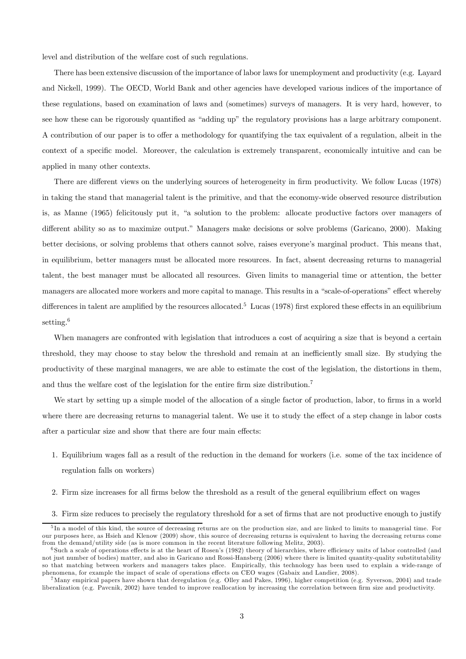level and distribution of the welfare cost of such regulations.

There has been extensive discussion of the importance of labor laws for unemployment and productivity (e.g. Layard and Nickell, 1999). The OECD, World Bank and other agencies have developed various indices of the importance of these regulations, based on examination of laws and (sometimes) surveys of managers. It is very hard, however, to see how these can be rigorously quantified as "adding up" the regulatory provisions has a large arbitrary component. A contribution of our paper is to offer a methodology for quantifying the tax equivalent of a regulation, albeit in the context of a specific model. Moreover, the calculation is extremely transparent, economically intuitive and can be applied in many other contexts.

There are different views on the underlying sources of heterogeneity in firm productivity. We follow Lucas (1978) in taking the stand that managerial talent is the primitive, and that the economy-wide observed resource distribution is, as Manne (1965) felicitously put it, "a solution to the problem: allocate productive factors over managers of different ability so as to maximize output." Managers make decisions or solve problems (Garicano, 2000). Making better decisions, or solving problems that others cannot solve, raises everyone's marginal product. This means that, in equilibrium, better managers must be allocated more resources. In fact, absent decreasing returns to managerial talent, the best manager must be allocated all resources. Given limits to managerial time or attention, the better managers are allocated more workers and more capital to manage. This results in a "scale-of-operations" effect whereby differences in talent are amplified by the resources allocated.<sup>5</sup> Lucas (1978) first explored these effects in an equilibrium setting.<sup>6</sup>

When managers are confronted with legislation that introduces a cost of acquiring a size that is beyond a certain threshold, they may choose to stay below the threshold and remain at an inefficiently small size. By studying the productivity of these marginal managers, we are able to estimate the cost of the legislation, the distortions in them, and thus the welfare cost of the legislation for the entire firm size distribution.<sup>7</sup>

We start by setting up a simple model of the allocation of a single factor of production, labor, to firms in a world where there are decreasing returns to managerial talent. We use it to study the effect of a step change in labor costs after a particular size and show that there are four main effects:

- 1. Equilibrium wages fall as a result of the reduction in the demand for workers (i.e. some of the tax incidence of regulation falls on workers)
- 2. Firm size increases for all firms below the threshold as a result of the general equilibrium effect on wages
- 3. Firm size reduces to precisely the regulatory threshold for a set of firms that are not productive enough to justify

<sup>&</sup>lt;sup>5</sup>In a model of this kind, the source of decreasing returns are on the production size, and are linked to limits to managerial time. For our purposes here, as Hsieh and Klenow (2009) show, this source of decreasing returns is equivalent to having the decreasing returns come from the demand/utility side (as is more common in the recent literature following Melitz, 2003).

<sup>6</sup> Such a scale of operations effects is at the heart of Rosen's (1982) theory of hierarchies, where efficiency units of labor controlled (and not just number of bodies) matter, and also in Garicano and Rossi-Hansberg (2006) where there is limited quantity-quality substitutability so that matching between workers and managers takes place. Empirically, this technology has been used to explain a wide-range of phenomena, for example the impact of scale of operations effects on CEO wages (Gabaix and Landier, 2008).

<sup>&</sup>lt;sup>7</sup>Many empirical papers have shown that deregulation (e.g. Olley and Pakes, 1996), higher competition (e.g. Syverson, 2004) and trade liberalization (e.g. Pavcnik, 2002) have tended to improve reallocation by increasing the correlation between firm size and productivity.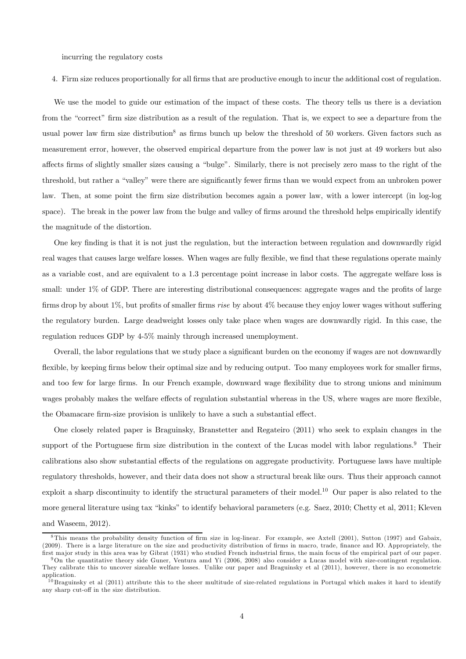incurring the regulatory costs

4. Firm size reduces proportionally for all firms that are productive enough to incur the additional cost of regulation.

We use the model to guide our estimation of the impact of these costs. The theory tells us there is a deviation from the "correct" firm size distribution as a result of the regulation. That is, we expect to see a departure from the usual power law firm size distribution<sup>8</sup> as firms bunch up below the threshold of 50 workers. Given factors such as measurement error, however, the observed empirical departure from the power law is not just at 49 workers but also affects firms of slightly smaller sizes causing a "bulge". Similarly, there is not precisely zero mass to the right of the threshold, but rather a "valley" were there are significantly fewer firms than we would expect from an unbroken power law. Then, at some point the firm size distribution becomes again a power law, with a lower intercept (in log-log space). The break in the power law from the bulge and valley of firms around the threshold helps empirically identify the magnitude of the distortion.

One key finding is that it is not just the regulation, but the interaction between regulation and downwardly rigid real wages that causes large welfare losses. When wages are fully flexible, we find that these regulations operate mainly as a variable cost, and are equivalent to a 1.3 percentage point increase in labor costs. The aggregate welfare loss is small: under 1% of GDP. There are interesting distributional consequences: aggregate wages and the profits of large firms drop by about 1%, but profits of smaller firms rise by about 4% because they enjoy lower wages without suffering the regulatory burden. Large deadweight losses only take place when wages are downwardly rigid. In this case, the regulation reduces GDP by 4-5% mainly through increased unemployment.

Overall, the labor regulations that we study place a significant burden on the economy if wages are not downwardly flexible, by keeping firms below their optimal size and by reducing output. Too many employees work for smaller firms, and too few for large firms. In our French example, downward wage flexibility due to strong unions and minimum wages probably makes the welfare effects of regulation substantial whereas in the US, where wages are more flexible, the Obamacare firm-size provision is unlikely to have a such a substantial effect.

One closely related paper is Braguinsky, Branstetter and Regateiro (2011) who seek to explain changes in the support of the Portuguese firm size distribution in the context of the Lucas model with labor regulations.<sup>9</sup> Their calibrations also show substantial effects of the regulations on aggregate productivity. Portuguese laws have multiple regulatory thresholds, however, and their data does not show a structural break like ours. Thus their approach cannot exploit a sharp discontinuity to identify the structural parameters of their model.10 Our paper is also related to the more general literature using tax "kinks" to identify behavioral parameters (e.g. Saez, 2010; Chetty et al, 2011; Kleven and Waseem, 2012).

<sup>8</sup>This means the probability density function of firm size in log-linear. For example, see Axtell (2001), Sutton (1997) and Gabaix, (2009). There is a large literature on the size and productivity distribution of firms in macro, trade, finance and IO. Appropriately, the first ma jor study in this area was by Gibrat (1931) who studied French industrial firms, the main focus of the empirical part of our paper.

<sup>9</sup>On the quantitative theory side Guner, Ventura amd Yi (2006, 2008) also consider a Lucas model with size-contingent regulation. They calibrate this to uncover sizeable welfare losses. Unlike our paper and Braguinsky et al (2011), however, there is no econometric application.

<sup>&</sup>lt;sup>10</sup> Braguinsky et al (2011) attribute this to the sheer multitude of size-related regulations in Portugal which makes it hard to identify any sharp cut-off in the size distribution.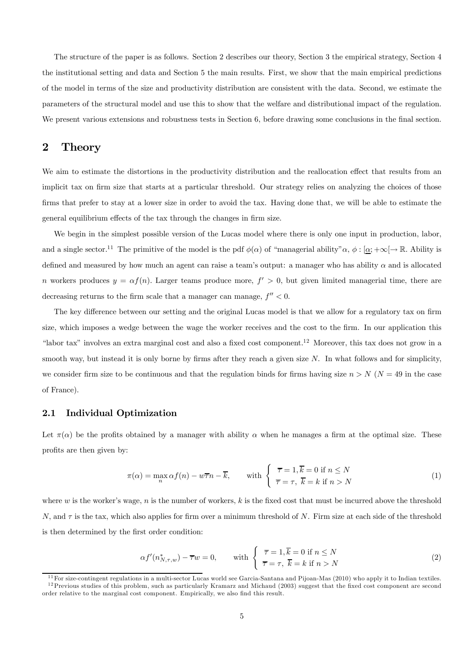The structure of the paper is as follows. Section 2 describes our theory, Section 3 the empirical strategy, Section 4 the institutional setting and data and Section 5 the main results. First, we show that the main empirical predictions of the model in terms of the size and productivity distribution are consistent with the data. Second, we estimate the parameters of the structural model and use this to show that the welfare and distributional impact of the regulation. We present various extensions and robustness tests in Section 6, before drawing some conclusions in the final section.

### 2 Theory

We aim to estimate the distortions in the productivity distribution and the reallocation effect that results from an implicit tax on firm size that starts at a particular threshold. Our strategy relies on analyzing the choices of those firms that prefer to stay at a lower size in order to avoid the tax. Having done that, we will be able to estimate the general equilibrium effects of the tax through the changes in firm size.

We begin in the simplest possible version of the Lucas model where there is only one input in production, labor, and a single sector.<sup>11</sup> The primitive of the model is the pdf  $\phi(\alpha)$  of "managerial ability"  $\alpha$ ,  $\phi : [\underline{\alpha}; +\infty[ \rightarrow \mathbb{R}$ . Ability is defined and measured by how much an agent can raise a team's output: a manager who has ability  $\alpha$  and is allocated n workers produces  $y = \alpha f(n)$ . Larger teams produce more,  $f' > 0$ , but given limited managerial time, there are decreasing returns to the firm scale that a manager can manage,  $f'' < 0$ .

The key difference between our setting and the original Lucas model is that we allow for a regulatory tax on firm size, which imposes a wedge between the wage the worker receives and the cost to the firm. In our application this "labor tax" involves an extra marginal cost and also a fixed cost component.<sup>12</sup> Moreover, this tax does not grow in a smooth way, but instead it is only borne by firms after they reach a given size  $N$ . In what follows and for simplicity, we consider firm size to be continuous and that the regulation binds for firms having size  $n > N$  ( $N = 49$  in the case of France).

#### 2.1 Individual Optimization

Let  $\pi(\alpha)$  be the profits obtained by a manager with ability  $\alpha$  when he manages a firm at the optimal size. These profits are then given by:

$$
\pi(\alpha) = \max_{n} \alpha f(n) - w\overline{\tau}n - \overline{k}, \quad \text{with } \begin{cases} \overline{\tau} = 1, \overline{k} = 0 \text{ if } n \le N \\ \overline{\tau} = \tau, \ \overline{k} = k \text{ if } n > N \end{cases}
$$
 (1)

where  $w$  is the worker's wage,  $n$  is the number of workers,  $k$  is the fixed cost that must be incurred above the threshold N, and  $\tau$  is the tax, which also applies for firm over a minimum threshold of N. Firm size at each side of the threshold is then determined by the first order condition:

$$
\alpha f'(n_{N,\tau,w}^*) - \overline{\tau}w = 0, \quad \text{with } \begin{cases} \overline{\tau} = 1, \overline{k} = 0 \text{ if } n \le N \\ \overline{\tau} = \tau, \ \overline{k} = k \text{ if } n > N \end{cases}
$$
 (2)

 $11$  For size-contingent regulations in a multi-sector Lucas world see Garcia-Santana and Pijoan-Mas (2010) who apply it to Indian textiles. <sup>12</sup> Previous studies of this problem, such as particularly Kramarz and Michaud (2003) suggest that the fixed cost component are second

order relative to the marginal cost component. Empirically, we also find this result.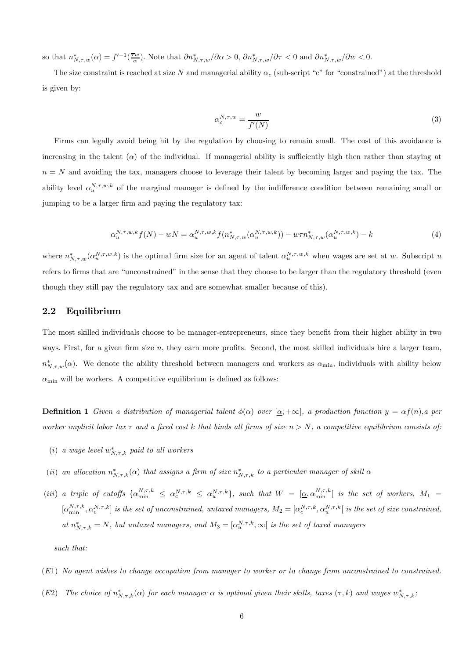so that  $n^*_{N,\tau,w}(\alpha) = f^{-1}(\frac{\overline{\tau}w}{\alpha})$ . Note that  $\partial n^*_{N,\tau,w}/\partial \alpha > 0$ ,  $\partial n^*_{N,\tau,w}/\partial \tau < 0$  and  $\partial n^*_{N,\tau,w}/\partial w < 0$ .

The size constraint is reached at size N and managerial ability  $\alpha_c$  (sub-script "c" for "constrained") at the threshold is given by:

$$
\alpha_c^{N,\tau,w} = \frac{w}{f'(N)}\tag{3}
$$

Firms can legally avoid being hit by the regulation by choosing to remain small. The cost of this avoidance is increasing in the talent  $(\alpha)$  of the individual. If managerial ability is sufficiently high then rather than staying at  $n = N$  and avoiding the tax, managers choose to leverage their talent by becoming larger and paying the tax. The ability level  $\alpha_u^{N,\tau,w,k}$  of the marginal manager is defined by the indifference condition between remaining small or jumping to be a larger firm and paying the regulatory tax:

$$
\alpha_u^{N,\tau,w,k} f(N) - wN = \alpha_u^{N,\tau,w,k} f(n_{N,\tau,w}^*(\alpha_u^{N,\tau,w,k})) - w\tau n_{N,\tau,w}^*(\alpha_u^{N,\tau,w,k}) - k \tag{4}
$$

where  $n_{N,\tau,w}^*(\alpha_n^{N,\tau,w,k})$  is the optimal firm size for an agent of talent  $\alpha_n^{N,\tau,w,k}$  when wages are set at w. Subscript u refers to firms that are "unconstrained" in the sense that they choose to be larger than the regulatory threshold (even though they still pay the regulatory tax and are somewhat smaller because of this).

#### 2.2 Equilibrium

The most skilled individuals choose to be manager-entrepreneurs, since they benefit from their higher ability in two ways. First, for a given firm size  $n$ , they earn more profits. Second, the most skilled individuals hire a larger team,  $n^*_{N,\tau,w}(\alpha)$ . We denote the ability threshold between managers and workers as  $\alpha_{\min}$ , individuals with ability below  $\alpha_{\min}$  will be workers. A competitive equilibrium is defined as follows:

**Definition 1** Given a distribution of managerial talent  $\phi(\alpha)$  over  $[\alpha; +\infty]$ , a production function  $y = \alpha f(n)$ , a per worker implicit labor tax  $\tau$  and a fixed cost k that binds all firms of size  $n > N$ , a competitive equilibrium consists of:

- (i) a wage level  $w^*_{N,\tau,k}$  paid to all workers
- (ii) an allocation  $n^*_{N,\tau,k}(\alpha)$  that assigns a firm of size  $n^*_{N,\tau,k}$  to a particular manager of skill  $\alpha$
- (iii) a triple of cutoffs  $\{\alpha_{\min}^{N,\tau,k} \leq \alpha_c^{N,\tau,k} \leq \alpha_u^{N,\tau,k}\}\$ , such that  $W = [\underline{\alpha}, \alpha_{\min}^{N,\tau,k}]$  is the set of workers,  $M_1 =$  $[\alpha_{\min}^{N,\tau,k}, \alpha_c^{N,\tau,k}]$  is the set of unconstrained, untaxed managers,  $M_2 = [\alpha_c^{N,\tau,k}, \alpha_u^{N,\tau,k}]$  is the set of size constrained, at  $n^*_{N,\tau,k} = N$ , but untaxed managers, and  $M_3 = [\alpha_u^{N,\tau,k}, \infty]$  is the set of taxed managers

such that:

- (1) No agent wishes to change occupation from manager to worker or to change from unconstrained to constrained.
- (E2) The choice of  $n^*_{N,\tau,k}(\alpha)$  for each manager  $\alpha$  is optimal given their skills, taxes  $(\tau, k)$  and wages  $w^*_{N,\tau,k}$ ,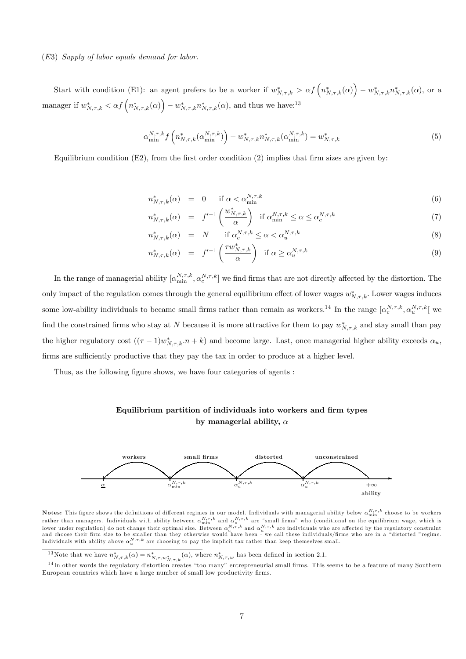#### $(E3)$  Supply of labor equals demand for labor.

Start with condition (E1): an agent prefers to be a worker if  $w^*_{N,\tau,k} > \alpha f\left(n^*_{N,\tau,k}(\alpha)\right) - w^*_{N,\tau,k}n^*_{N,\tau,k}(\alpha)$ , or a manager if  $w^*_{N,\tau,k} < \alpha f\left(n^*_{N,\tau,k}(\alpha)\right) - w^*_{N,\tau,k} n^*_{N,\tau,k}(\alpha)$ , and thus we have:<sup>13</sup>

$$
\alpha_{\min}^{N,\tau,k} f\left(n_{N,\tau,k}^*(\alpha_{\min}^{N,\tau,k})\right) - w_{N,\tau,k}^* n_{N,\tau,k}^*(\alpha_{\min}^{N,\tau,k}) = w_{N,\tau,k}^* \tag{5}
$$

Equilibrium condition  $(E2)$ , from the first order condition  $(2)$  implies that firm sizes are given by:

$$
n_{N,\tau,k}^*(\alpha) = 0 \quad \text{if } \alpha < \alpha_{\min}^{N,\tau,k} \tag{6}
$$

$$
n_{N,\tau,k}^*(\alpha) = f'^{-1}\left(\frac{w_{N,\tau,k}^*}{\alpha}\right) \text{ if } \alpha_{\min}^{N,\tau,k} \le \alpha \le \alpha_c^{N,\tau,k} \tag{7}
$$

$$
n_{N,\tau,k}^*(\alpha) = N \quad \text{if } \alpha_c^{N,\tau,k} \le \alpha < \alpha_u^{N,\tau,k} \tag{8}
$$

$$
n_{N,\tau,k}^*(\alpha) = f'^{-1}\left(\frac{\tau w_{N,\tau,k}^*}{\alpha}\right) \text{ if } \alpha \ge \alpha_u^{N,\tau,k}
$$
\n(9)

In the range of managerial ability  $[\alpha_{\min}^{N,\tau,k}, \alpha_c^{N,\tau,k}]$  we find firms that are not directly affected by the distortion. The only impact of the regulation comes through the general equilibrium effect of lower wages  $w^*_{N,\tau,k}$ . Lower wages induces some low-ability individuals to became small firms rather than remain as workers.<sup>14</sup> In the range  $[\alpha_c^{N,\tau,k}, \alpha_u^{N,\tau,k}]$  we find the constrained firms who stay at N because it is more attractive for them to pay  $w^*_{N,\tau,k}$  and stay small than pay the higher regulatory cost  $((\tau - 1)w^*_{N,\tau,k}.n + k)$  and become large. Last, once managerial higher ability exceeds  $\alpha_u$ , firms are sufficiently productive that they pay the tax in order to produce at a higher level.

Thus, as the following figure shows, we have four categories of agents :

### Equilibrium partition of individuals into workers and firm types by managerial ability,  $\alpha$



Notes: This figure shows the definitions of different regimes in our model. Individuals with managerial ability below  $\alpha^{N,\tau,k}_{\min}$  choose to be workers rather than managers. Individuals with ability between  $\alpha_{\min}^{N,\tau,k}$  and  $\alpha_c^{N,\tau,k}$  are "small firms" who (conditional on the equilibrium wage, which is lower under regulation) do not change their optimal size. Between  $\alpha_c^{N,\tau,k}$  and  $\alpha_u^{N,\tau,k}$  are individuals who are affected by the regulatory constraint<br>and choose their firm size to be smaller than they otherwise woul Individuals with ability above  $\alpha_u^{N,\tau,k}$  are choosing to pay the implicit tax rather than keep themselves small.

<sup>13</sup>Note that we have  $n^*_{N,\tau,k}(\alpha) = n^*_{N,\tau,w^*_{N,\tau,k}}(\alpha)$ , where  $n^*_{N,\tau,w}$  has been defined in section 2.1.

<sup>&</sup>lt;sup>14</sup>In other words the regulatory distortion creates "too many" entrepreneurial small firms. This seems to be a feature of many Southern European countries which have a large number of small low productivity firms.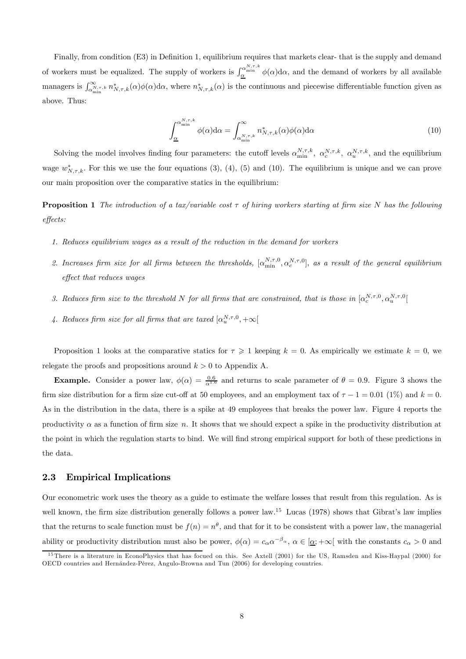Finally, from condition (E3) in Definition 1, equilibrium requires that markets clear- that is the supply and demand of workers must be equalized. The supply of workers is  $\int_{\alpha}^{\alpha_{\min}} \phi(\alpha) d\alpha$ , and the demand of workers by all available managers is  $\int_{\alpha_{\min}^{N,\tau,k}}^{\infty} n^*_{N,\tau,k}(\alpha)\phi(\alpha)d\alpha$ , where  $n^*_{N,\tau,k}(\alpha)$  is the continuous and piecewise differentiable function given as above. Thus:

$$
\int_{\underline{\alpha}}^{\alpha_{\min}^{N,\tau,k}} \phi(\alpha) d\alpha = \int_{\alpha_{\min}^{N,\tau,k}}^{\infty} n_{N,\tau,k}^{*}(\alpha) \phi(\alpha) d\alpha \tag{10}
$$

Solving the model involves finding four parameters: the cutoff levels  $\alpha_{\min}^{N,\tau,k}$ ,  $\alpha_{\alpha}^{N,\tau,k}$ ,  $\alpha_{u}^{N,\tau,k}$ , and the equilibrium wage  $w^*_{N,\tau,k}$ . For this we use the four equations (3), (4), (5) and (10). The equilibrium is unique and we can prove our main proposition over the comparative statics in the equilibrium:

**Proposition 1** The introduction of a tax/variable cost  $\tau$  of hiring workers starting at firm size N has the following effects:

- 1. Reduces equilibrium wages as a result of the reduction in the demand for workers
- 2. Increases firm size for all firms between the thresholds,  $[\alpha_{\min}^{N,\tau,0}, \alpha_c^{N,\tau,0}]$ , as a result of the general equilibrium effect that reduces wages
- 3. Reduces firm size to the threshold N for all firms that are constrained, that is those in  $[\alpha_c^{N,\tau,0}, \alpha_u^{N,\tau,0}]$
- 4. Reduces firm size for all firms that are taxed  $[\alpha_n^{N,\tau,0}, +\infty[$

Proposition 1 looks at the comparative statics for  $\tau \geq 1$  keeping  $k = 0$ . As empirically we estimate  $k = 0$ , we relegate the proofs and propositions around  $k > 0$  to Appendix A.

**Example.** Consider a power law,  $\phi(\alpha) = \frac{0.6}{\alpha^{1.6}}$  and returns to scale parameter of  $\theta = 0.9$ . Figure 3 shows the firm size distribution for a firm size cut-off at 50 employees, and an employment tax of  $\tau - 1 = 0.01$  (1%) and  $k = 0$ . As in the distribution in the data, there is a spike at 49 employees that breaks the power law. Figure 4 reports the productivity  $\alpha$  as a function of firm size n. It shows that we should expect a spike in the productivity distribution at the point in which the regulation starts to bind. We will find strong empirical support for both of these predictions in the data.

#### 2.3 Empirical Implications

Our econometric work uses the theory as a guide to estimate the welfare losses that result from this regulation. As is well known, the firm size distribution generally follows a power law.<sup>15</sup> Lucas (1978) shows that Gibrat's law implies that the returns to scale function must be  $f(n) = n^{\theta}$ , and that for it to be consistent with a power law, the managerial ability or productivity distribution must also be power,  $\phi(\alpha) = c_{\alpha} \alpha^{-\beta_{\alpha}}, \alpha \in [\alpha; +\infty[$  with the constants  $c_{\alpha} > 0$  and

<sup>&</sup>lt;sup>15</sup>There is a literature in EconoPhysics that has focued on this. See Axtell (2001) for the US, Ramsden and Kiss-Haypal (2000) for OECD countries and Hernández-Pérez, Angulo-Browna and Tun (2006) for developing countries.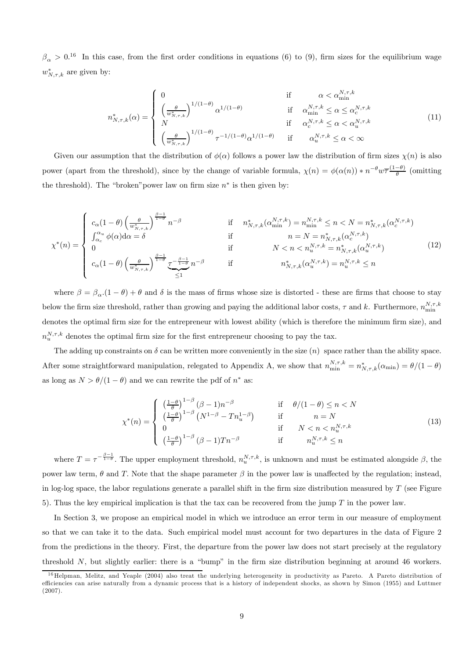$\beta_{\alpha} > 0^{16}$  In this case, from the first order conditions in equations (6) to (9), firm sizes for the equilibrium wage  $w^*_{N,\tau,k}$  are given by:

$$
n_{N,\tau,k}^{*}(\alpha) = \begin{cases} 0 & \text{if } \alpha < \alpha_{\min}^{N,\tau,k} \\ \left(\frac{\theta}{w_{N,\tau,k}^{*}}\right)^{1/(1-\theta)} \alpha^{1/(1-\theta)} & \text{if } \alpha_{\min}^{N,\tau,k} \le \alpha \le \alpha_{c}^{N,\tau,k} \\ N & \text{if } \alpha_{c}^{N,\tau,k} \le \alpha < \alpha_{u}^{N,\tau,k} \\ \left(\frac{\theta}{w_{N,\tau,k}^{*}}\right)^{1/(1-\theta)} \tau^{-1/(1-\theta)} \alpha^{1/(1-\theta)} & \text{if } \alpha_{u}^{N,\tau,k} \le \alpha < \infty \end{cases}
$$
(11)

Given our assumption that the distribution of  $\phi(\alpha)$  follows a power law the distribution of firm sizes  $\chi(n)$  is also power (apart from the threshold), since by the change of variable formula,  $\chi(n) = \phi(\alpha(n)) * n^{-\theta} w \overline{\tau} \frac{(1-\theta)}{\theta}$  (omitting the threshold). The "broken" power law on firm size  $n^*$  is then given by:

$$
\chi^*(n) = \begin{cases}\nc_{\alpha}(1-\theta) \left(\frac{\theta}{w_{N,\tau,k}^*}\right)^{\frac{\beta-1}{1-\theta}} n^{-\beta} & \text{if } n_{N,\tau,k}^*(\alpha_{\min}^{N,\tau,k}) = n_{\min}^{N,\tau,k} \le n < N = n_{N,\tau,k}^*(\alpha_c^{N,\tau,k}) \\
\int_{\alpha_c}^{\alpha_u} \phi(\alpha) d\alpha = \delta & \text{if } n = N = n_{N,\tau,k}^*(\alpha_c^{N,\tau,k}) \\
0 & \text{if } N < n < n_{u}^{N,\tau,k} = n_{N,\tau,k}^*(\alpha_u^{N,\tau,k}) \\
c_{\alpha}(1-\theta) \left(\frac{\theta}{w_{N,\tau,k}^*}\right)^{\frac{\beta-1}{1-\theta}} \underbrace{\tau^{-\frac{\beta-1}{1-\theta}}}_{\le 1} n^{-\beta} & \text{if } n_{N,\tau,k}^*(\alpha_u^{N,\tau,k}) = n_{u}^{N,\tau,k} \le n\n\end{cases} (12)
$$

where  $\beta = \beta_{\alpha} (1 - \theta) + \theta$  and  $\delta$  is the mass of firms whose size is distorted - these are firms that choose to stay below the firm size threshold, rather than growing and paying the additional labor costs,  $\tau$  and k. Furthermore,  $n_{\min}^{N,\tau,k}$ denotes the optimal firm size for the entrepreneur with lowest ability (which is therefore the minimum firm size), and  $n_u^{N,\tau,k}$  denotes the optimal firm size for the first entrepreneur choosing to pay the tax.

The adding up constraints on  $\delta$  can be written more conveniently in the size  $(n)$  space rather than the ability space. After some straightforward manipulation, relegated to Appendix A, we show that  $n_{\min}^{N,\tau,k} = n_{N,\tau,k}^*(\alpha_{\min}) = \theta/(1-\theta)$ as long as  $N > \theta/(1 - \theta)$  and we can rewrite the pdf of  $n^*$  as:

$$
\chi^*(n) = \begin{cases}\n\left(\frac{1-\theta}{\theta}\right)^{1-\beta} (\beta - 1)n^{-\beta} & \text{if } \theta/(1-\theta) \le n < N \\
\left(\frac{1-\theta}{\theta}\right)^{1-\beta} (N^{1-\beta} - Tn_u^{1-\beta}) & \text{if } n = N \\
0 & \text{if } N < n < n_u^{N,\tau,k} \\
\left(\frac{1-\theta}{\theta}\right)^{1-\beta} (\beta - 1)Tn^{-\beta} & \text{if } n_u^{N,\tau,k} \le n\n\end{cases}
$$
\n(13)

where  $T = \tau^{-\frac{\beta-1}{1-\theta}}$ . The upper employment threshold,  $n_u^{N,\tau,k}$ , is unknown and must be estimated alongside  $\beta$ , the power law term,  $\theta$  and T. Note that the shape parameter  $\beta$  in the power law is unaffected by the regulation; instead, in log-log space, the labor regulations generate a parallel shift in the firm size distribution measured by  $T$  (see Figure 5). Thus the key empirical implication is that the tax can be recovered from the jump  $T$  in the power law.

In Section 3, we propose an empirical model in which we introduce an error term in our measure of employment so that we can take it to the data. Such empirical model must account for two departures in the data of Figure 2 from the predictions in the theory. First, the departure from the power law does not start precisely at the regulatory threshold  $N$ , but slightly earlier: there is a "bump" in the firm size distribution beginning at around 46 workers.

 $16$  Helpman, Melitz, and Yeaple (2004) also treat the underlying heterogeneity in productivity as Pareto. A Pareto distribution of efficiencies can arise naturally from a dynamic process that is a history of independent shocks, as shown by Simon (1955) and Luttmer (2007).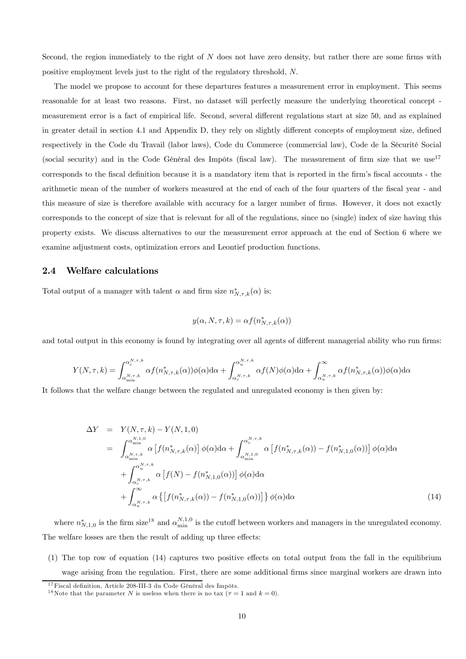Second, the region immediately to the right of  $N$  does not have zero density, but rather there are some firms with positive employment levels just to the right of the regulatory threshold, N.

The model we propose to account for these departures features a measurement error in employment. This seems reasonable for at least two reasons. First, no dataset will perfectly measure the underlying theoretical concept measurement error is a fact of empirical life. Second, several different regulations start at size 50, and as explained in greater detail in section 4.1 and Appendix D, they rely on slightly different concepts of employment size, defined respectively in the Code du Travail (labor laws), Code du Commerce (commercial law), Code de la Sécurité Social (social security) and in the Code Général des Impôts (fiscal law). The measurement of firm size that we use<sup>17</sup> corresponds to the fiscal definition because it is a mandatory item that is reported in the firm's fiscal accounts - the arithmetic mean of the number of workers measured at the end of each of the four quarters of the fiscal year - and this measure of size is therefore available with accuracy for a larger number of firms. However, it does not exactly corresponds to the concept of size that is relevant for all of the regulations, since no (single) index of size having this property exists. We discuss alternatives to our the measurement error approach at the end of Section 6 where we examine adjustment costs, optimization errors and Leontief production functions.

#### 2.4 Welfare calculations

Total output of a manager with talent  $\alpha$  and firm size  $n^*_{N,\tau,k}(\alpha)$  is:

$$
y(\alpha, N, \tau, k) = \alpha f(n^*_{N, \tau, k}(\alpha))
$$

and total output in this economy is found by integrating over all agents of different managerial ability who run firms:

$$
Y(N,\tau,k) = \int_{\alpha_{\min}^{N,\tau,k}}^{\alpha_c^{N,\tau,k}} \alpha f(n_{N,\tau,k}^*(\alpha)) \phi(\alpha) d\alpha + \int_{\alpha_c^{N,\tau,k}}^{\alpha_u^{N,\tau,k}} \alpha f(N) \phi(\alpha) d\alpha + \int_{\alpha_u^{N,\tau,k}}^{\infty} \alpha f(n_{N,\tau,k}^*(\alpha)) \phi(\alpha) d\alpha
$$

It follows that the welfare change between the regulated and unregulated economy is then given by:

$$
\Delta Y = Y(N, \tau, k) - Y(N, 1, 0)
$$
\n
$$
= \int_{\alpha_{\min}^{N,1,0}}^{\alpha_{\min}^{N,1,0}} \alpha \left[ f(n_{N,\tau,k}^{*}(\alpha)) \phi(\alpha) d\alpha + \int_{\alpha_{\min}^{N,1,0}}^{\alpha_{c}^{N,\tau,k}} \alpha \left[ f(n_{N,\tau,k}^{*}(\alpha)) - f(n_{N,1,0}^{*}(\alpha)) \right] \phi(\alpha) d\alpha + \int_{\alpha_{c}^{N,\tau,k}}^{\alpha_{w}^{N,\tau,k}} \alpha \left[ f(N) - f(n_{N,1,0}^{*}(\alpha)) \right] \phi(\alpha) d\alpha + \int_{\alpha_{u}^{N,\tau,k}}^{\infty} \alpha \left\{ \left[ f(n_{N,\tau,k}^{*}(\alpha)) - f(n_{N,1,0}^{*}(\alpha)) \right] \right\} \phi(\alpha) d\alpha \tag{14}
$$

where  $n_{N,1,0}^*$  is the firm size<sup>18</sup> and  $\alpha_{\min}^{N,1,0}$  is the cutoff between workers and managers in the unregulated economy. The welfare losses are then the result of adding up three effects:

(1) The top row of equation (14) captures two positive effects on total output from the fall in the equilibrium wage arising from the regulation. First, there are some additional firms since marginal workers are drawn into

<sup>&</sup>lt;sup>17</sup>Fiscal definition, Article 208-III-3 du Code Général des Impôts.

<sup>&</sup>lt;sup>18</sup>Note that the parameter N is useless when there is no tax ( $\tau = 1$  and  $k = 0$ ).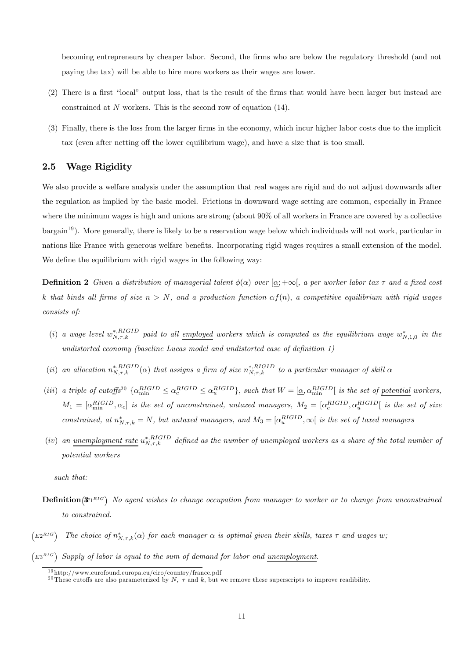becoming entrepreneurs by cheaper labor. Second, the firms who are below the regulatory threshold (and not paying the tax) will be able to hire more workers as their wages are lower.

- (2) There is a first "local" output loss, that is the result of the firms that would have been larger but instead are constrained at  $N$  workers. This is the second row of equation (14).
- (3) Finally, there is the loss from the larger firms in the economy, which incur higher labor costs due to the implicit tax (even after netting off the lower equilibrium wage), and have a size that is too small.

### 2.5 Wage Rigidity

We also provide a welfare analysis under the assumption that real wages are rigid and do not adjust downwards after the regulation as implied by the basic model. Frictions in downward wage setting are common, especially in France where the minimum wages is high and unions are strong (about 90% of all workers in France are covered by a collective bargain<sup>19</sup> ). More generally, there is likely to be a reservation wage below which individuals will not work, particular in nations like France with generous welfare benefits. Incorporating rigid wages requires a small extension of the model. We define the equilibrium with rigid wages in the following way:

**Definition 2** Given a distribution of managerial talent  $\phi(\alpha)$  over  $[\alpha; +\infty]$ , a per worker labor tax  $\tau$  and a fixed cost k that binds all firms of size  $n > N$ , and a production function  $\alpha f(n)$ , a competitive equilibrium with rigid wages consists of:

- (i) a wage level  $w_{N,\tau,k}^{*,RIGID}$  paid to all employed workers which is computed as the equilibrium wage  $w_{N,1,0}^*$  in the undistorted economy (baseline Lucas model and undistorted case of definition 1)
- (ii) an allocation  $n_{N,\tau,k}^{*,RIGID}(\alpha)$  that assigns a firm of size  $n_{N,\tau,k}^{*,RIGID}$  to a particular manager of skill  $\alpha$
- (iii) a triple of cutoffs<sup>20</sup>  $\{\alpha_{\min}^{RIGID} \leq \alpha_{c}^{RIGID} \leq \alpha_{u}^{RIGID}\}\$ , such that  $W = [\underline{\alpha}, \alpha_{\min}^{RIGID}]$  is the set of <u>potential</u> workers,  $M_1=[\alpha^{RIGID}_{\min},\alpha_c]$  is the set of unconstrained, untaxed managers,  $M_2=[\alpha^{RIGID}_c,\alpha^{RIGID}_u]$  is the set of size constrained, at  $n^*_{N,\tau,k} = N$ , but untaxed managers, and  $M_3 = [\alpha_u^{RIGD}, \infty]$  is the set of taxed managers
- $(iv)$  an <u>unemployment rate</u>  $u_{N,\tau,k}^{*,RIGID}$  defined as the number of unemployed workers as a share of the total number of potential workers

such that:

- **Definition**  $(\mathbf{\hat{x}}_1^{RIG})$  No agent wishes to change occupation from manager to worker or to change from unconstrained to constrained.
- $(2^{RIG})$  The choice of  $n^*_{N,\tau,k}(\alpha)$  for each manager  $\alpha$  is optimal given their skills, taxes  $\tau$  and wages w;  $(2.3<sup>RIG</sup>)$  Supply of labor is equal to the sum of demand for labor and unemployment.

<sup>1 9</sup> http://www.eurofound.europa.eu/eiro/country/france.pdf

<sup>&</sup>lt;sup>20</sup>These cutoffs are also parameterized by N,  $\tau$  and k, but we remove these superscripts to improve readibility.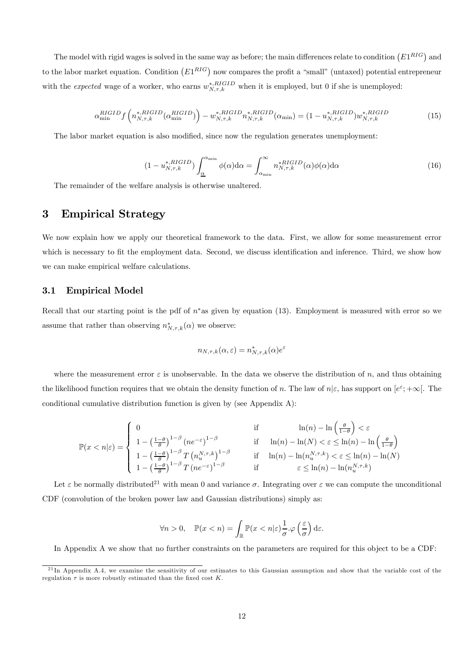The model with rigid wages is solved in the same way as before; the main differences relate to condition  $(E1^{RIG})$  and to the labor market equation. Condition  $(E1^{RIG})$  now compares the profit a "small" (untaxed) potential entrepreneur with the *expected* wage of a worker, who earns  $w_{N,\tau,k}^{*,RIGID}$  when it is employed, but 0 if she is unemployed:

$$
\alpha_{\min}^{RIGID} f\left(n_{N,\tau,k}^{*,RIGID}(\alpha_{\min}^{RIGID})\right) - w_{N,\tau,k}^{*,RIGID}n_{N,\tau,k}^{*,RIGID}(\alpha_{\min}) = (1 - u_{N,\tau,k}^{*,RIGID})w_{N,\tau,k}^{*,RIGID}
$$
(15)

The labor market equation is also modified, since now the regulation generates unemployment:

$$
(1 - u_{N,\tau,k}^{*,RIGID}) \int_{\underline{\alpha}}^{\alpha_{\min}} \phi(\alpha) d\alpha = \int_{\alpha_{\min}}^{\infty} n_{N,\tau,k}^{*RIGID}(\alpha) \phi(\alpha) d\alpha \tag{16}
$$

The remainder of the welfare analysis is otherwise unaltered.

### 3 Empirical Strategy

We now explain how we apply our theoretical framework to the data. First, we allow for some measurement error which is necessary to fit the employment data. Second, we discuss identification and inference. Third, we show how we can make empirical welfare calculations.

#### 3.1 Empirical Model

Recall that our starting point is the pdf of  $n^*$ as given by equation (13). Employment is measured with error so we assume that rather than observing  $n^*_{N,\tau,k}(\alpha)$  we observe:

$$
n_{N,\tau,k}(\alpha,\varepsilon) = n_{N,\tau,k}^*(\alpha) e^{\varepsilon}
$$

where the measurement error  $\varepsilon$  is unobservable. In the data we observe the distribution of n, and thus obtaining the likelihood function requires that we obtain the density function of *n*. The law of  $n | \varepsilon$ , has support on  $[e^{\varepsilon}; +\infty]$ . The conditional cumulative distribution function is given by (see Appendix A):

$$
\mathbb{P}(x < n|\varepsilon) = \left\{ \begin{array}{ll} 0 & \text{if} & \ln(n) - \ln\left(\frac{\theta}{1-\theta}\right) < \varepsilon \\ 1 - \left(\frac{1-\theta}{\theta}\right)^{1-\beta} \left(ne^{-\varepsilon}\right)^{1-\beta} & \text{if} & \ln(n) - \ln(N) < \varepsilon \le \ln(n) - \ln\left(\frac{\theta}{1-\theta}\right) \\ 1 - \left(\frac{1-\theta}{\theta}\right)^{1-\beta} T \left(n_u^{N,\tau,k}\right)^{1-\beta} & \text{if} & \ln(n) - \ln(n_u^{N,\tau,k}) < \varepsilon \le \ln(n) - \ln(N) \\ 1 - \left(\frac{1-\theta}{\theta}\right)^{1-\beta} T \left(ne^{-\varepsilon}\right)^{1-\beta} & \text{if} & \varepsilon \le \ln(n) - \ln(n_u^{N,\tau,k}) \end{array} \right.
$$

Let  $\varepsilon$  be normally distributed<sup>21</sup> with mean 0 and variance  $\sigma$ . Integrating over  $\varepsilon$  we can compute the unconditional CDF (convolution of the broken power law and Gaussian distributions) simply as:

$$
\forall n > 0, \quad \mathbb{P}(x < n) = \int_{\mathbb{R}} \mathbb{P}(x < n|\varepsilon) \frac{1}{\sigma} \cdot \varphi\left(\frac{\varepsilon}{\sigma}\right) d\varepsilon.
$$

In Appendix A we show that no further constraints on the parameters are required for this object to be a CDF:

 $^{21}$ In Appendix A.4, we examine the sensitivity of our estimates to this Gaussian assumption and show that the variable cost of the regulation  $\tau$  is more robustly estimated than the fixed cost K.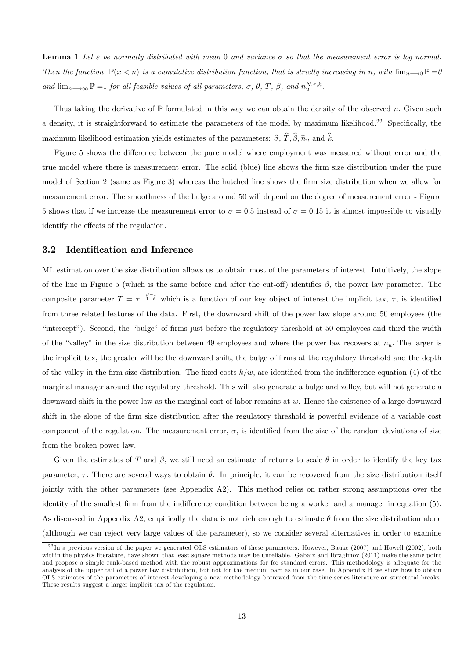**Lemma 1** Let  $\varepsilon$  be normally distributed with mean 0 and variance  $\sigma$  so that the measurement error is log normal. Then the function  $\mathbb{P}(x \leq n)$  is a cumulative distribution function, that is strictly increasing in n, with  $\lim_{n\to 0} \mathbb{P} = 0$ and  $\lim_{n\to\infty} \mathbb{P} = 1$  for all feasible values of all parameters,  $\sigma$ ,  $\theta$ ,  $T$ ,  $\beta$ , and  $n_u^{N,\tau,k}$ .

Thus taking the derivative of  $\mathbb P$  formulated in this way we can obtain the density of the observed n. Given such a density, it is straightforward to estimate the parameters of the model by maximum likelihood.22 Specifically, the maximum likelihood estimation yields estimates of the parameters:  $\hat{\sigma}$ ,  $\hat{T}$ ,  $\hat{\beta}$ ,  $\hat{n}_u$  and  $\hat{k}$ .

Figure 5 shows the difference between the pure model where employment was measured without error and the true model where there is measurement error. The solid (blue) line shows the firm size distribution under the pure model of Section 2 (same as Figure 3) whereas the hatched line shows the firm size distribution when we allow for measurement error. The smoothness of the bulge around 50 will depend on the degree of measurement error - Figure 5 shows that if we increase the measurement error to  $\sigma = 0.5$  instead of  $\sigma = 0.15$  it is almost impossible to visually identify the effects of the regulation.

#### 3.2 Identification and Inference

ML estimation over the size distribution allows us to obtain most of the parameters of interest. Intuitively, the slope of the line in Figure 5 (which is the same before and after the cut-off) identifies  $\beta$ , the power law parameter. The composite parameter  $T = \tau^{-\frac{\beta-1}{1-\theta}}$  which is a function of our key object of interest the implicit tax,  $\tau$ , is identified from three related features of the data. First, the downward shift of the power law slope around 50 employees (the "intercept"). Second, the "bulge" of firms just before the regulatory threshold at 50 employees and third the width of the "valley" in the size distribution between 49 employees and where the power law recovers at  $n_u$ . The larger is the implicit tax, the greater will be the downward shift, the bulge of firms at the regulatory threshold and the depth of the valley in the firm size distribution. The fixed costs  $k/w$ , are identified from the indifference equation (4) of the marginal manager around the regulatory threshold. This will also generate a bulge and valley, but will not generate a downward shift in the power law as the marginal cost of labor remains at w. Hence the existence of a large downward shift in the slope of the firm size distribution after the regulatory threshold is powerful evidence of a variable cost component of the regulation. The measurement error,  $\sigma$ , is identified from the size of the random deviations of size from the broken power law.

Given the estimates of T and  $\beta$ , we still need an estimate of returns to scale  $\theta$  in order to identify the key tax parameter,  $\tau$ . There are several ways to obtain  $\theta$ . In principle, it can be recovered from the size distribution itself jointly with the other parameters (see Appendix A2). This method relies on rather strong assumptions over the identity of the smallest firm from the indifference condition between being a worker and a manager in equation (5). As discussed in Appendix A2, empirically the data is not rich enough to estimate  $\theta$  from the size distribution alone (although we can reject very large values of the parameter), so we consider several alternatives in order to examine

 $^{22}$ In a previous version of the paper we generated OLS estimators of these parameters. However, Bauke (2007) and Howell (2002), both within the physics literature, have shown that least square methods may be unreliable. Gabaix and Ibragimov (2011) make the same point and propose a simple rank-based method with the robust approximations for for standard errors. This methodology is adequate for the analysis of the upper tail of a power law distribution, but not for the medium part as in our case. In Appendix B we show how to obtain OLS estimates of the parameters of interest developing a new methodology borrowed from the time series literature on structural breaks. These results suggest a larger implicit tax of the regulation.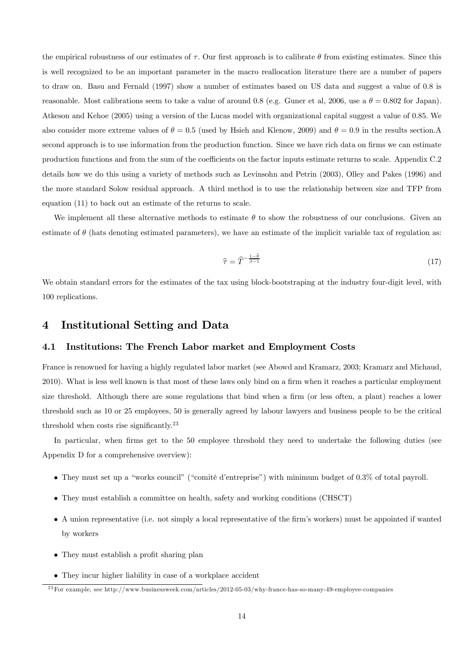the empirical robustness of our estimates of  $\tau$ . Our first approach is to calibrate  $\theta$  from existing estimates. Since this is well recognized to be an important parameter in the macro reallocation literature there are a number of papers to draw on. Basu and Fernald (1997) show a number of estimates based on US data and suggest a value of 0.8 is reasonable. Most calibrations seem to take a value of around 0.8 (e.g. Guner et al, 2006, use a  $\theta = 0.802$  for Japan). Atkeson and Kehoe (2005) using a version of the Lucas model with organizational capital suggest a value of 0.85. We also consider more extreme values of  $\theta = 0.5$  (used by Hsieh and Klenow, 2009) and  $\theta = 0.9$  in the results section. second approach is to use information from the production function. Since we have rich data on firms we can estimate production functions and from the sum of the coefficients on the factor inputs estimate returns to scale. Appendix C.2 details how we do this using a variety of methods such as Levinsohn and Petrin (2003), Olley and Pakes (1996) and the more standard Solow residual approach. A third method is to use the relationship between size and TFP from equation (11) to back out an estimate of the returns to scale.

We implement all these alternative methods to estimate  $\theta$  to show the robustness of our conclusions. Given an estimate of  $\theta$  (hats denoting estimated parameters), we have an estimate of the implicit variable tax of regulation as:

$$
\hat{\tau} = \hat{T}^{-\frac{1-\hat{\theta}}{\hat{\beta}-1}} \tag{17}
$$

We obtain standard errors for the estimates of the tax using block-bootstraping at the industry four-digit level, with 100 replications.

### 4 Institutional Setting and Data

#### 4.1 Institutions: The French Labor market and Employment Costs

France is renowned for having a highly regulated labor market (see Abowd and Kramarz, 2003; Kramarz and Michaud, 2010). What is less well known is that most of these laws only bind on a firm when it reaches a particular employment size threshold. Although there are some regulations that bind when a firm (or less often, a plant) reaches a lower threshold such as 10 or 25 employees, 50 is generally agreed by labour lawyers and business people to be the critical threshold when costs rise significantly.23

In particular, when firms get to the 50 employee threshold they need to undertake the following duties (see Appendix D for a comprehensive overview):

- They must set up a "works council" ("comité d'entreprise") with minimum budget of 0.3% of total payroll.
- They must establish a committee on health, safety and working conditions (CHSCT)
- A union representative (i.e. not simply a local representative of the firm's workers) must be appointed if wanted by workers
- They must establish a profit sharing plan
- They incur higher liability in case of a workplace accident

 $^{23}$ For example, see http://www.businessweek.com/articles/2012-05-03/why-france-has-so-many-49-employee-companies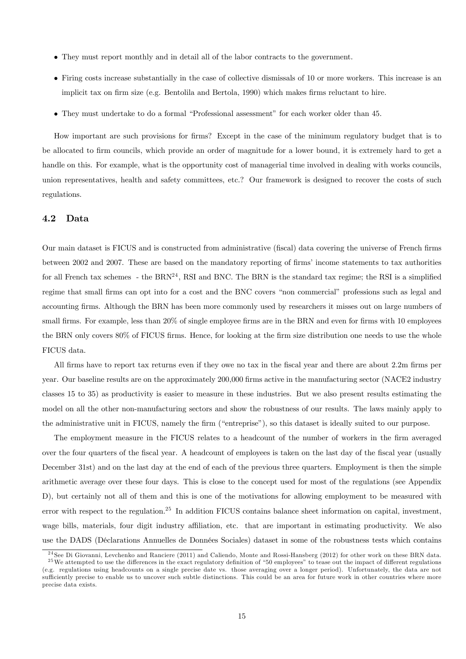- They must report monthly and in detail all of the labor contracts to the government.
- Firing costs increase substantially in the case of collective dismissals of 10 or more workers. This increase is an implicit tax on firm size (e.g. Bentolila and Bertola, 1990) which makes firms reluctant to hire.
- They must undertake to do a formal "Professional assessment" for each worker older than 45.

How important are such provisions for firms? Except in the case of the minimum regulatory budget that is to be allocated to firm councils, which provide an order of magnitude for a lower bound, it is extremely hard to get a handle on this. For example, what is the opportunity cost of managerial time involved in dealing with works councils, union representatives, health and safety committees, etc.? Our framework is designed to recover the costs of such regulations.

#### 4.2 Data

Our main dataset is FICUS and is constructed from administrative (fiscal) data covering the universe of French firms between 2002 and 2007. These are based on the mandatory reporting of firms' income statements to tax authorities for all French tax schemes - the  $BRN<sup>24</sup>$ , RSI and BNC. The BRN is the standard tax regime; the RSI is a simplified regime that small firms can opt into for a cost and the BNC covers "non commercial" professions such as legal and accounting firms. Although the BRN has been more commonly used by researchers it misses out on large numbers of small firms. For example, less than 20% of single employee firms are in the BRN and even for firms with 10 employees the BRN only covers 80% of FICUS firms. Hence, for looking at the firm size distribution one needs to use the whole FICUS data.

All firms have to report tax returns even if they owe no tax in the fiscal year and there are about 2.2m firms per year. Our baseline results are on the approximately 200,000 firms active in the manufacturing sector (NACE2 industry classes 15 to 35) as productivity is easier to measure in these industries. But we also present results estimating the model on all the other non-manufacturing sectors and show the robustness of our results. The laws mainly apply to the administrative unit in FICUS, namely the firm ("entreprise"), so this dataset is ideally suited to our purpose.

The employment measure in the FICUS relates to a headcount of the number of workers in the firm averaged over the four quarters of the fiscal year. A headcount of employees is taken on the last day of the fiscal year (usually December 31st) and on the last day at the end of each of the previous three quarters. Employment is then the simple arithmetic average over these four days. This is close to the concept used for most of the regulations (see Appendix D), but certainly not all of them and this is one of the motivations for allowing employment to be measured with error with respect to the regulation.<sup>25</sup> In addition FICUS contains balance sheet information on capital, investment, wage bills, materials, four digit industry affiliation, etc. that are important in estimating productivity. We also use the DADS (Déclarations Annuelles de Données Sociales) dataset in some of the robustness tests which contains

 $^{24}$ See Di Giovanni, Levchenko and Ranciere (2011) and Caliendo, Monte and Rossi-Hansberg (2012) for other work on these BRN data. <sup>25</sup>We attempted to use the differences in the exact regulatory definition of "50 employees" to tease out the impact of different regulations

<sup>(</sup>e.g. regulations using headcounts on a single precise date vs. those averaging over a longer period). Unfortunately, the data are not sufficiently precise to enable us to uncover such subtle distinctions. This could be an area for future work in other countries where more precise data exists.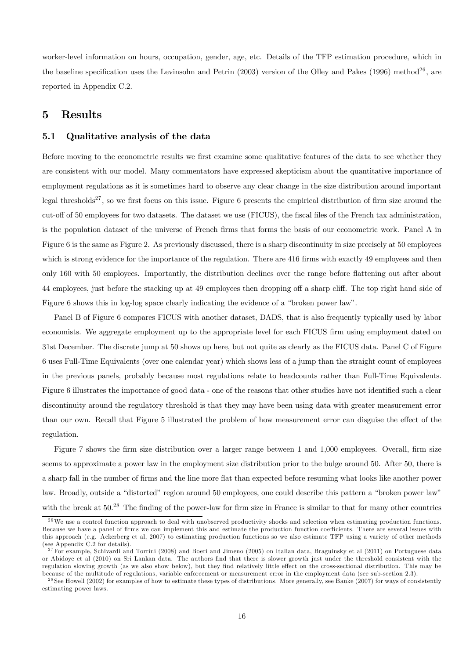worker-level information on hours, occupation, gender, age, etc. Details of the TFP estimation procedure, which in the baseline specification uses the Levinsohn and Petrin (2003) version of the Olley and Pakes (1996) method<sup>26</sup>, are reported in Appendix C.2.

### 5 Results

#### 5.1 Qualitative analysis of the data

Before moving to the econometric results we first examine some qualitative features of the data to see whether they are consistent with our model. Many commentators have expressed skepticism about the quantitative importance of employment regulations as it is sometimes hard to observe any clear change in the size distribution around important legal thresholds<sup>27</sup>, so we first focus on this issue. Figure 6 presents the empirical distribution of firm size around the cut-off of 50 employees for two datasets. The dataset we use (FICUS), the fiscal files of the French tax administration, is the population dataset of the universe of French firms that forms the basis of our econometric work. Panel A in Figure 6 is the same as Figure 2. As previously discussed, there is a sharp discontinuity in size precisely at 50 employees which is strong evidence for the importance of the regulation. There are 416 firms with exactly 49 employees and then only 160 with 50 employees. Importantly, the distribution declines over the range before flattening out after about 44 employees, just before the stacking up at 49 employees then dropping off a sharp cliff. The top right hand side of Figure 6 shows this in log-log space clearly indicating the evidence of a "broken power law".

Panel B of Figure 6 compares FICUS with another dataset, DADS, that is also frequently typically used by labor economists. We aggregate employment up to the appropriate level for each FICUS firm using employment dated on 31st December. The discrete jump at 50 shows up here, but not quite as clearly as the FICUS data. Panel C of Figure 6 uses Full-Time Equivalents (over one calendar year) which shows less of a jump than the straight count of employees in the previous panels, probably because most regulations relate to headcounts rather than Full-Time Equivalents. Figure 6 illustrates the importance of good data - one of the reasons that other studies have not identified such a clear discontinuity around the regulatory threshold is that they may have been using data with greater measurement error than our own. Recall that Figure 5 illustrated the problem of how measurement error can disguise the effect of the regulation.

Figure 7 shows the firm size distribution over a larger range between 1 and 1,000 employees. Overall, firm size seems to approximate a power law in the employment size distribution prior to the bulge around 50. After 50, there is a sharp fall in the number of firms and the line more flat than expected before resuming what looks like another power law. Broadly, outside a "distorted" region around 50 employees, one could describe this pattern a "broken power law" with the break at 50.<sup>28</sup> The finding of the power-law for firm size in France is similar to that for many other countries

 $26$  We use a control function approach to deal with unobserved productivity shocks and selection when estimating production functions. Because we have a panel of firms we can implement this and estimate the production function coefficients. There are several issues with this approach (e.g. Ackerberg et al, 2007) to estimating production functions so we also estimate TFP using a variety of other methods (see Appendix C.2 for details).

 $^{27}$  For example, Schivardi and Torrini (2008) and Boeri and Jimeno (2005) on Italian data, Braguinsky et al (2011) on Portuguese data or Abidoye et al (2010) on Sri Lankan data. The authors find that there is slower growth just under the threshold consistent with the regulation slowing growth (as we also show below), but they find relatively little effect on the cross-sectional distribution. This may be because of the multitude of regulations, variable enforcement or measurement error in the employment data (see sub-section 2.3).

<sup>&</sup>lt;sup>28</sup> See Howell (2002) for examples of how to estimate these types of distributions. More generally, see Bauke (2007) for ways of consistently estimating power laws.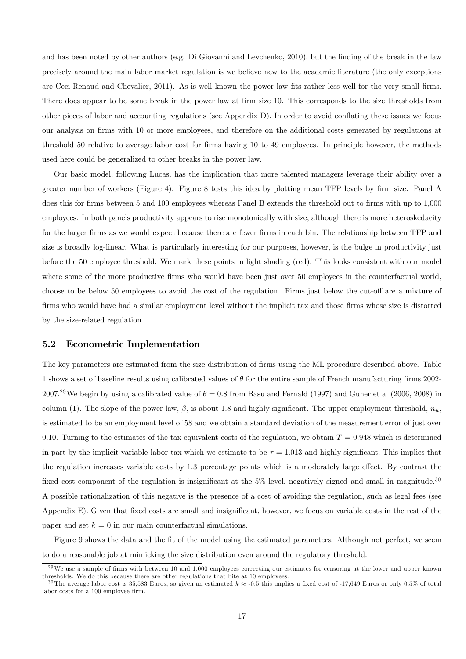and has been noted by other authors (e.g. Di Giovanni and Levchenko, 2010), but the finding of the break in the law precisely around the main labor market regulation is we believe new to the academic literature (the only exceptions are Ceci-Renaud and Chevalier, 2011). As is well known the power law fits rather less well for the very small firms. There does appear to be some break in the power law at firm size 10. This corresponds to the size thresholds from other pieces of labor and accounting regulations (see Appendix D). In order to avoid conflating these issues we focus our analysis on firms with 10 or more employees, and therefore on the additional costs generated by regulations at threshold 50 relative to average labor cost for firms having 10 to 49 employees. In principle however, the methods used here could be generalized to other breaks in the power law.

Our basic model, following Lucas, has the implication that more talented managers leverage their ability over a greater number of workers (Figure 4). Figure 8 tests this idea by plotting mean TFP levels by firm size. Panel A does this for firms between 5 and 100 employees whereas Panel B extends the threshold out to firms with up to 1,000 employees. In both panels productivity appears to rise monotonically with size, although there is more heteroskedacity for the larger firms as we would expect because there are fewer firms in each bin. The relationship between TFP and size is broadly log-linear. What is particularly interesting for our purposes, however, is the bulge in productivity just before the 50 employee threshold. We mark these points in light shading (red). This looks consistent with our model where some of the more productive firms who would have been just over 50 employees in the counterfactual world, choose to be below 50 employees to avoid the cost of the regulation. Firms just below the cut-off are a mixture of firms who would have had a similar employment level without the implicit tax and those firms whose size is distorted by the size-related regulation.

#### 5.2 Econometric Implementation

The key parameters are estimated from the size distribution of firms using the ML procedure described above. Table 1 shows a set of baseline results using calibrated values of  $\theta$  for the entire sample of French manufacturing firms 2002-2007.<sup>29</sup>We begin by using a calibrated value of  $\theta = 0.8$  from Basu and Fernald (1997) and Guner et al (2006, 2008) in column (1). The slope of the power law,  $\beta$ , is about 1.8 and highly significant. The upper employment threshold,  $n_u$ . is estimated to be an employment level of 58 and we obtain a standard deviation of the measurement error of just over 0.10. Turning to the estimates of the tax equivalent costs of the regulation, we obtain  $T = 0.948$  which is determined in part by the implicit variable labor tax which we estimate to be  $\tau = 1.013$  and highly significant. This implies that the regulation increases variable costs by 1.3 percentage points which is a moderately large effect. By contrast the fixed cost component of the regulation is insignificant at the 5% level, negatively signed and small in magnitude.<sup>30</sup> A possible rationalization of this negative is the presence of a cost of avoiding the regulation, such as legal fees (see Appendix E). Given that fixed costs are small and insignificant, however, we focus on variable costs in the rest of the paper and set  $k = 0$  in our main counterfactual simulations.

Figure 9 shows the data and the fit of the model using the estimated parameters. Although not perfect, we seem to do a reasonable job at mimicking the size distribution even around the regulatory threshold.

 $^{29}$ We use a sample of firms with between 10 and 1,000 employees correcting our estimates for censoring at the lower and upper known thresholds. We do this because there are other regulations that bite at 10 employees.

<sup>&</sup>lt;sup>30</sup>The average labor cost is 35,583 Euros, so given an estimated  $k \approx -0.5$  this implies a fixed cost of -17,649 Euros or only 0.5% of total labor costs for a 100 employee firm.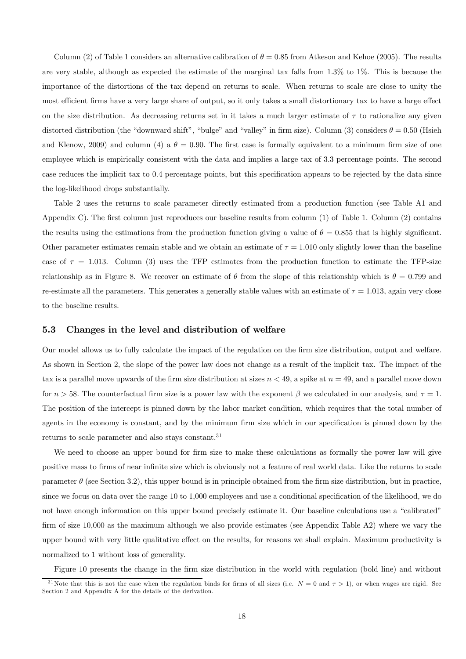Column (2) of Table 1 considers an alternative calibration of  $\theta = 0.85$  from Atkeson and Kehoe (2005). The results are very stable, although as expected the estimate of the marginal tax falls from 1.3% to 1%. This is because the importance of the distortions of the tax depend on returns to scale. When returns to scale are close to unity the most efficient firms have a very large share of output, so it only takes a small distortionary tax to have a large effect on the size distribution. As decreasing returns set in it takes a much larger estimate of  $\tau$  to rationalize any given distorted distribution (the "downward shift", "bulge" and "valley" in firm size). Column (3) considers  $\theta = 0.50$  (Hsieh and Klenow, 2009) and column (4) a  $\theta = 0.90$ . The first case is formally equivalent to a minimum firm size of one employee which is empirically consistent with the data and implies a large tax of 3.3 percentage points. The second case reduces the implicit tax to 0.4 percentage points, but this specification appears to be rejected by the data since the log-likelihood drops substantially.

Table 2 uses the returns to scale parameter directly estimated from a production function (see Table A1 and Appendix C). The first column just reproduces our baseline results from column (1) of Table 1. Column (2) contains the results using the estimations from the production function giving a value of  $\theta = 0.855$  that is highly significant. Other parameter estimates remain stable and we obtain an estimate of  $\tau = 1.010$  only slightly lower than the baseline case of  $\tau = 1.013$ . Column (3) uses the TFP estimates from the production function to estimate the TFP-size relationship as in Figure 8. We recover an estimate of  $\theta$  from the slope of this relationship which is  $\theta = 0.799$  and re-estimate all the parameters. This generates a generally stable values with an estimate of  $\tau = 1.013$ , again very close to the baseline results

#### 5.3 Changes in the level and distribution of welfare

Our model allows us to fully calculate the impact of the regulation on the firm size distribution, output and welfare. As shown in Section 2, the slope of the power law does not change as a result of the implicit tax. The impact of the tax is a parallel move upwards of the firm size distribution at sizes  $n < 49$ , a spike at  $n = 49$ , and a parallel move down for  $n > 58$ . The counterfactual firm size is a power law with the exponent  $\beta$  we calculated in our analysis, and  $\tau = 1$ . The position of the intercept is pinned down by the labor market condition, which requires that the total number of agents in the economy is constant, and by the minimum firm size which in our specification is pinned down by the returns to scale parameter and also stays constant.<sup>31</sup>

We need to choose an upper bound for firm size to make these calculations as formally the power law will give positive mass to firms of near infinite size which is obviously not a feature of real world data. Like the returns to scale parameter  $\theta$  (see Section 3.2), this upper bound is in principle obtained from the firm size distribution, but in practice, since we focus on data over the range 10 to 1,000 employees and use a conditional specification of the likelihood, we do not have enough information on this upper bound precisely estimate it. Our baseline calculations use a "calibrated" firm of size 10,000 as the maximum although we also provide estimates (see Appendix Table A2) where we vary the upper bound with very little qualitative effect on the results, for reasons we shall explain. Maximum productivity is normalized to 1 without loss of generality.

Figure 10 presents the change in the firm size distribution in the world with regulation (bold line) and without

<sup>&</sup>lt;sup>31</sup>Note that this is not the case when the regulation binds for firms of all sizes (i.e.  $N = 0$  and  $\tau > 1$ ), or when wages are rigid. See Section 2 and Appendix A for the details of the derivation.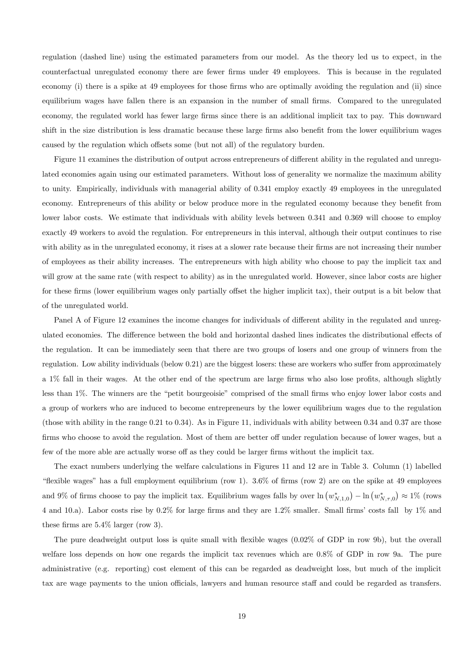regulation (dashed line) using the estimated parameters from our model. As the theory led us to expect, in the counterfactual unregulated economy there are fewer firms under 49 employees. This is because in the regulated economy (i) there is a spike at 49 employees for those firms who are optimally avoiding the regulation and (ii) since equilibrium wages have fallen there is an expansion in the number of small firms. Compared to the unregulated economy, the regulated world has fewer large firms since there is an additional implicit tax to pay. This downward shift in the size distribution is less dramatic because these large firms also benefit from the lower equilibrium wages caused by the regulation which offsets some (but not all) of the regulatory burden.

Figure 11 examines the distribution of output across entrepreneurs of different ability in the regulated and unregulated economies again using our estimated parameters. Without loss of generality we normalize the maximum ability to unity. Empirically, individuals with managerial ability of 0.341 employ exactly 49 employees in the unregulated economy. Entrepreneurs of this ability or below produce more in the regulated economy because they benefit from lower labor costs. We estimate that individuals with ability levels between 0.341 and 0.369 will choose to employ exactly 49 workers to avoid the regulation. For entrepreneurs in this interval, although their output continues to rise with ability as in the unregulated economy, it rises at a slower rate because their firms are not increasing their number of employees as their ability increases. The entrepreneurs with high ability who choose to pay the implicit tax and will grow at the same rate (with respect to ability) as in the unregulated world. However, since labor costs are higher for these firms (lower equilibrium wages only partially offset the higher implicit tax), their output is a bit below that of the unregulated world.

Panel A of Figure 12 examines the income changes for individuals of different ability in the regulated and unregulated economies. The difference between the bold and horizontal dashed lines indicates the distributional effects of the regulation. It can be immediately seen that there are two groups of losers and one group of winners from the regulation. Low ability individuals (below 0.21) are the biggest losers: these are workers who suffer from approximately a 1% fall in their wages. At the other end of the spectrum are large firms who also lose profits, although slightly less than 1%. The winners are the "petit bourgeoisie" comprised of the small firms who enjoy lower labor costs and a group of workers who are induced to become entrepreneurs by the lower equilibrium wages due to the regulation (those with ability in the range 0.21 to 0.34). As in Figure 11, individuals with ability between 0.34 and 0.37 are those firms who choose to avoid the regulation. Most of them are better off under regulation because of lower wages, but a few of the more able are actually worse off as they could be larger firms without the implicit tax.

The exact numbers underlying the welfare calculations in Figures 11 and 12 are in Table 3. Column (1) labelled "flexible wages" has a full employment equilibrium (row 1). 3.6% of firms (row 2) are on the spike at 49 employees and 9% of firms choose to pay the implicit tax. Equilibrium wages falls by over  $\ln(w_{N,1,0}^*) - \ln(w_{N,\tau,0}^*) \approx 1\%$  (rows 4 and 10.a). Labor costs rise by 0.2% for large firms and they are 1.2% smaller. Small firms' costs fall by 1% and these firms are 5.4% larger (row 3).

The pure deadweight output loss is quite small with flexible wages (0.02% of GDP in row 9b), but the overall welfare loss depends on how one regards the implicit tax revenues which are 0.8% of GDP in row 9a. The pure administrative (e.g. reporting) cost element of this can be regarded as deadweight loss, but much of the implicit tax are wage payments to the union officials, lawyers and human resource staff and could be regarded as transfers.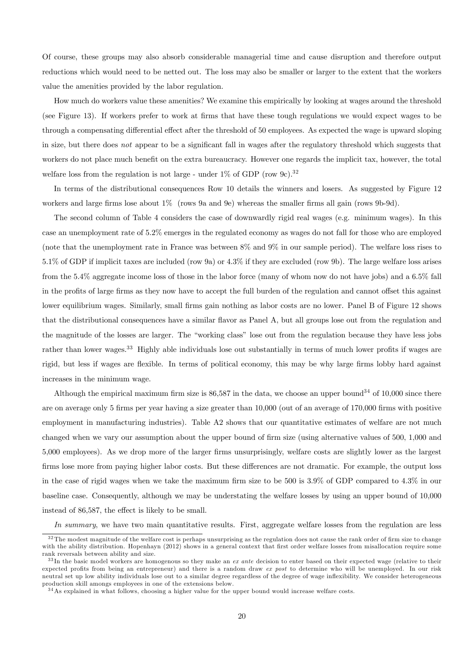Of course, these groups may also absorb considerable managerial time and cause disruption and therefore output reductions which would need to be netted out. The loss may also be smaller or larger to the extent that the workers value the amenities provided by the labor regulation.

How much do workers value these amenities? We examine this empirically by looking at wages around the threshold (see Figure 13). If workers prefer to work at firms that have these tough regulations we would expect wages to be through a compensating differential effect after the threshold of 50 employees. As expected the wage is upward sloping in size, but there does not appear to be a significant fall in wages after the regulatory threshold which suggests that workers do not place much benefit on the extra bureaucracy. However one regards the implicit tax, however, the total welfare loss from the regulation is not large - under  $1\%$  of GDP (row 9c).<sup>32</sup>

In terms of the distributional consequences Row 10 details the winners and losers. As suggested by Figure 12 workers and large firms lose about 1% (rows 9a and 9e) whereas the smaller firms all gain (rows 9b-9d).

The second column of Table 4 considers the case of downwardly rigid real wages (e.g. minimum wages). In this case an unemployment rate of 5.2% emerges in the regulated economy as wages do not fall for those who are employed (note that the unemployment rate in France was between 8% and 9% in our sample period). The welfare loss rises to 5.1% of GDP if implicit taxes are included (row 9a) or 4.3% if they are excluded (row 9b). The large welfare loss arises from the 5.4% aggregate income loss of those in the labor force (many of whom now do not have jobs) and a 6.5% fall in the profits of large firms as they now have to accept the full burden of the regulation and cannot offset this against lower equilibrium wages. Similarly, small firms gain nothing as labor costs are no lower. Panel B of Figure 12 shows that the distributional consequences have a similar flavor as Panel A, but all groups lose out from the regulation and the magnitude of the losses are larger. The "working class" lose out from the regulation because they have less jobs rather than lower wages.<sup>33</sup> Highly able individuals lose out substantially in terms of much lower profits if wages are rigid, but less if wages are flexible. In terms of political economy, this may be why large firms lobby hard against increases in the minimum wage.

Although the empirical maximum firm size is  $86,587$  in the data, we choose an upper bound<sup>34</sup> of 10,000 since there are on average only 5 firms per year having a size greater than 10,000 (out of an average of 170,000 firms with positive employment in manufacturing industries). Table A2 shows that our quantitative estimates of welfare are not much changed when we vary our assumption about the upper bound of firm size (using alternative values of 500, 1,000 and 5,000 employees). As we drop more of the larger firms unsurprisingly, welfare costs are slightly lower as the largest firms lose more from paying higher labor costs. But these differences are not dramatic. For example, the output loss in the case of rigid wages when we take the maximum firm size to be 500 is 3.9% of GDP compared to 4.3% in our baseline case. Consequently, although we may be understating the welfare losses by using an upper bound of 10,000 instead of 86,587, the effect is likely to be small.

In summary, we have two main quantitative results. First, aggregate welfare losses from the regulation are less

 $32$  The modest magnitude of the welfare cost is perhaps unsurprising as the regulation does not cause the rank order of firm size to change with the ability distribution. Hopenhayn (2012) shows in a general context that first order welfare losses from misallocation require some rank reversals between ability and size.

 $33$  In the basic model workers are homogenous so they make an ex ante decision to enter based on their expected wage (relative to their expected profits from being an entrepreneur) and there is a random draw ex post to determine who will be unemployed. In our risk neutral set up low ability individuals lose out to a similar degree regardless of the degree of wage inflexibility. We consider heterogeneous production skill amongs employees in one of the extensions below.

<sup>&</sup>lt;sup>34</sup>As explained in what follows, choosing a higher value for the upper bound would increase welfare costs.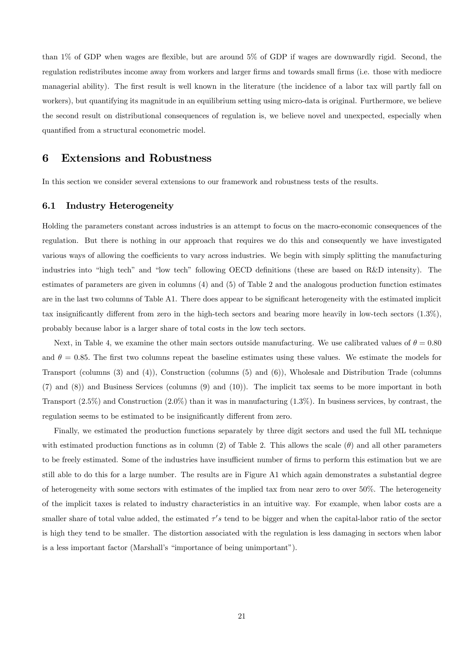than 1% of GDP when wages are flexible, but are around 5% of GDP if wages are downwardly rigid. Second, the regulation redistributes income away from workers and larger firms and towards small firms (i.e. those with mediocre managerial ability). The first result is well known in the literature (the incidence of a labor tax will partly fall on workers), but quantifying its magnitude in an equilibrium setting using micro-data is original. Furthermore, we believe the second result on distributional consequences of regulation is, we believe novel and unexpected, especially when quantified from a structural econometric model.

### 6 Extensions and Robustness

In this section we consider several extensions to our framework and robustness tests of the results.

#### 6.1 Industry Heterogeneity

Holding the parameters constant across industries is an attempt to focus on the macro-economic consequences of the regulation. But there is nothing in our approach that requires we do this and consequently we have investigated various ways of allowing the coefficients to vary across industries. We begin with simply splitting the manufacturing industries into "high tech" and "low tech" following OECD definitions (these are based on R&D intensity). The estimates of parameters are given in columns (4) and (5) of Table 2 and the analogous production function estimates are in the last two columns of Table A1. There does appear to be significant heterogeneity with the estimated implicit tax insignificantly different from zero in the high-tech sectors and bearing more heavily in low-tech sectors (1.3%), probably because labor is a larger share of total costs in the low tech sectors.

Next, in Table 4, we examine the other main sectors outside manufacturing. We use calibrated values of  $\theta = 0.80$ and  $\theta = 0.85$ . The first two columns repeat the baseline estimates using these values. We estimate the models for Transport (columns (3) and (4)), Construction (columns (5) and (6)), Wholesale and Distribution Trade (columns (7) and (8)) and Business Services (columns (9) and (10)). The implicit tax seems to be more important in both Transport  $(2.5\%)$  and Construction  $(2.0\%)$  than it was in manufacturing  $(1.3\%)$ . In business services, by contrast, the regulation seems to be estimated to be insignificantly different from zero.

Finally, we estimated the production functions separately by three digit sectors and used the full ML technique with estimated production functions as in column (2) of Table 2. This allows the scale  $(\theta)$  and all other parameters to be freely estimated. Some of the industries have insufficient number of firms to perform this estimation but we are still able to do this for a large number. The results are in Figure A1 which again demonstrates a substantial degree of heterogeneity with some sectors with estimates of the implied tax from near zero to over 50%. The heterogeneity of the implicit taxes is related to industry characteristics in an intuitive way. For example, when labor costs are a smaller share of total value added, the estimated  $\tau's$  tend to be bigger and when the capital-labor ratio of the sector is high they tend to be smaller. The distortion associated with the regulation is less damaging in sectors when labor is a less important factor (Marshall's "importance of being unimportant").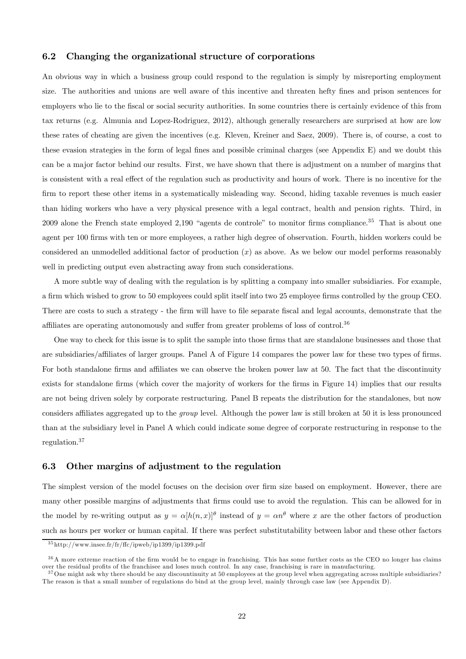#### 6.2 Changing the organizational structure of corporations

An obvious way in which a business group could respond to the regulation is simply by misreporting employment size. The authorities and unions are well aware of this incentive and threaten hefty fines and prison sentences for employers who lie to the fiscal or social security authorities. In some countries there is certainly evidence of this from tax returns (e.g. Almunia and Lopez-Rodriguez, 2012), although generally researchers are surprised at how are low these rates of cheating are given the incentives (e.g. Kleven, Kreiner and Saez, 2009). There is, of course, a cost to these evasion strategies in the form of legal fines and possible criminal charges (see Appendix E) and we doubt this can be a major factor behind our results. First, we have shown that there is adjustment on a number of margins that is consistent with a real effect of the regulation such as productivity and hours of work. There is no incentive for the firm to report these other items in a systematically misleading way. Second, hiding taxable revenues is much easier than hiding workers who have a very physical presence with a legal contract, health and pension rights. Third, in 2009 alone the French state employed  $2,190$  "agents de controle" to monitor firms compliance.<sup>35</sup> That is about one agent per 100 firms with ten or more employees, a rather high degree of observation. Fourth, hidden workers could be considered an unmodelled additional factor of production  $(x)$  as above. As we below our model performs reasonably well in predicting output even abstracting away from such considerations.

A more subtle way of dealing with the regulation is by splitting a company into smaller subsidiaries. For example, a firm which wished to grow to 50 employees could split itself into two 25 employee firms controlled by the group CEO. There are costs to such a strategy - the firm will have to file separate fiscal and legal accounts, demonstrate that the affiliates are operating autonomously and suffer from greater problems of loss of control.36

One way to check for this issue is to split the sample into those firms that are standalone businesses and those that are subsidiaries/affiliates of larger groups. Panel A of Figure 14 compares the power law for these two types of firms. For both standalone firms and affiliates we can observe the broken power law at 50. The fact that the discontinuity exists for standalone firms (which cover the majority of workers for the firms in Figure 14) implies that our results are not being driven solely by corporate restructuring. Panel B repeats the distribution for the standalones, but now considers affiliates aggregated up to the group level. Although the power law is still broken at 50 it is less pronounced than at the subsidiary level in Panel A which could indicate some degree of corporate restructuring in response to the regulation.37

#### 6.3 Other margins of adjustment to the regulation

The simplest version of the model focuses on the decision over firm size based on employment. However, there are many other possible margins of adjustments that firms could use to avoid the regulation. This can be allowed for in the model by re-writing output as  $y = \alpha[h(n,x)]^{\theta}$  instead of  $y = \alpha n^{\theta}$  where x are the other factors of production such as hours per worker or human capital. If there was perfect substitutability between labor and these other factors

<sup>3 5</sup> http://www.insee.fr/fr/ffc/ipweb/ip1399/ip1399.pdf

<sup>&</sup>lt;sup>36</sup>A more extreme reaction of the firm would be to engage in franchising. This has some further costs as the CEO no longer has claims over the residual profits of the franchisee and loses much control. In any case, franchising is rare in manufacturing.

 $37$  One might ask why there should be any discountinuity at 50 employees at the group level when aggregating across multiple subsidiaries? The reason is that a small number of regulations do bind at the group level, mainly through case law (see Appendix D).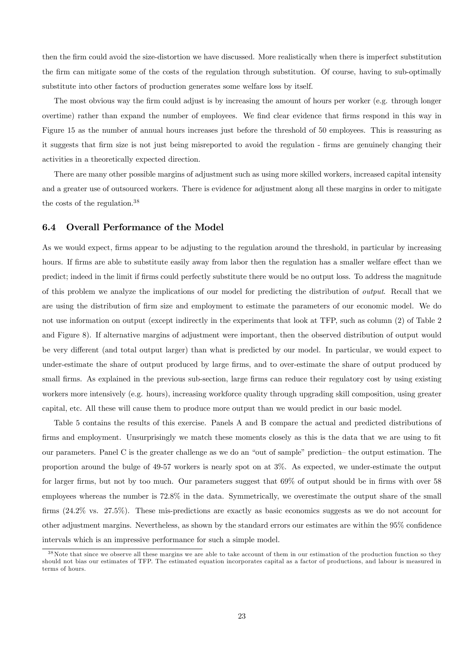then the firm could avoid the size-distortion we have discussed. More realistically when there is imperfect substitution the firm can mitigate some of the costs of the regulation through substitution. Of course, having to sub-optimally substitute into other factors of production generates some welfare loss by itself.

The most obvious way the firm could adjust is by increasing the amount of hours per worker (e.g. through longer overtime) rather than expand the number of employees. We find clear evidence that firms respond in this way in Figure 15 as the number of annual hours increases just before the threshold of 50 employees. This is reassuring as it suggests that firm size is not just being misreported to avoid the regulation - firms are genuinely changing their activities in a theoretically expected direction.

There are many other possible margins of adjustment such as using more skilled workers, increased capital intensity and a greater use of outsourced workers. There is evidence for adjustment along all these margins in order to mitigate the costs of the regulation.38

#### 6.4 Overall Performance of the Model

As we would expect, firms appear to be adjusting to the regulation around the threshold, in particular by increasing hours. If firms are able to substitute easily away from labor then the regulation has a smaller welfare effect than we predict; indeed in the limit if firms could perfectly substitute there would be no output loss. To address the magnitude of this problem we analyze the implications of our model for predicting the distribution of output. Recall that we are using the distribution of firm size and employment to estimate the parameters of our economic model. We do not use information on output (except indirectly in the experiments that look at TFP, such as column (2) of Table 2 and Figure 8). If alternative margins of adjustment were important, then the observed distribution of output would be very different (and total output larger) than what is predicted by our model. In particular, we would expect to under-estimate the share of output produced by large firms, and to over-estimate the share of output produced by small firms. As explained in the previous sub-section, large firms can reduce their regulatory cost by using existing workers more intensively (e.g. hours), increasing workforce quality through upgrading skill composition, using greater capital, etc. All these will cause them to produce more output than we would predict in our basic model.

Table 5 contains the results of this exercise. Panels A and B compare the actual and predicted distributions of firms and employment. Unsurprisingly we match these moments closely as this is the data that we are using to fit our parameters. Panel C is the greater challenge as we do an "out of sample" prediction— the output estimation. The proportion around the bulge of 49-57 workers is nearly spot on at 3%. As expected, we under-estimate the output for larger firms, but not by too much. Our parameters suggest that 69% of output should be in firms with over 58 employees whereas the number is 72.8% in the data. Symmetrically, we overestimate the output share of the small firms (24.2% vs. 27.5%). These mis-predictions are exactly as basic economics suggests as we do not account for other adjustment margins. Nevertheless, as shown by the standard errors our estimates are within the 95% confidence intervals which is an impressive performance for such a simple model.

 $38$ Note that since we observe all these margins we are able to take account of them in our estimation of the production function so they should not bias our estimates of TFP. The estimated equation incorporates capital as a factor of productions, and labour is measured in terms of hours.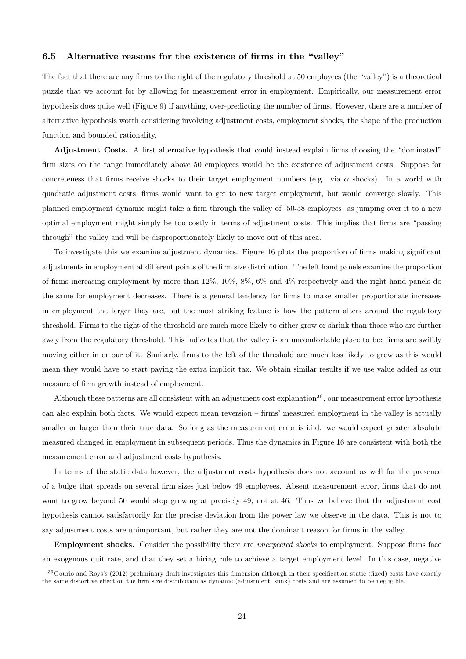#### 6.5 Alternative reasons for the existence of firms in the "valley"

The fact that there are any firms to the right of the regulatory threshold at 50 employees (the "valley") is a theoretical puzzle that we account for by allowing for measurement error in employment. Empirically, our measurement error hypothesis does quite well (Figure 9) if anything, over-predicting the number of firms. However, there are a number of alternative hypothesis worth considering involving adjustment costs, employment shocks, the shape of the production function and bounded rationality.

Adjustment Costs. A first alternative hypothesis that could instead explain firms choosing the "dominated" firm sizes on the range immediately above 50 employees would be the existence of adjustment costs. Suppose for concreteness that firms receive shocks to their target employment numbers (e.g. via  $\alpha$  shocks). In a world with quadratic adjustment costs, firms would want to get to new target employment, but would converge slowly. This planned employment dynamic might take a firm through the valley of 50-58 employees as jumping over it to a new optimal employment might simply be too costly in terms of adjustment costs. This implies that firms are "passing through" the valley and will be disproportionately likely to move out of this area.

To investigate this we examine adjustment dynamics. Figure 16 plots the proportion of firms making significant adjustments in employment at different points of the firm size distribution. The left hand panels examine the proportion of firms increasing employment by more than 12%, 10%, 8%, 6% and 4% respectively and the right hand panels do the same for employment decreases. There is a general tendency for firms to make smaller proportionate increases in employment the larger they are, but the most striking feature is how the pattern alters around the regulatory threshold. Firms to the right of the threshold are much more likely to either grow or shrink than those who are further away from the regulatory threshold. This indicates that the valley is an uncomfortable place to be: firms are swiftly moving either in or our of it. Similarly, firms to the left of the threshold are much less likely to grow as this would mean they would have to start paying the extra implicit tax. We obtain similar results if we use value added as our measure of firm growth instead of employment.

Although these patterns are all consistent with an adjustment cost explanation<sup>39</sup>, our measurement error hypothesis can also explain both facts. We would expect mean reversion — firms' measured employment in the valley is actually smaller or larger than their true data. So long as the measurement error is i.i.d. we would expect greater absolute measured changed in employment in subsequent periods. Thus the dynamics in Figure 16 are consistent with both the measurement error and adjustment costs hypothesis.

In terms of the static data however, the adjustment costs hypothesis does not account as well for the presence of a bulge that spreads on several firm sizes just below 49 employees. Absent measurement error, firms that do not want to grow beyond 50 would stop growing at precisely 49, not at 46. Thus we believe that the adjustment cost hypothesis cannot satisfactorily for the precise deviation from the power law we observe in the data. This is not to say adjustment costs are unimportant, but rather they are not the dominant reason for firms in the valley.

Employment shocks. Consider the possibility there are unexpected shocks to employment. Suppose firms face an exogenous quit rate, and that they set a hiring rule to achieve a target employment level. In this case, negative

 $39$  Gourio and Roys's (2012) preliminary draft investigates this dimension although in their specification static (fixed) costs have exactly the same distortive effect on the firm size distribution as dynamic (adjustment, sunk) costs and are assumed to be negligible.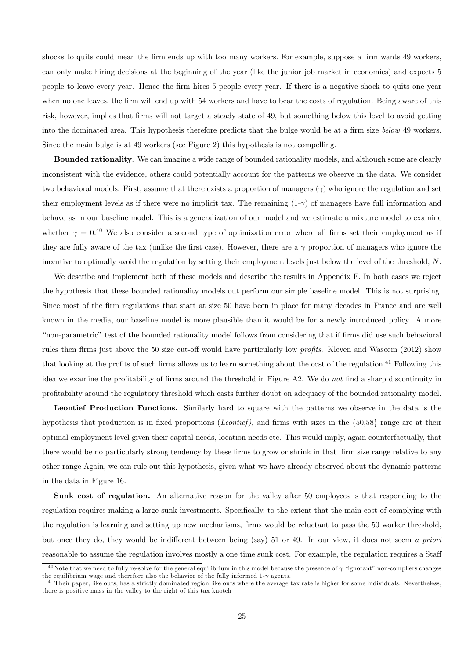shocks to quits could mean the firm ends up with too many workers. For example, suppose a firm wants 49 workers, can only make hiring decisions at the beginning of the year (like the junior job market in economics) and expects 5 people to leave every year. Hence the firm hires 5 people every year. If there is a negative shock to quits one year when no one leaves, the firm will end up with 54 workers and have to bear the costs of regulation. Being aware of this risk, however, implies that firms will not target a steady state of 49, but something below this level to avoid getting into the dominated area. This hypothesis therefore predicts that the bulge would be at a firm size below 49 workers. Since the main bulge is at 49 workers (see Figure 2) this hypothesis is not compelling.

Bounded rationality. We can imagine a wide range of bounded rationality models, and although some are clearly inconsistent with the evidence, others could potentially account for the patterns we observe in the data. We consider two behavioral models. First, assume that there exists a proportion of managers  $(\gamma)$  who ignore the regulation and set their employment levels as if there were no implicit tax. The remaining  $(1-\gamma)$  of managers have full information and behave as in our baseline model. This is a generalization of our model and we estimate a mixture model to examine whether  $\gamma = 0.40$  We also consider a second type of optimization error where all firms set their employment as if they are fully aware of the tax (unlike the first case). However, there are a  $\gamma$  proportion of managers who ignore the incentive to optimally avoid the regulation by setting their employment levels just below the level of the threshold,  $N$ .

We describe and implement both of these models and describe the results in Appendix E. In both cases we reject the hypothesis that these bounded rationality models out perform our simple baseline model. This is not surprising. Since most of the firm regulations that start at size 50 have been in place for many decades in France and are well known in the media, our baseline model is more plausible than it would be for a newly introduced policy. A more "non-parametric" test of the bounded rationality model follows from considering that if firms did use such behavioral rules then firms just above the 50 size cut-off would have particularly low *profits*. Kleven and Waseem (2012) show that looking at the profits of such firms allows us to learn something about the cost of the regulation.<sup>41</sup> Following this idea we examine the profitability of firms around the threshold in Figure A2. We do not find a sharp discontinuity in profitability around the regulatory threshold which casts further doubt on adequacy of the bounded rationality model.

Leontief Production Functions. Similarly hard to square with the patterns we observe in the data is the hypothesis that production is in fixed proportions (*Leontief*), and firms with sizes in the  $\{50,58\}$  range are at their optimal employment level given their capital needs, location needs etc. This would imply, again counterfactually, that there would be no particularly strong tendency by these firms to grow or shrink in that firm size range relative to any other range Again, we can rule out this hypothesis, given what we have already observed about the dynamic patterns in the data in Figure 16.

Sunk cost of regulation. An alternative reason for the valley after 50 employees is that responding to the regulation requires making a large sunk investments. Specifically, to the extent that the main cost of complying with the regulation is learning and setting up new mechanisms, firms would be reluctant to pass the 50 worker threshold, but once they do, they would be indifferent between being (say) 51 or 49. In our view, it does not seem a priori reasonable to assume the regulation involves mostly a one time sunk cost. For example, the regulation requires a Staff

<sup>&</sup>lt;sup>40</sup>Note that we need to fully re-solve for the general equilibrium in this model because the presence of  $\gamma$  "ignorant" non-compliers changes the equilibrium wage and therefore also the behavior of the fully informed 1- $\gamma$  agents.

<sup>&</sup>lt;sup>41</sup>Their paper, like ours, has a strictly dominated region like ours where the average tax rate is higher for some individuals. Nevertheless, there is positive mass in the valley to the right of this tax knotch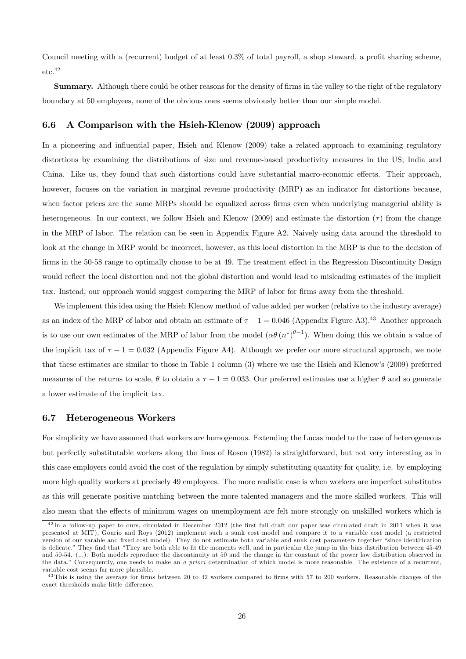Council meeting with a (recurrent) budget of at least 0.3% of total payroll, a shop steward, a profit sharing scheme,  $\rm etc.^{42}$ 

Summary. Although there could be other reasons for the density of firms in the valley to the right of the regulatory boundary at 50 employees, none of the obvious ones seems obviously better than our simple model.

#### 6.6 A Comparison with the Hsieh-Klenow (2009) approach

In a pioneering and influential paper, Hsieh and Klenow (2009) take a related approach to examining regulatory distortions by examining the distributions of size and revenue-based productivity measures in the US, India and China. Like us, they found that such distortions could have substantial macro-economic effects. Their approach, however, focuses on the variation in marginal revenue productivity (MRP) as an indicator for distortions because, when factor prices are the same MRPs should be equalized across firms even when underlying managerial ability is heterogeneous. In our context, we follow Hsieh and Klenow (2009) and estimate the distortion  $(\tau)$  from the change in the MRP of labor. The relation can be seen in Appendix Figure A2. Naively using data around the threshold to look at the change in MRP would be incorrect, however, as this local distortion in the MRP is due to the decision of firms in the 50-58 range to optimally choose to be at 49. The treatment effect in the Regression Discontinuity Design would reflect the local distortion and not the global distortion and would lead to misleading estimates of the implicit tax. Instead, our approach would suggest comparing the MRP of labor for firms away from the threshold.

We implement this idea using the Hsieh Klenow method of value added per worker (relative to the industry average) as an index of the MRP of labor and obtain an estimate of  $\tau - 1 = 0.046$  (Appendix Figure A3).<sup>43</sup> Another approach is to use our own estimates of the MRP of labor from the model  $(\alpha\theta (n^*)^{\theta-1})$ . When doing this we obtain a value of the implicit tax of  $\tau - 1 = 0.032$  (Appendix Figure A4). Although we prefer our more structural approach, we note that these estimates are similar to those in Table 1 column (3) where we use the Hsieh and Klenow's (2009) preferred measures of the returns to scale,  $\theta$  to obtain a  $\tau - 1 = 0.033$ . Our preferred estimates use a higher  $\theta$  and so generate a lower estimate of the implicit tax.

#### 6.7 Heterogeneous Workers

For simplicity we have assumed that workers are homogenous. Extending the Lucas model to the case of heterogeneous but perfectly substitutable workers along the lines of Rosen (1982) is straightforward, but not very interesting as in this case employers could avoid the cost of the regulation by simply substituting quantity for quality, i.e. by employing more high quality workers at precisely 49 employees. The more realistic case is when workers are imperfect substitutes as this will generate positive matching between the more talented managers and the more skilled workers. This will also mean that the effects of minimum wages on unemployment are felt more strongly on unskilled workers which is

<sup>&</sup>lt;sup>42</sup>In a follow-up paper to ours, circulated in December 2012 (the first full draft our paper was circulated draft in 2011 when it was presented at MIT), Gourio and Roys (2012) implement such a sunk cost model and compare it to a variable cost model (a restricted version of our varable and fixed cost model). They do not estimate both variable and sunk cost parameters together "since identification is delicate." They find that "They are both able to fit the moments well, and in particular the jump in the bins distribution between 45-49 and 50-54. (...). Both models reproduce the discontinuity at 50 and the change in the constant of the power law distribution observed in the data." Consequently, one needs to make an a priori determination of which model is more reasonable. The existence of a recurrent, variable cost seems far more plausible.

 $43$ This is using the average for firms between 20 to 42 workers compared to firms with 57 to 200 workers. Reasonable changes of the exact thresholds make little difference.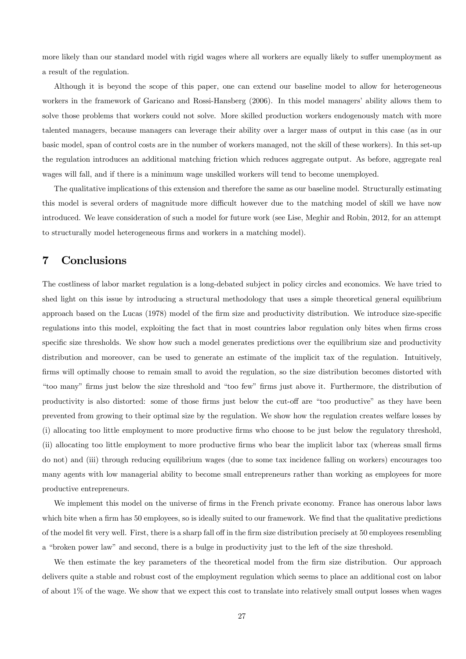more likely than our standard model with rigid wages where all workers are equally likely to suffer unemployment as a result of the regulation.

Although it is beyond the scope of this paper, one can extend our baseline model to allow for heterogeneous workers in the framework of Garicano and Rossi-Hansberg (2006). In this model managers' ability allows them to solve those problems that workers could not solve. More skilled production workers endogenously match with more talented managers, because managers can leverage their ability over a larger mass of output in this case (as in our basic model, span of control costs are in the number of workers managed, not the skill of these workers). In this set-up the regulation introduces an additional matching friction which reduces aggregate output. As before, aggregate real wages will fall, and if there is a minimum wage unskilled workers will tend to become unemployed.

The qualitative implications of this extension and therefore the same as our baseline model. Structurally estimating this model is several orders of magnitude more difficult however due to the matching model of skill we have now introduced. We leave consideration of such a model for future work (see Lise, Meghir and Robin, 2012, for an attempt to structurally model heterogeneous firms and workers in a matching model).

### 7 Conclusions

The costliness of labor market regulation is a long-debated subject in policy circles and economics. We have tried to shed light on this issue by introducing a structural methodology that uses a simple theoretical general equilibrium approach based on the Lucas (1978) model of the firm size and productivity distribution. We introduce size-specific regulations into this model, exploiting the fact that in most countries labor regulation only bites when firms cross specific size thresholds. We show how such a model generates predictions over the equilibrium size and productivity distribution and moreover, can be used to generate an estimate of the implicit tax of the regulation. Intuitively, firms will optimally choose to remain small to avoid the regulation, so the size distribution becomes distorted with "too many" firms just below the size threshold and "too few" firms just above it. Furthermore, the distribution of productivity is also distorted: some of those firms just below the cut-off are "too productive" as they have been prevented from growing to their optimal size by the regulation. We show how the regulation creates welfare losses by (i) allocating too little employment to more productive firms who choose to be just below the regulatory threshold, (ii) allocating too little employment to more productive firms who bear the implicit labor tax (whereas small firms do not) and (iii) through reducing equilibrium wages (due to some tax incidence falling on workers) encourages too many agents with low managerial ability to become small entrepreneurs rather than working as employees for more productive entrepreneurs.

We implement this model on the universe of firms in the French private economy. France has onerous labor laws which bite when a firm has 50 employees, so is ideally suited to our framework. We find that the qualitative predictions of the model fit very well. First, there is a sharp fall off in the firm size distribution precisely at 50 employees resembling a "broken power law" and second, there is a bulge in productivity just to the left of the size threshold.

We then estimate the key parameters of the theoretical model from the firm size distribution. Our approach delivers quite a stable and robust cost of the employment regulation which seems to place an additional cost on labor of about 1% of the wage. We show that we expect this cost to translate into relatively small output losses when wages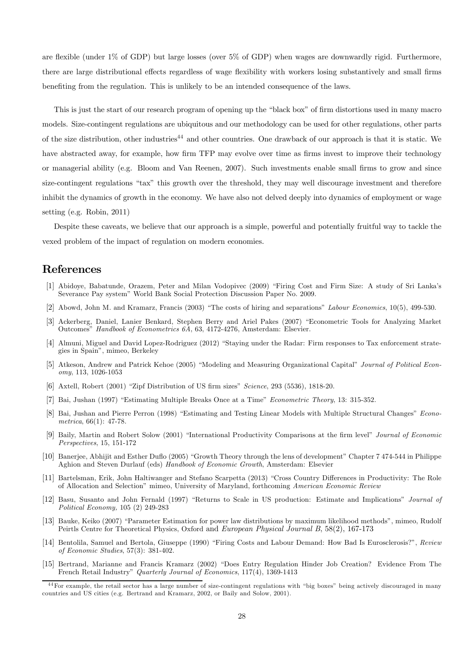are flexible (under 1% of GDP) but large losses (over 5% of GDP) when wages are downwardly rigid. Furthermore, there are large distributional effects regardless of wage flexibility with workers losing substantively and small firms benefiting from the regulation. This is unlikely to be an intended consequence of the laws.

This is just the start of our research program of opening up the "black box" of firm distortions used in many macro models. Size-contingent regulations are ubiquitous and our methodology can be used for other regulations, other parts of the size distribution, other industries<sup>44</sup> and other countries. One drawback of our approach is that it is static. We have abstracted away, for example, how firm TFP may evolve over time as firms invest to improve their technology or managerial ability (e.g. Bloom and Van Reenen, 2007). Such investments enable small firms to grow and since size-contingent regulations "tax" this growth over the threshold, they may well discourage investment and therefore inhibit the dynamics of growth in the economy. We have also not delved deeply into dynamics of employment or wage setting (e.g. Robin, 2011)

Despite these caveats, we believe that our approach is a simple, powerful and potentially fruitful way to tackle the vexed problem of the impact of regulation on modern economies.

### References

- [1] Abidoye, Babatunde, Orazem, Peter and Milan Vodopivec (2009) "Firing Cost and Firm Size: A study of Sri Lanka's Severance Pay system" World Bank Social Protection Discussion Paper No. 2009.
- [2] Abowd, John M. and Kramarz, Francis (2003) "The costs of hiring and separations" Labour Economics, 10(5), 499-530.
- [3] Ackerberg, Daniel, Lanier Benkard, Stephen Berry and Ariel Pakes (2007) "Econometric Tools for Analyzing Market Outcomes" Handbook of Econometrics 6A, 63, 4172-4276, Amsterdam: Elsevier.
- [4] Almuni, Miguel and David Lopez-Rodriguez (2012) "Staying under the Radar: Firm responses to Tax enforcement strategies in Spain", mimeo, Berkeley
- [5] Atkeson, Andrew and Patrick Kehoe (2005) "Modeling and Measuring Organizational Capital" Journal of Political Economy, 113, 1026-1053
- [6] Axtell, Robert (2001) "Zipf Distribution of US firm sizes" Science, 293 (5536), 1818-20.
- [7] Bai, Jushan (1997) "Estimating Multiple Breaks Once at a Time" Econometric Theory, 13: 315-352.
- [8] Bai, Jushan and Pierre Perron (1998) "Estimating and Testing Linear Models with Multiple Structural Changes" Econometrica, 66(1): 47-78.
- [9] Baily, Martin and Robert Solow (2001) "International Productivity Comparisons at the firm level" Journal of Economic Perspectives, 15, 151-172
- [10] Banerjee, Abhijit and Esther Duflo (2005) "Growth Theory through the lens of development" Chapter 7 474-544 in Philippe Aghion and Steven Durlauf (eds) Handbook of Economic Growth, Amsterdam: Elsevier
- [11] Bartelsman, Erik, John Haltiwanger and Stefano Scarpetta (2013) "Cross Country Differences in Productivity: The Role of Allocation and Selection" mimeo, University of Maryland, forthcoming American Economic Review
- [12] Basu, Susanto and John Fernald (1997) "Returns to Scale in US production: Estimate and Implications" Journal of Political Economy, 105 (2) 249-283
- [13] Bauke, Keiko (2007) "Parameter Estimation for power law distributions by maximum likelihood methods", mimeo, Rudolf Peirtls Centre for Theoretical Physics, Oxford and European Physical Journal B, 58(2), 167-173
- [14] Bentolila, Samuel and Bertola, Giuseppe (1990) "Firing Costs and Labour Demand: How Bad Is Eurosclerosis?", Review of Economic Studies, 57(3): 381-402.
- [15] Bertrand, Marianne and Francis Kramarz (2002) "Does Entry Regulation Hinder Job Creation? Evidence From The French Retail Industry" Quarterly Journal of Economics, 117(4), 1369-1413

<sup>&</sup>lt;sup>44</sup> For example, the retail sector has a large number of size-contingent regulations with "big boxes" being actively discouraged in many countries and US cities (e.g. Bertrand and Kramarz, 2002, or Baily and Solow, 2001).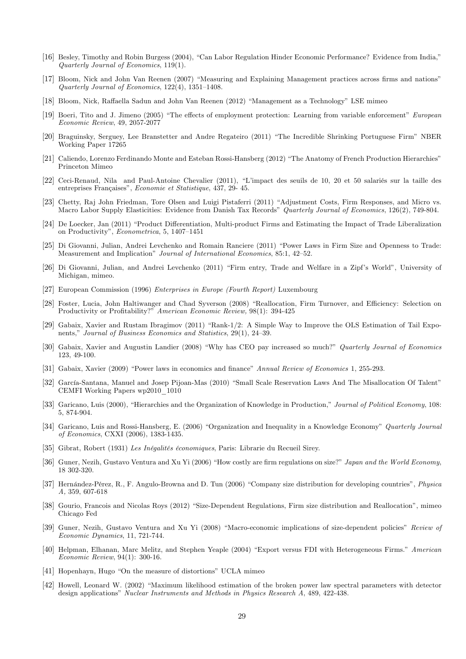- [16] Besley, Timothy and Robin Burgess (2004), "Can Labor Regulation Hinder Economic Performance? Evidence from India," Quarterly Journal of Economics, 119(1).
- [17] Bloom, Nick and John Van Reenen (2007) "Measuring and Explaining Management practices across firms and nations" Quarterly Journal of Economics, 122(4), 1351—1408.
- [18] Bloom, Nick, Raffaella Sadun and John Van Reenen (2012) "Management as a Technology" LSE mimeo
- [19] Boeri, Tito and J. Jimeno (2005) "The effects of employment protection: Learning from variable enforcement" European Economic Review, 49, 2057-2077
- [20] Braguinsky, Serguey, Lee Branstetter and Andre Regateiro (2011) "The Incredible Shrinking Portuguese Firm" NBER Working Paper 17265
- [21] Caliendo, Lorenzo Ferdinando Monte and Esteban Rossi-Hansberg (2012) "The Anatomy of French Production Hierarchies" Princeton Mimeo
- [22] Ceci-Renaud, Nila and Paul-Antoine Chevalier (2011), "L'impact des seuils de 10, 20 et 50 salariés sur la taille des entreprises Françaises", Economie et Statistique, 437, 29- 45.
- [23] Chetty, Raj John Friedman, Tore Olsen and Luigi Pistaferri (2011) "Adjustment Costs, Firm Responses, and Micro vs. Macro Labor Supply Elasticities: Evidence from Danish Tax Records" Quarterly Journal of Economics, 126(2), 749-804.
- [24] De Loecker, Jan (2011) "Product Differentiation, Multi-product Firms and Estimating the Impact of Trade Liberalization on Productivity", Econometrica, 5, 1407—1451
- [25] Di Giovanni, Julian, Andrei Levchenko and Romain Ranciere (2011) "Power Laws in Firm Size and Openness to Trade: Measurement and Implication" Journal of International Economics, 85:1, 42—52.
- [26] Di Giovanni, Julian, and Andrei Levchenko (2011) "Firm entry, Trade and Welfare in a Zipf's World", University of Michigan, mimeo.
- [27] European Commission (1996) Enterprises in Europe (Fourth Report) Luxembourg
- [28] Foster, Lucia, John Haltiwanger and Chad Syverson (2008) "Reallocation, Firm Turnover, and Efficiency: Selection on Productivity or Profitability?" American Economic Review, 98(1): 394-425
- [29] Gabaix, Xavier and Rustam Ibragimov (2011) "Rank-1/2: A Simple Way to Improve the OLS Estimation of Tail Exponents," Journal of Business Economics and Statistics, 29(1), 24—39.
- [30] Gabaix, Xavier and Augustin Landier (2008) "Why has CEO pay increased so much?" Quarterly Journal of Economics 123, 49-100.
- [31] Gabaix, Xavier (2009) "Power laws in economics and finance" Annual Review of Economics 1, 255-293.
- [32] García-Santana, Manuel and Josep Pijoan-Mas (2010) "Small Scale Reservation Laws And The Misallocation Of Talent" CEMFI Working Papers wp2010\_1010
- [33] Garicano, Luis (2000), "Hierarchies and the Organization of Knowledge in Production," Journal of Political Economy, 108: 5, 874-904.
- [34] Garicano, Luis and Rossi-Hansberg, E. (2006) "Organization and Inequality in a Knowledge Economy" Quarterly Journal of Economics, CXXI (2006), 1383-1435.
- [35] Gibrat, Robert (1931) Les Inégalités économiques, Paris: Librarie du Recueil Sirey.
- [36] Guner, Nezih, Gustavo Ventura and Xu Yi (2006) "How costly are firm regulations on size?" Japan and the World Economy, 18 302-320.
- [37] Hernández-Pérez, R., F. Angulo-Browna and D. Tun (2006) "Company size distribution for developing countries", Physica A, 359, 607-618
- [38] Gourio, Francois and Nicolas Roys (2012) "Size-Dependent Regulations, Firm size distribution and Reallocation", mimeo Chicago Fed
- [39] Guner, Nezih, Gustavo Ventura and Xu Yi (2008) "Macro-economic implications of size-dependent policies" Review of Economic Dynamics, 11, 721-744.
- [40] Helpman, Elhanan, Marc Melitz, and Stephen Yeaple (2004) "Export versus FDI with Heterogeneous Firms." American Economic Review, 94(1): 300-16.
- [41] Hopenhayn, Hugo "On the measure of distortions" UCLA mimeo
- [42] Howell, Leonard W. (2002) "Maximum likelihood estimation of the broken power law spectral parameters with detector design applications" Nuclear Instruments and Methods in Physics Research A, 489, 422-438.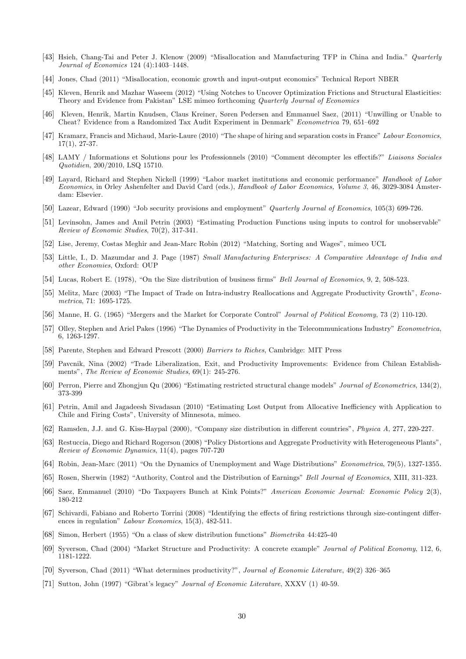- [43] Hsieh, Chang-Tai and Peter J. Klenow (2009) "Misallocation and Manufacturing TFP in China and India." Quarterly Journal of Economics 124 (4):1403—1448.
- [44] Jones, Chad (2011) "Misallocation, economic growth and input-output economics" Technical Report NBER
- [45] Kleven, Henrik and Mazhar Waseem (2012) "Using Notches to Uncover Optimization Frictions and Structural Elasticities: Theory and Evidence from Pakistan" LSE mimeo forthcoming Quarterly Journal of Economics
- [46] Kleven, Henrik, Martin Knudsen, Claus Kreiner, Søren Pedersen and Emmanuel Saez, (2011) "Unwilling or Unable to Cheat? Evidence from a Randomized Tax Audit Experiment in Denmark" Econometrica 79, 651—692
- [47] Kramarz, Francis and Michaud, Marie-Laure (2010) "The shape of hiring and separation costs in France" Labour Economics, 17(1), 27-37.
- [48] LAMY / Informations et Solutions pour les Professionnels (2010) "Comment décompter les effectifs?" Liaisons Sociales Quotidien, 200/2010, LSQ 15710.
- [49] Layard, Richard and Stephen Nickell (1999) "Labor market institutions and economic performance" Handbook of Labor Economics, in Orley Ashenfelter and David Card (eds.), Handbook of Labor Economics, Volume 3, 46, 3029-3084 Amsterdam: Elsevier.
- [50] Lazear, Edward (1990) "Job security provisions and employment" Quarterly Journal of Economics, 105(3) 699-726.
- [51] Levinsohn, James and Amil Petrin (2003) "Estimating Production Functions using inputs to control for unobservable" Review of Economic Studies, 70(2), 317-341.
- [52] Lise, Jeremy, Costas Meghir and Jean-Marc Robin (2012) "Matching, Sorting and Wages", mimeo UCL
- [53] Little, I., D. Mazumdar and J. Page (1987) Small Manufacturing Enterprises: A Comparative Advantage of India and other Economies, Oxford: OUP
- [54] Lucas, Robert E. (1978), "On the Size distribution of business firms" Bell Journal of Economics, 9, 2, 508-523.
- [55] Melitz, Marc (2003) "The Impact of Trade on Intra-industry Reallocations and Aggregate Productivity Growth", Econometrica, 71: 1695-1725.
- [56] Manne, H. G. (1965) "Mergers and the Market for Corporate Control" Journal of Political Economy, 73 (2) 110-120.
- [57] Olley, Stephen and Ariel Pakes (1996) "The Dynamics of Productivity in the Telecommunications Industry" Econometrica, 6, 1263-1297.
- [58] Parente, Stephen and Edward Prescott (2000) Barriers to Riches, Cambridge: MIT Press
- [59] Pavcnik, Nina (2002) "Trade Liberalization, Exit, and Productivity Improvements: Evidence from Chilean Establishments", The Review of Economic Studies, 69(1): 245-276.
- [60] Perron, Pierre and Zhongjun Qu (2006) "Estimating restricted structural change models" Journal of Econometrics, 134(2), 373-399
- [61] Petrin, Amil and Jagadeesh Sivadasan (2010) "Estimating Lost Output from Allocative Inefficiency with Application to Chile and Firing Costs", University of Minnesota, mimeo.
- [62] Ramsden, J.J. and G. Kiss-Haypal (2000), "Company size distribution in different countries", Physica A, 277, 220-227.
- [63] Restuccia, Diego and Richard Rogerson (2008) "Policy Distortions and Aggregate Productivity with Heterogeneous Plants", Review of Economic Dynamics, 11(4), pages 707-720
- [64] Robin, Jean-Marc (2011) "On the Dynamics of Unemployment and Wage Distributions" Econometrica, 79(5), 1327-1355.
- [65] Rosen, Sherwin (1982) "Authority, Control and the Distribution of Earnings" Bell Journal of Economics, XIII, 311-323.
- [66] Saez, Emmanuel (2010) "Do Taxpayers Bunch at Kink Points?" American Economic Journal: Economic Policy 2(3), 180-212
- [67] Schivardi, Fabiano and Roberto Torrini (2008) "Identifying the effects of firing restrictions through size-contingent differences in regulation" Labour Economics, 15(3), 482-511.
- [68] Simon, Herbert (1955) "On a class of skew distribution functions" Biometrika 44:425-40
- [69] Syverson, Chad (2004) "Market Structure and Productivity: A concrete example" Journal of Political Economy, 112, 6, 1181-1222.
- [70] Syverson, Chad (2011) "What determines productivity?", Journal of Economic Literature, 49(2) 326—365
- [71] Sutton, John (1997) "Gibrat's legacy" Journal of Economic Literature, XXXV (1) 40-59.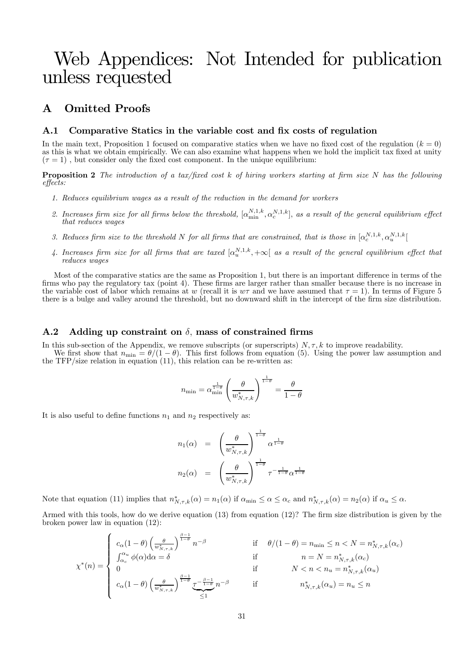## Web Appendices: Not Intended for publication unless requested

### A Omitted Proofs

#### A.1 Comparative Statics in the variable cost and fix costs of regulation

In the main text, Proposition 1 focused on comparative statics when we have no fixed cost of the regulation  $(k = 0)$ as this is what we obtain empirically. We can also examine what happens when we hold the implicit tax fixed at unity  $(\tau = 1)$ , but consider only the fixed cost component. In the unique equilibrium:

**Proposition 2** The introduction of a tax/fixed cost  $k$  of hiring workers starting at firm size N has the following effects:

- 1. Reduces equilibrium wages as a result of the reduction in the demand for workers
- 2. Increases firm size for all firms below the threshold,  $[\alpha_{\min}^{N,1,k}, \alpha_c^{N,1,k}]$ , as a result of the general equilibrium effect that reduces wages
- 3. Reduces firm size to the threshold N for all firms that are constrained, that is those in  $[\alpha_s^{N,1,k}, \alpha_s^{N,1,k}]$
- 4. Increases firm size for all firms that are taxed  $[\alpha_n^{N,1,k}, +\infty]$  as a result of the general equilibrium effect that reduces wages

Most of the comparative statics are the same as Proposition 1, but there is an important difference in terms of the firms who pay the regulatory tax (point 4). These firms are larger rather than smaller because there is no increase in the variable cost of labor which remains at w (recall it is  $w\tau$  and we have assumed that  $\tau = 1$ ). In terms of Figure 5 there is a bulge and valley around the threshold, but no downward shift in the intercept of the firm size distribution.

#### A.2 Adding up constraint on  $\delta$ , mass of constrained firms

In this sub-section of the Appendix, we remove subscripts (or superscripts)  $N, \tau, k$  to improve readability. We first show that  $n_{\min} = \theta/(1 - \theta)$ . This first follows from equation (5). Using the power law assumption and the TFP/size relation in equation (11), this relation can be re-written as:

$$
n_{\min} = \alpha_{\min}^{\frac{1}{1-\theta}} \left(\frac{\theta}{w_{N,\tau,k}^*}\right)^{\frac{1}{1-\theta}} = \frac{\theta}{1-\theta}
$$

It is also useful to define functions  $n_1$  and  $n_2$  respectively as:

$$
n_1(\alpha) = \left(\frac{\theta}{w_{N,\tau,k}^*}\right)^{\frac{1}{1-\theta}} \alpha^{\frac{1}{1-\theta}}
$$
  

$$
n_2(\alpha) = \left(\frac{\theta}{w_{N,\tau,k}^*}\right)^{\frac{1}{1-\theta}} \tau^{-\frac{1}{1-\theta}} \alpha^{\frac{1}{1-\theta}}
$$

Note that equation (11) implies that  $n^*_{N,\tau,k}(\alpha) = n_1(\alpha)$  if  $\alpha_{\min} \leq \alpha \leq \alpha_c$  and  $n^*_{N,\tau,k}(\alpha) = n_2(\alpha)$  if  $\alpha_u \leq \alpha$ .

Armed with this tools, how do we derive equation (13) from equation (12)? The firm size distribution is given by the broken power law in equation (12):

$$
\chi^*(n) = \begin{cases}\nc_{\alpha}(1-\theta) \left(\frac{\theta}{w_{N,\tau,k}^*}\right)^{\frac{\beta-1}{1-\theta}} n^{-\beta} & \text{if } \theta/(1-\theta) = n_{\min} \le n < N = n_{N,\tau,k}^*(\alpha_c) \\
\int_{\alpha_c}^{\alpha_u} \phi(\alpha) d\alpha = \delta & \text{if } n = N = n_{N,\tau,k}^*(\alpha_c) \\
0 & \text{if } N < n < n_u = n_{N,\tau,k}^*(\alpha_u) \\
c_{\alpha}(1-\theta) \left(\frac{\theta}{w_{N,\tau,k}^*}\right)^{\frac{\beta-1}{1-\theta}} \frac{\tau^{-\frac{\beta-1}{1-\theta}}}{\le 1} n^{-\beta} & \text{if } n_{N,\tau,k}^*(\alpha_u) = n_u \le n\n\end{cases}
$$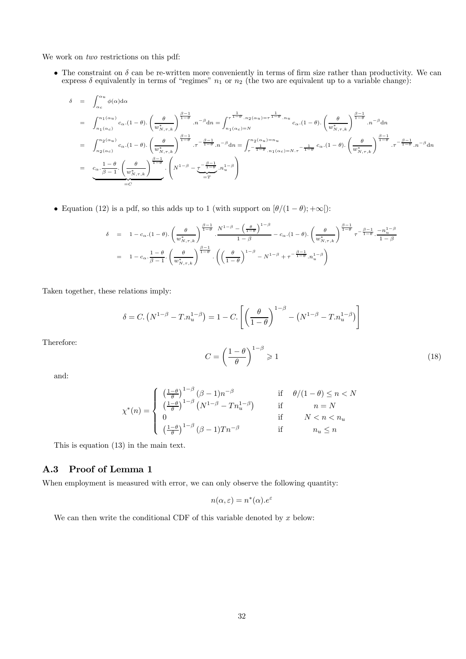We work on *two* restrictions on this pdf:

• The constraint on  $\delta$  can be re-written more conveniently in terms of firm size rather than productivity. We can express  $\delta$  equivalently in terms of "regimes"  $n_1$  or  $n_2$  (the two are equivalent up to a variable change):

$$
\delta = \int_{\alpha_c}^{\alpha_u} \phi(\alpha) d\alpha
$$
\n
$$
= \int_{n_1(\alpha_c)}^{n_1(\alpha_u)} c_{\alpha}.(1-\theta). \left(\frac{\theta}{w_{N,\tau,k}^*}\right)^{\frac{\beta-1}{1-\theta}} .n^{-\beta} dn = \int_{n_1(\alpha_c)=N}^{\tau^{\frac{1}{1-\theta}}.n_2(\alpha_u) = \tau^{\frac{1}{1-\theta}}.n_u} c_{\alpha}.(1-\theta). \left(\frac{\theta}{w_{N,\tau,k}^*}\right)^{\frac{\beta-1}{1-\theta}} .n^{-\beta} dn
$$
\n
$$
= \int_{n_2(\alpha_c)}^{n_2(\alpha_u)} c_{\alpha}.(1-\theta). \left(\frac{\theta}{w_{N,\tau,k}^*}\right)^{\frac{\beta-1}{1-\theta}} .\tau^{-\frac{\beta-1}{1-\theta}} .n^{-\beta} dn = \int_{\tau^{\frac{1}{1-\theta}}.n_1(\alpha_c)=N.\tau}^{n_2(\alpha_u)=n_u} c_{\alpha}.(1-\theta). \left(\frac{\theta}{w_{N,\tau,k}^*}\right)^{\frac{\beta-1}{1-\theta}} .\tau^{-\frac{\beta-1}{1-\theta}} .\tau^{-\frac{\beta-1}{1-\theta}} .\tau^{-\frac{\beta-1}{1-\theta}} .\tau^{-\frac{\beta-1}{1-\theta}} .\tau^{-\frac{\beta-1}{1-\theta}} .\tau^{-\frac{\beta-1}{1-\theta}} .\tau^{-\frac{\beta-1}{1-\theta}} .\tau^{-\frac{\beta-1}{1-\theta}} .\tau^{-\frac{\beta-1}{1-\theta}} .\tau^{-\frac{\beta-1}{1-\theta}} .\tau^{-\frac{\beta-1}{1-\theta}} .\tau^{-\frac{\beta-1}{1-\theta}} .\tau^{-\frac{\beta-1}{1-\theta}} .\tau^{-\frac{\beta-1}{1-\theta}} .\tau^{-\frac{\beta-1}{1-\theta}} .\tau^{-\frac{\beta-1}{1-\theta}} .\tau^{-\frac{\beta-1}{1-\theta}} .\tau^{-\frac{\beta-1}{1-\theta}} .\tau^{-\frac{\beta-1}{1-\theta}} .\tau^{-\frac{\beta-1}{1-\theta}} .\tau^{-\frac{\beta-1}{1-\theta}} .\tau^{-\frac{\beta-1}{1-\theta}} .\tau^{-\frac{\beta-1}{1-\theta}} .\tau^{-\frac{\beta-1}{1-\theta}} .\tau^{-\frac{\beta-1}{1-\theta}} .\tau^{-\frac{\beta-1}{1-\theta}} .\tau
$$

• Equation (12) is a pdf, so this adds up to 1 (with support on  $[\theta/(1 - \theta); +\infty])$ :

$$
\delta = 1 - c_{\alpha} \cdot (1 - \theta) \cdot \left(\frac{\theta}{w_{N,\tau,k}^*}\right)^{\frac{\beta-1}{1-\theta}} \cdot \frac{N^{1-\beta} - \left(\frac{\theta}{1-\theta}\right)^{1-\beta}}{1-\beta} - c_{\alpha} \cdot (1 - \theta) \cdot \left(\frac{\theta}{w_{N,\tau,k}^*}\right)^{\frac{\beta-1}{1-\theta}} \tau^{-\frac{\beta-1}{1-\theta}} \cdot \frac{-n_{u}^{1-\beta}}{1-\beta}
$$
\n
$$
= 1 - c_{\alpha} \cdot \frac{1-\theta}{\beta-1} \cdot \left(\frac{\theta}{w_{N,\tau,k}^*}\right)^{\frac{\beta-1}{1-\theta}} \cdot \left(\left(\frac{\theta}{1-\theta}\right)^{1-\beta} - N^{1-\beta} + \tau^{-\frac{\beta-1}{1-\theta}} \cdot n_{u}^{1-\beta}\right)
$$

Taken together, these relations imply:

$$
\delta = C. (N^{1-\beta} - T.n_u^{1-\beta}) = 1 - C. \left[ \left( \frac{\theta}{1-\theta} \right)^{1-\beta} - \left( N^{1-\beta} - T.n_u^{1-\beta} \right) \right]
$$

Therefore:

$$
C = \left(\frac{1-\theta}{\theta}\right)^{1-\beta} \geqslant 1\tag{18}
$$

and:

$$
\chi^*(n) = \begin{cases}\n\left(\frac{1-\theta}{\theta}\right)^{1-\beta} (\beta - 1)n^{-\beta} & \text{if } \theta/(1-\theta) \le n < N \\
\left(\frac{1-\theta}{\theta}\right)^{1-\beta} (N^{1-\beta} - Tn_u^{1-\beta}) & \text{if } n = N \\
0 & \text{if } N < n < n_u \\
\left(\frac{1-\theta}{\theta}\right)^{1-\beta} (\beta - 1)Tn^{-\beta} & \text{if } n_u \le n\n\end{cases}
$$

This is equation (13) in the main text.

### A.3 Proof of Lemma 1

When employment is measured with error, we can only observe the following quantity:

$$
n(\alpha, \varepsilon) = n^*(\alpha).e^{\varepsilon}
$$

We can then write the conditional CDF of this variable denoted by  $x$  below: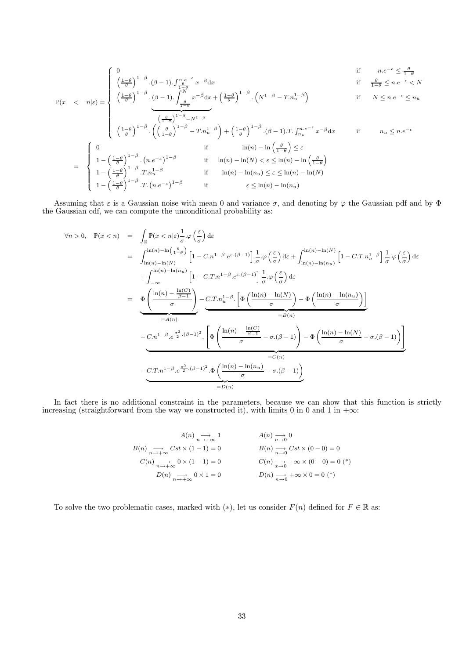$$
\begin{cases}\n0 & \text{if } n.e^{-\epsilon} \le \frac{\theta}{1-\theta} \\
\left(\frac{1-\theta}{\theta}\right)^{1-\beta} \cdot (\beta-1) \cdot \int_{1-\theta}^{n.e^{-\epsilon}} x^{-\beta} dx & \text{if } \frac{\theta}{1-\theta} \le n.e^{-\epsilon} \le N \\
\left(\frac{1-\theta}{\theta}\right)^{1-\beta} \cdot (\beta-1) \cdot \int_{-\theta}^{N} x^{-\beta} dx + \left(\frac{1-\theta}{\theta}\right)^{1-\beta} \cdot \left(N^{1-\beta} - T \cdot n_{u}^{1-\beta}\right) & \text{if } N \le n.e^{-\epsilon} \le n_{u}\n\end{cases}
$$

$$
\mathbb{P}(x < n|\varepsilon) = \begin{cases} \left(\frac{1-\theta}{\theta}\right)^{1-\beta} \cdot \left(\beta-1\right) \cdot \int_{\frac{\theta}{1-\theta}}^{\frac{\theta}{N}} x^{-\beta} dx + \left(\frac{1-\theta}{\theta}\right)^{1-\beta} \cdot \left(N^{1-\beta}-T \cdot n_u^{1-\beta}\right) & \text{if } N \leq n \cdot e^{-\epsilon} \leq n_u \end{cases}
$$

$$
\begin{pmatrix}\n\frac{\theta}{1-\theta} & \frac{\theta}{1-\beta} & \frac{\theta}{1-\beta} \\
\left(\frac{1-\theta}{\theta}\right)^{1-\beta} & \left(\left(\frac{\theta}{1-\theta}\right)^{1-\beta} - T\cdot n_u^{1-\beta}\right) + \left(\frac{1-\theta}{\theta}\right)^{1-\beta} \cdot (\beta-1) \cdot T \cdot \int_{n_u}^{n_e e^{-\epsilon}} x^{-\beta} dx & \text{if} \quad n_u \le n_e e^{-\epsilon} \\
1 - \left(\frac{1-\theta}{\theta}\right)^{1-\beta} \cdot (n_e e^{-\epsilon})^{1-\beta} & \text{if} \quad \ln(n) - \ln\left(\frac{\theta}{1-\theta}\right) \le \varepsilon \\
1 - \left(\frac{1-\theta}{\theta}\right)^{1-\beta} \cdot T \cdot n_u^{1-\beta} & \text{if} \quad \ln(n) - \ln(N) < \varepsilon \le \ln(n) - \ln\left(\frac{\theta}{1-\theta}\right) \\
1 - \left(\frac{1-\theta}{\theta}\right)^{1-\beta} \cdot T \cdot (n_e e^{-\epsilon})^{1-\beta} & \text{if} \quad \ln(n) - \ln(n_u) \le \varepsilon \le \ln(n) - \ln(N)\n\end{pmatrix}
$$

Assuming that  $\varepsilon$  is a Gaussian noise with mean 0 and variance  $\sigma$ , and denoting by  $\varphi$  the Gaussian pdf and by  $\Phi$ the Gaussian cdf, we can compute the unconditional probability as:

$$
\forall n > 0, \quad \mathbb{P}(x < n) = \int_{\mathbb{R}} \mathbb{P}(x < n|\varepsilon) \frac{1}{\sigma} \cdot \varphi\left(\frac{\varepsilon}{\sigma}\right) d\varepsilon
$$
\n
$$
= \int_{\ln(n) - \ln(N)}^{\ln(n) - \ln(N)} \left[1 - C \cdot n^{1-\beta} \cdot e^{\varepsilon \cdot (\beta - 1)}\right] \frac{1}{\sigma} \cdot \varphi\left(\frac{\varepsilon}{\sigma}\right) d\varepsilon + \int_{\ln(n) - \ln(n_u)}^{\ln(n) - \ln(N)} \left[1 - C \cdot T \cdot n_u^{1-\beta}\right] \frac{1}{\sigma} \cdot \varphi\left(\frac{\varepsilon}{\sigma}\right) d\varepsilon
$$
\n
$$
+ \int_{-\infty}^{\ln(n) - \ln(n_u)} \left[1 - C \cdot T \cdot n^{1-\beta} \cdot e^{\varepsilon \cdot (\beta - 1)}\right] \frac{1}{\sigma} \cdot \varphi\left(\frac{\varepsilon}{\sigma}\right) d\varepsilon
$$
\n
$$
= \underbrace{\Phi\left(\frac{\ln(n) - \frac{\ln(C)}{\beta - 1}}{\sigma}\right)}_{= A(n)} - \underbrace{C \cdot T \cdot n_u^{1-\beta} \cdot \left[\Phi\left(\frac{\ln(n) - \ln(N)}{\sigma}\right) - \Phi\left(\frac{\ln(n) - \ln(n_u)}{\sigma}\right)\right]}_{= B(n)}
$$
\n
$$
- \underbrace{C \cdot n^{1-\beta} \cdot e^{\frac{\sigma^2}{2} \cdot (\beta - 1)^2} \cdot \left[\Phi\left(\frac{\ln(n) - \frac{\ln(C)}{\beta - 1}}{\sigma} - \sigma \cdot (\beta - 1)\right) - \Phi\left(\frac{\ln(n) - \ln(N)}{\sigma} - \sigma \cdot (\beta - 1)\right)\right]}_{= C(n)}
$$
\n
$$
- \underbrace{C \cdot T \cdot n^{1-\beta} \cdot e^{\frac{\sigma^2}{2} \cdot (\beta - 1)^2} \cdot \Phi\left(\frac{\ln(n) - \ln(n_u)}{\sigma} - \sigma \cdot (\beta - 1)\right)}_{= D(n)}
$$

In fact there is no additional constraint in the parameters, because we can show that this function is strictly increasing (straightforward from the way we constructed it), with limits 0 in 0 and 1 in + $\infty$ :

$$
A(n) \underset{n \to +\infty}{\longrightarrow} 1 \qquad A(n) \underset{n \to 0}{\longrightarrow} 0
$$
  
\n
$$
B(n) \underset{n \to +\infty}{\longrightarrow} Cst \times (1-1) = 0 \qquad B(n) \underset{n \to 0}{\longrightarrow} Cst \times (0-0) = 0
$$
  
\n
$$
C(n) \underset{n \to +\infty}{\longrightarrow} 0 \times (1-1) = 0 \qquad C(n) \underset{n \to 0}{\longrightarrow} +\infty \times (0-0) = 0 (*)
$$
  
\n
$$
D(n) \underset{n \to +\infty}{\longrightarrow} 0 \times 1 = 0 \qquad D(n) \underset{n \to 0}{\longrightarrow} +\infty \times 0 = 0 (*)
$$

To solve the two problematic cases, marked with  $(*)$ , let us consider  $F(n)$  defined for  $F \in \mathbb{R}$  as: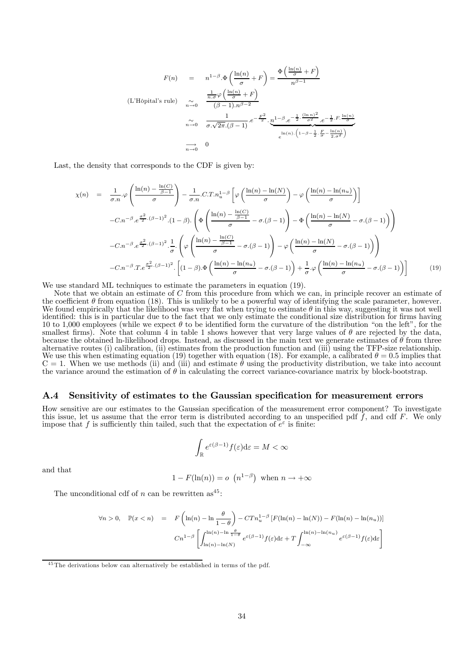$$
F(n) = n^{1-\beta} \cdot \Phi\left(\frac{\ln(n)}{\sigma} + F\right) = \frac{\Phi\left(\frac{\ln(n)}{\sigma} + F\right)}{n^{\beta - 1}}
$$
  
\n(L'Hôpital's rule) 
$$
\sum_{n \to 0}^{\infty} \frac{\frac{1}{n \cdot \sigma} \varphi\left(\frac{\ln(n)}{\sigma} + F\right)}{(\beta - 1) \cdot n^{\beta - 2}}
$$

$$
\sum_{n \to 0}^{\infty} \frac{1}{\sigma \cdot \sqrt{2\pi} \cdot (\beta - 1)} e^{-\frac{F^2}{2}} \cdot \frac{n^{1-\beta} \cdot e^{-\frac{1}{2} \cdot \frac{(\ln n)^2}{\sigma^2}}}{e^{\ln(n) \cdot \left(1 - \beta - \frac{1}{2} \cdot \frac{F}{\sigma} - \frac{\ln(n)}{2 \cdot \sigma^2}\right)}}
$$

$$
\sum_{n \to 0}^{\infty} 0
$$

Last, the density that corresponds to the CDF is given by:

$$
\chi(n) = \frac{1}{\sigma.n} \cdot \varphi \left( \frac{\ln(n) - \frac{\ln(C)}{\beta - 1}}{\sigma} \right) - \frac{1}{\sigma.n} \cdot C \cdot T \cdot n_u^{1-\beta} \left[ \varphi \left( \frac{\ln(n) - \ln(N)}{\sigma} \right) - \varphi \left( \frac{\ln(n) - \ln(n_u)}{\sigma} \right) \right]
$$
  

$$
-C \cdot n^{-\beta} \cdot e^{\frac{\sigma^2}{2} \cdot (\beta - 1)^2} \cdot (1 - \beta) \cdot \left( \Phi \left( \frac{\ln(n) - \frac{\ln(C)}{\beta - 1}}{\sigma} - \sigma \cdot (\beta - 1) \right) - \Phi \left( \frac{\ln(n) - \ln(N)}{\sigma} - \sigma \cdot (\beta - 1) \right) \right)
$$
  

$$
-C \cdot n^{-\beta} \cdot e^{\frac{\sigma^2}{2} \cdot (\beta - 1)^2} \cdot \frac{1}{\sigma} \cdot \left( \varphi \left( \frac{\ln(n) - \frac{\ln(C)}{\beta - 1}}{\sigma} - \sigma \cdot (\beta - 1) \right) - \varphi \left( \frac{\ln(n) - \ln(N)}{\sigma} - \sigma \cdot (\beta - 1) \right) \right)
$$
  

$$
-C \cdot n^{-\beta} \cdot T \cdot e^{\frac{\sigma^2}{2} \cdot (\beta - 1)^2} \cdot \left[ (1 - \beta) \cdot \Phi \left( \frac{\ln(n) - \ln(n_u)}{\sigma} - \sigma \cdot (\beta - 1) \right) + \frac{1}{\sigma} \cdot \varphi \left( \frac{\ln(n) - \ln(n_u)}{\sigma} - \sigma \cdot (\beta - 1) \right) \right] \tag{19}
$$

We use standard ML techniques to estimate the parameters in equation (19).

Note that we obtain an estimate of C from this procedure from which we can, in principle recover an estimate of the coefficient  $\theta$  from equation (18). This is unlikely to be a powerful way of identifying the scale parameter, however. We found empirically that the likelihood was very flat when trying to estimate  $\theta$  in this way, suggesting it was not well identified: this is in particular due to the fact that we only estimate the conditional size distribution for firms having 10 to 1,000 employees (while we expect  $\theta$  to be identified form the curvature of the distribution "on the left", for the smallest firms). Note that column 4 in table 1 shows however that very large values of  $\theta$  are rejected by the data, because the obtained ln-likelihood drops. Instead, as discussed in the main text we generate estimates of  $\theta$  from three alternative routes (i) calibration, (ii) estimates from the production function and (iii) using the We use this when estimating equation (19) together with equation (18). For example, a calibrated  $\theta = 0.5$  implies that  $C = 1$ . When we use methods (ii) and (iii) and estimate  $\theta$  using the productivity distribution, we take into account the variance around the estimation of  $\theta$  in calculating the correct variance-covariance matrix by block-bootstrap.

#### A.4 Sensitivity of estimates to the Gaussian specification for measurement errors

How sensitive are our estimates to the Gaussian specification of the measurement error component? To investigate this issue, let us assume that the error term is distributed according to an unspecified pdf  $\tilde{f}$ , and cdf  $F$ . We only impose that f is sufficiently thin tailed, such that the expectation of  $e^{\varepsilon}$  is finite:

$$
\int_{\mathbb{R}} e^{\varepsilon(\beta - 1)} f(\varepsilon) \mathrm{d}\varepsilon = M < \infty
$$

and that

$$
1 - F(\ln(n)) = o \left( n^{1-\beta} \right)
$$
 when  $n \to +\infty$ 

The unconditional cdf of  $n$  can be rewritten as<sup>45</sup>:

$$
\forall n > 0, \quad \mathbb{P}(x < n) = F\left(\ln(n) - \ln \frac{\theta}{1 - \theta}\right) - CTn_u^{1 - \beta} \left[F(\ln(n) - \ln(N)) - F(\ln(n) - \ln(n_u))\right]
$$
\n
$$
Cn^{1 - \beta} \left[\int_{\ln(n) - \ln(N)}^{\ln(n) - \ln \frac{\theta}{1 - \theta}} e^{\varepsilon(\beta - 1)} f(\varepsilon) d\varepsilon + T \int_{-\infty}^{\ln(n) - \ln(n_u)} e^{\varepsilon(\beta - 1)} f(\varepsilon) d\varepsilon\right]
$$

 $45$ The derivations below can alternatively be established in terms of the pdf.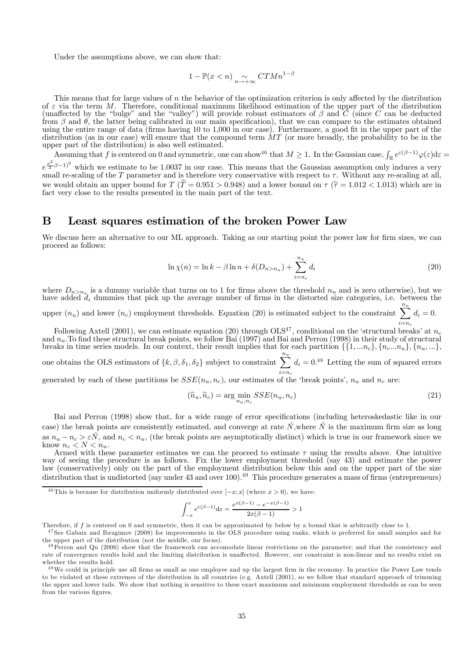Under the assumptions above, we can show that:

$$
1 - \mathbb{P}(x < n) \underset{n \to +\infty}{\sim} C T M n^{1-\beta}
$$

This means that for large values of  $n$  the behavior of the optimization criterion is only affected by the distribution of  $\varepsilon$  via the term M. Therefore, conditional maximum likelihood estimation of the upper part of the distribution (unaffected by the "bulge" and the "valley") will provide robust estimators of  $\beta$  and  $C$  (since  $C$  can be deducted from  $\beta$  and  $\theta$ , the latter being calibrated in our main specification), that we can compare to the estimates obtained<br>using the entire range of data (firms having 10 to 1,000 in our case). Furthermore, a good fit in t distribution (as in our case) will ensure that the compound term  $MT$  (or more broadly, the probability to be in the upper part of the distribution) is also well estimated.

Assuming that f is centered on 0 and symmetric, one can show<sup>46</sup> that  $M \ge 1$ . In the Gaussian case,  $\int_{\mathbb{R}} e^{\varepsilon(\beta-1)} \varphi(\varepsilon) d\varepsilon =$  $e^{\frac{\sigma^2}{2}\beta-1}$  which we estimate to be 1.0037 in our case. This means that the Gaussian assumption only induces a very small re-scaling of the  $T$  parameter and is therefore very conservative with respect to  $\tau$ . Without any re-scaling at all, we would obtain an upper bound for  $T(\hat{T} = 0.951 > 0.948)$  and a lower bound on  $\tau(\hat{T} = 1.012 < 1.013)$  which are in fact very close to the results presented in the main part of the text.

### B Least squares estimation of the broken Power Law

We discuss here an alternative to our ML approach. Taking as our starting point the power law for firm sizes, we can proceed as follows:

$$
\ln \chi(n) = \ln k - \beta \ln n + \delta(D_{n>n_u}) + \sum_{i=n_c}^{n_u} d_i
$$
 (20)

where  $D_{n>n_u}$  is a dummy variable that turns on to 1 for firms above the threshold  $n_u$  and is zero otherwise), but we have added  $d_i$  dummies that pick up the average number of firms in the distorted size categories, i.e. between the

upper  $(n_u)$  and lower  $(n_c)$  employment thresholds. Equation (20) is estimated subject to the constraint  $\sum_{i=1}^{n_u}$  $i = n_c$  $d_i = 0.$ 

Following Axtell (2001), we can estimate equation (20) through OLS<sup>47</sup>, conditional on the 'structural breaks' at  $n_c$ and  $n_u$ . To find these structural break points, we follow Bai (1997) and Bai and Perron (1998) in their study of structural breaks in time series models. In our context, their result implies that for each partition  $\{\{1, ..., n_c\}, \{n_c, ..., n_u\}, \{n_u, ...\}$ 

one obtains the OLS estimators of  $\{k, \beta, \delta_1, \delta_2\}$  subject to constraint  $\sum^{n_u}$  $i=n_c$  $d_i = 0.^{48}$  Letting the sum of squared errors

generated by each of these partitions be  $SSE(n_u, n_c)$ , our estimates of the 'break points',  $n_u$  and  $n_c$  are:

$$
(\hat{n}_u, \hat{n}_c) = \arg\min_{n_u, n_c} SSE(n_u, n_c)
$$
\n(21)

Bai and Perron (1998) show that, for a wide range of error specifications (including heteroskedastic like in our case) the break points are consistently estimated, and converge at rate  $\acute{N}$ , where  $\acute{N}$  is the maximum firm size as long as  $n_u - n_c > \varepsilon \acute{N}$ , and  $n_c < n_u$ , (the break points are asymptotically distinct) which is true in our framework since we know  $n_c < N < n_u$ .

know  $n_c < N < n_u$ .<br>Armed with these parameter estimates we can the proceed to estimate  $\tau$  using the results above. One intuitive way of seeing the procedure is as follows. Fix the lower employment threshold (say 43) and estimate the power law (conservatively) only on the part of the employment distribution below this and on the upper part of the size distribution that is undistorted (say under 43 and over 100).<sup>49</sup> This procedure generates a mass of firms (entrepreneurs)

$$
\int_{-x}^x e^{\varepsilon(\beta-1)} \mathrm{d} \varepsilon = \frac{e^{x(\beta-1)} - e^{-x(\beta-1)}}{2x(\beta-1)} > 1
$$

Therefore, if f is centered on 0 and symmetric, then it can be approximated by below by a bound that is arbitrarily close to 1.

<sup>47</sup> See Gabaix and Ibragimov (2008) for improvements in the OLS procedure using ranks, which is preferred for small samples and for the upper part of the distribution (not the middle, our focus).

<sup>&</sup>lt;sup>46</sup>This is because for distribution uniformly distributed over  $[-x; x]$  (where  $x > 0$ ), we have:

<sup>4 8</sup>Perron and Qu (2006) show that the framework can accomodate linear restrictions on the parameter; and that the consistency and rate of convergence results hold and the limiting distribution is unaffected. However, our constraint is non-linear and no results exist on whether the results hold.

 $49$ We could in principle use all firms as small as one employee and up the largest firm in the economy. In practice the Power Law tends to be violated at these extremes of the distribution in all countries (e.g. Axtell (2001), so we follow that standard approach of trimming the upper and lower tails. We show that nothing is sensitive to these exact maximum and minimum employment thresholds as can be seen from the various figures.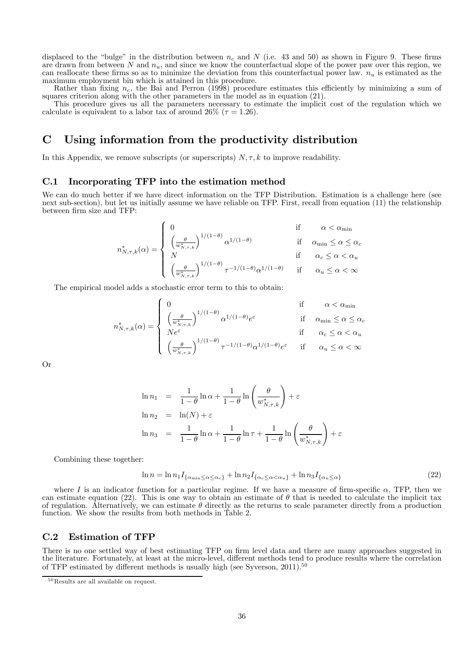displaced to the "bulge" in the distribution between  $n_c$  and  $N$  (i.e. 43 and 50) as shown in Figure 9. These firms are drawn from between N and  $n_u$ , and since we know the counterfactual slope of the power paw over this region, we can reallocate these firms so as to minimize the deviation from this counterfactual power law.  $n_u$  is estimated as the maximum employment bin which is attained in this procedure.

Rather than fixing  $n_c$ , the Bai and Perron (1998) procedure estimates this efficiently by minimizing a sum of squares criterion along with the other parameters in the model as in equation (21).

This procedure gives us all the parameters necessary to estimate the implicit cost of the regulation which we calculate is equivalent to a labor tax of around 26% ( $\tau = 1.26$ ).

### C Using information from the productivity distribution

In this Appendix, we remove subscripts (or superscripts)  $N, \tau, k$  to improve readability.

#### C.1 Incorporating TFP into the estimation method

We can do much better if we have direct information on the TFP Distribution. Estimation is a challenge here (see<br>next sub-section), but let us initially assume we have reliable on TFP. First, recall from equation (11) the between firm size and TFP:

$$
n^*_{N,\tau,k}(\alpha) = \begin{cases} 0 & \text{if} \qquad \alpha < \alpha_{\min} \\ \left(\frac{\theta}{w^*_{N,\tau,k}}\right)^{1/(1-\theta)} \alpha^{1/(1-\theta)} & \text{if} \quad \alpha_{\min} \leq \alpha \leq \alpha_c \\ N & \text{if} \quad \alpha_c \leq \alpha < \alpha_u \\ \left(\frac{\theta}{w^*_{N,\tau,k}}\right)^{1/(1-\theta)} \tau^{-1/(1-\theta)} \alpha^{1/(1-\theta)} & \text{if} \quad \alpha_u \leq \alpha < \infty \end{cases}
$$

The empirical model adds a stochastic error term to this to obtain:

$$
n_{N,\tau,k}^*(\alpha) = \left\{ \begin{array}{lll} 0 & \mbox{if} & \alpha < \alpha_{\rm min} \\ \left(\frac{\theta}{w_{N,\tau,k}^*}\right)^{1/(1-\theta)} \alpha^{1/(1-\theta)} e^{\varepsilon} & \mbox{if} & \alpha_{\rm min} \leq \alpha \leq \alpha_c \\ N e^{\varepsilon} & \mbox{if} & \alpha_c \leq \alpha < \alpha_u \\ \left(\frac{\theta}{w_{N,\tau,k}^*}\right)^{1/(1-\theta)} \tau^{-1/(1-\theta)} \alpha^{1/(1-\theta)} e^{\varepsilon} & \mbox{if} & \alpha_u \leq \alpha < \infty \end{array} \right.
$$

Or

$$
\ln n_1 = \frac{1}{1-\theta} \ln \alpha + \frac{1}{1-\theta} \ln \left( \frac{\theta}{w_{N,\tau,k}^*} \right) + \varepsilon
$$
  

$$
\ln n_2 = \ln(N) + \varepsilon
$$
  

$$
\ln n_3 = \frac{1}{1-\theta} \ln \alpha + \frac{1}{1-\theta} \ln \tau + \frac{1}{1-\theta} \ln \left( \frac{\theta}{w_{N,\tau,k}^*} \right) + \varepsilon
$$

Combining these together:

$$
\ln n = \ln n_1 I_{\{\alpha_{\min} \le \alpha \le \alpha_c\}} + \ln n_2 I_{\{\alpha_c \le \alpha < \alpha_u\}} + \ln n_3 I_{\{\alpha_u \le \alpha\}} \tag{22}
$$

where I is an indicator function for a particular regime. If we have a measure of firm-specific  $\alpha$ , TFP, then we can estimate equation (22). This is one way to obtain an estimate of  $\theta$  that is needed to calculate the implicit tax of regulation. Alternatively, we can estimate  $\theta$  directly as the returns to scale parameter directly from a production function. We show the results from both methods in Table 2.

#### C.2 Estimation of TFP

There is no one settled way of best estimating TFP on firm level data and there are many approaches suggested in the literature. Fortunately, at least at the micro-level, different methods tend to produce results where the correlation of TFP estimated by different methods is usually high (see Syverson,  $2011$ ).<sup>50</sup>

 $^{50}\mathrm{Results}$  are all available on request.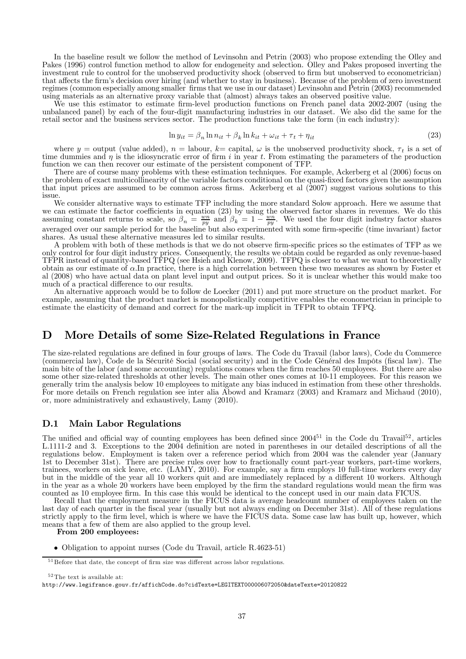In the baseline result we follow the method of Levinsohn and Petrin (2003) who propose extending the Olley and Pakes (1996) control function method to allow for endogeneity and selection. Olley and Pakes proposed inverting investment rule to control for the unobserved productivity shock (observed to firm but unobserved to econometrician) that affects the firm's decision over hiring (and whether to stay in business). Because of the problem of regimes (common especially among smaller firms that we use in our dataset) Levinsohn and Petrin (2003) recommended<br>using materials as an alternative proxy variable that (almost) always takes an observed positive value.

We use this estimator to estimate firm-level production functions on French panel data 2002-2007 (using the unbalanced panel) by each of the four-digit manufacturing industries in our dataset. We also did the same for the retail sector and the business services sector. The production functions take the form (in each industry):

$$
\ln y_{it} = \beta_n \ln n_{it} + \beta_k \ln k_{it} + \omega_{it} + \tau_t + \eta_{it}
$$
\n(23)

where  $y =$  output (value added),  $n =$  labour,  $k =$  capital,  $\omega$  is the unobserved productivity shock,  $\tau_t$  is a set of time dummies and  $\eta$  is the idiosyncratic error of firm i in year t. From estimating the parameters of the production function we can then recover our estimate of the persistent component of TFP.

There are of course many problems with these estimation techniques. For example, Ackerberg et al (2006) focus on the problem of exact multicollinearity of the variable factors conditional on the quasi-fixed factors given the assumption that input prices are assumed to be common across firms. Ackerberg et al (2007) suggest various solutions to this issue.

We consider alternative ways to estimate TFP including the more standard Solow approach. Here we assume that we can estimate the factor coefficients in equation (23) by using the observed factor shares in revenues. We do this assuming constant returns to scale, so  $\beta_n = \frac{wn}{py}$  and  $\beta_k = 1 - \frac{wn}{py}$ . We used the four digit industry factor shares averaged over our sample period for the baseline but also experimented with some firm-specific (time invariant) factor shares. As usual these alternative measures led to similar results.

A problem with both of these methods is that we do not observe firm-specific prices so the estimates of TFP as we only control for four digit industry prices. Consequently, the results we obtain could be regarded as only revenue-based TFPR instead of quantity-based TFPQ (see Hsieh and Klenow, 2009). TFPQ is closer to what we want to theoretically obtain as our estimate of  $\alpha$ . In practice, there is a high correlation between these two measures as shown by Foster et al (2008) who have actual data on plant level input and output prices. So it is unclear whether this would make too much of a practical difference to our results.

An alternative approach would be to follow de Loecker (2011) and put more structure on the product market. For example, assuming that the product market is monopolistically competitive enables the econometrician in principle to estimate the elasticity of demand and correct for the mark-up implicit in TFPR to obtain TFPQ.

### D More Details of some Size-Related Regulations in France

The size-related regulations are defined in four groups of laws. The Code du Travail (labor laws), Code du Commerce (commercial law), Code de la Sécurité Social (social security) and in the Code Général des Impôts (fiscal some other size-related thresholds at other levels. The main other ones comes at 10-11 employees. For this reason we generally trim the analysis below 10 employees to mitigate any bias induced in estimation from these other thresholds. For more details on French regulation see inter alia Abowd and Kramarz (2003) and Kramarz and Michaud (2010), or, more administratively and exhaustively, Lamy (2010).

#### D.1 Main Labor Regulations

The unified and official way of counting employees has been defined since  $2004^{51}$  in the Code du Travail<sup>52</sup>, articles L.1111-2 and 3. Exceptions to the 2004 definition are noted in parentheses in our detailed descriptions of all the regulations below. Employment is taken over a reference period which from 2004 was the calender year (January 1st to December 31st). There are precise rules over how to fractionally count part-year workers, part-time workers, trainees, workers on sick leave, etc. (LAMY, 2010). For example, say a firm employs 10 full-time workers every day but in the middle of the year all 10 workers quit and are immediately replaced by a different 10 workers. Although in the year as a whole 20 workers have been employed by the firm the standard regulations would mean the firm was counted as 10 employee firm. In this case this would be identical to the concept used in our main data FICUS.

Recall that the employment measure in the FICUS data is average headcount number of employees taken on the last day of each quarter in the fiscal year (usually but not always ending on December 31st). All of these regulations strictly apply to the firm level, which is where we have the FICUS data. Some case law has built up, however, which means that a few of them are also applied to the group level.

From 200 employees:

• Obligation to appoint nurses (Code du Travail, article R.4623-51)

 $^{52}\mathrm{The\ text}$  is available at:

 $51$  Before that date, the concept of firm size was different across labor regulations.

http://www.legifrance.gouv.fr/affichCode.do?cidTexte=LEGITEXT000006072050&dateTexte=20120822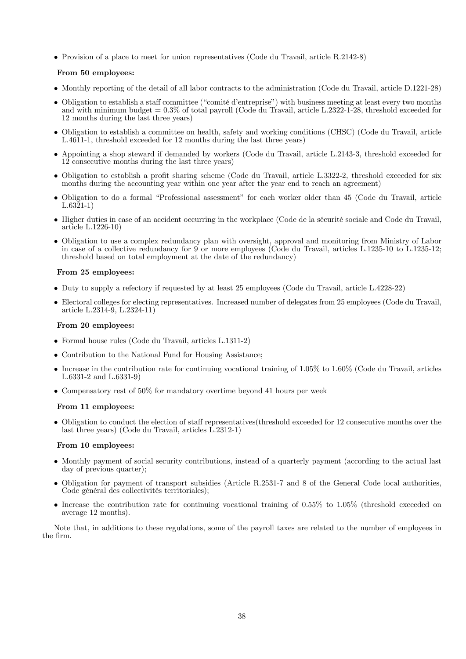• Provision of a place to meet for union representatives (Code du Travail, article R.2142-8)

#### From 50 employees:

- Monthly reporting of the detail of all labor contracts to the administration (Code du Travail, article D.1221-28)
- Obligation to establish a staff committee ("comité d'entreprise") with business meeting at least every two months and with minimum budget = 0.3% of total payroll (Code du Travail, article L.2322-1-28, threshold exceeded for 12 months during the last three years)
- Obligation to establish a committee on health, safety and working conditions (CHSC) (Code du Travail, article L.4611-1, threshold exceeded for 12 months during the last three years)
- Appointing a shop steward if demanded by workers (Code du Travail, article L.2143-3, threshold exceeded for 12 consecutive months during the last three years)
- Obligation to establish a profit sharing scheme (Code du Travail, article L.3322-2, threshold exceeded for six months during the accounting year within one year after the year end to reach an agreement)
- Obligation to do a formal "Professional assessment" for each worker older than 45 (Code du Travail, article L.6321-1)
- Higher duties in case of an accident occurring in the workplace (Code de la sécurité sociale and Code du Travail, article L.1226-10)
- Obligation to use a complex redundancy plan with oversight, approval and monitoring from Ministry of Labor in case of a collective redundancy for 9 or more employees (Code du Travail, articles L.1235-10 to L.1235-12; threshold based on total employment at the date of the redundancy)

#### From 25 employees:

- Duty to supply a refectory if requested by at least 25 employees (Code du Travail, article L.4228-22)
- Electoral colleges for electing representatives. Increased number of delegates from 25 employees (Code du Travail, article L.2314-9, L.2324-11)

#### From 20 employees:

- Formal house rules (Code du Travail, articles L.1311-2)
- Contribution to the National Fund for Housing Assistance;
- Increase in the contribution rate for continuing vocational training of  $1.05\%$  to  $1.60\%$  (Code du Travail, articles L.6331-2 and L.6331-9)
- Compensatory rest of 50% for mandatory overtime beyond 41 hours per week

#### From 11 employees:

• Obligation to conduct the election of staff representatives(threshold exceeded for 12 consecutive months over the last three years) (Code du Travail, articles L.2312-1)

#### From 10 employees:

- Monthly payment of social security contributions, instead of a quarterly payment (according to the actual last day of previous quarter);
- Obligation for payment of transport subsidies (Article R.2531-7 and 8 of the General Code local authorities, Code général des collectivités territoriales);
- Increase the contribution rate for continuing vocational training of 0.55% to 1.05% (threshold exceeded on average 12 months).

Note that, in additions to these regulations, some of the payroll taxes are related to the number of employees in the firm.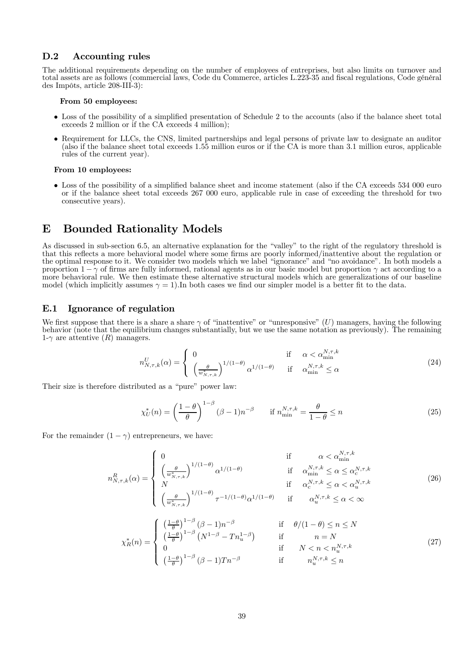#### D.2 Accounting rules

The additional requirements depending on the number of employees of entreprises, but also limits on turnover and total assets are as follows (commercial laws, Code du Commerce, articles L.223-35 and fiscal regulations, Code général des Impôts, article 208-III-3):

#### From 50 employees:

- Loss of the possibility of a simplified presentation of Schedule 2 to the accounts (also if the balance sheet total exceeds 2 million or if the CA exceeds 4 million);
- Requirement for LLCs, the CNS, limited partnerships and legal persons of private law to designate an auditor (also if the balance sheet total exceeds 1.55 million euros or if the CA is more than 3.1 million euros, applicable rules of the current year).

#### From 10 employees:

• Loss of the possibility of a simplified balance sheet and income statement (also if the CA exceeds 534 000 euro or if the balance sheet total exceeds 267 000 euro, applicable rule in case of exceeding the threshold for two consecutive years).

### E Bounded Rationality Models

As discussed in sub-section 6.5, an alternative explanation for the "valley" to the right of the regulatory threshold is that this reflects a more behavioral model where some firms are poorly informed/inattentive about the regulation or the optimal response to it. We consider two models which we label "ignorance" and "no avoidance". In both models a proportion  $1 - \gamma$  of firms are fully informed, rational agents as in our basic model but proportion  $\gamma$  act according to a more behavioral rule. We then estimate these alternative structural models which are generalizations of our baseline model (which implicitly assumes  $\gamma = 1$ ). In both cases we find our simpler model is a better fit to the data.

#### E.1 Ignorance of regulation

We first suppose that there is a share a share  $\gamma$  of "inattentive" or "unresponsive" (U) managers, having the following behavior (note that the equilibrium changes substantially, but we use the same notation as previous 1- $\gamma$  are attentive  $(R)$  managers.

$$
n_{N,\tau,k}^U(\alpha) = \begin{cases} 0 & \text{if } \alpha < \alpha_{\min}^{N,\tau,k} \\ \left(\frac{\theta}{w_{N,\tau,k}^*}\right)^{1/(1-\theta)} \alpha^{1/(1-\theta)} & \text{if } \alpha_{\min}^{N,\tau,k} \le \alpha \end{cases}
$$
(24)

Their size is therefore distributed as a "pure" power law:

$$
\chi_U^*(n) = \left(\frac{1-\theta}{\theta}\right)^{1-\beta} (\beta-1)n^{-\beta} \qquad \text{if } n_{\min}^{N,\tau,k} = \frac{\theta}{1-\theta} \le n \tag{25}
$$

For the remainder  $(1 - \gamma)$  entrepreneurs, we have:

$$
n_{N,\tau,k}^{R}(\alpha) = \begin{cases} 0 & \text{if } \alpha < \alpha_{\min}^{N,\tau,k} \\ \left(\frac{\theta}{w_{N,\tau,k}^{*}}\right)^{1/(1-\theta)} \alpha^{1/(1-\theta)} & \text{if } \alpha_{\min}^{N,\tau,k} \le \alpha \le \alpha_c^{N,\tau,k} \\ N & \text{if } \alpha_c^{N,\tau,k} \le \alpha < \alpha_u^{N,\tau,k} \\ \left(\frac{\theta}{w_{N,\tau,k}^{*}}\right)^{1/(1-\theta)} \tau^{-1/(1-\theta)} \alpha^{1/(1-\theta)} & \text{if } \alpha_u^{N,\tau,k} \le \alpha < \infty \end{cases}
$$
(26)

$$
\chi_R^*(n) = \begin{cases}\n\left(\frac{1-\theta}{\theta}\right)^{1-\beta} (\beta - 1)n^{-\beta} & \text{if } \theta/(1-\theta) \le n \le N \\
\left(\frac{1-\theta}{\theta}\right)^{1-\beta} (N^{1-\beta} - Tn_u^{1-\beta}) & \text{if } n = N \\
0 & \text{if } N < n < n_u^{N,\tau,k} \\
\left(\frac{1-\theta}{\theta}\right)^{1-\beta} (\beta - 1)Tn^{-\beta} & \text{if } n_u^{N,\tau,k} \le n\n\end{cases}
$$
\n(27)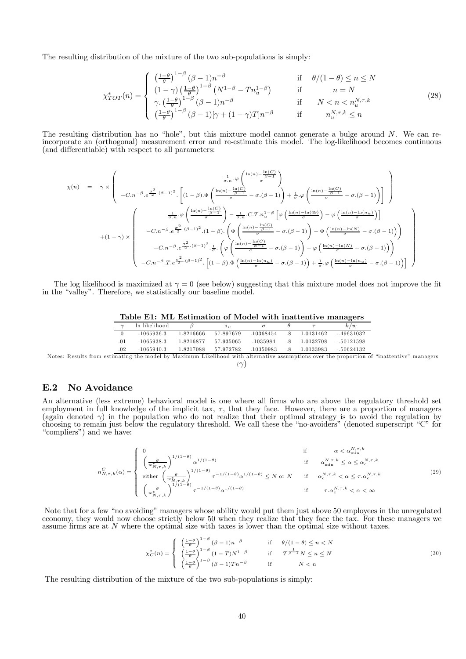The resulting distribution of the mixture of the two sub-populations is simply:

$$
\chi_{TOT}^{*}(n) = \begin{cases}\n\left(\frac{1-\theta}{\theta}\right)^{1-\beta} (\beta - 1)n^{-\beta} & \text{if } \theta/(1-\theta) \le n \le N \\
(1-\gamma)\left(\frac{1-\theta}{\theta}\right)^{1-\beta} (N^{1-\beta} - Tn_{u}^{1-\beta}) & \text{if } n = N \\
\gamma.\left(\frac{1-\theta}{\theta}\right)^{1-\beta} (\beta - 1)n^{-\beta} & \text{if } N < n < n_{u}^{N,\tau,k} \\
\left(\frac{1-\theta}{\theta}\right)^{1-\beta} (\beta - 1)[\gamma + (1-\gamma)T]n^{-\beta} & \text{if } n_{u}^{N,\tau,k} \le n\n\end{cases}
$$
\n(28)

The resulting distribution has no "hole", but this mixture model cannot generate a bulge around  $N$ . We can reincorporate an (orthogonal) measurement error and re-estimate this model. The log-likelihood becomes continuous (and differentiable) with respect to all parameters:

$$
\chi(n) = \gamma \times \left( \begin{array}{cc} \frac{1}{\sigma.n} \cdot \varphi \left( \frac{\ln(n) - \frac{\ln(C)}{\beta - 1}}{\sigma} \right) \\ -C.n^{-\beta} \cdot e^{\frac{\sigma^2}{2} \cdot (\beta - 1)^2} \cdot \left[ (1 - \beta) \cdot \Phi \left( \frac{\ln(n) - \frac{\ln(C)}{\beta - 1}}{\sigma} - \sigma \cdot (\beta - 1) \right) + \frac{1}{\sigma} \cdot \varphi \left( \frac{\ln(n) - \frac{\ln(C)}{\beta - 1}}{\sigma} - \sigma \cdot (\beta - 1) \right) \right] \end{array} \right)
$$
  
+ 
$$
(1 - \gamma) \times \left( \begin{array}{cc} \frac{1}{\sigma.n} \cdot \varphi \left( \frac{\ln(n) - \frac{\ln(C)}{\beta - 1}}{\sigma} \right) - \frac{1}{\sigma.n} \cdot C.T.n_{u}^{1-\beta} \left[ \varphi \left( \frac{\ln(n) - \ln(49)}{\sigma} \right) - \varphi \left( \frac{\ln(n) - \ln(n_{u})}{\sigma} \right) \right] \\ -C.n^{-\beta} \cdot e^{\frac{\sigma^2}{2} \cdot (\beta - 1)^2} \cdot (1 - \beta) \cdot \left( \Phi \left( \frac{\ln(n) - \frac{\ln(C)}{\beta - 1}}{\sigma} - \sigma \cdot (\beta - 1) \right) - \Phi \left( \frac{\ln(n) - \ln(N)}{\sigma} - \sigma \cdot (\beta - 1) \right) \right) \\ -C.n^{-\beta} \cdot e^{\frac{\sigma^2}{2} \cdot (\beta - 1)^2} \cdot \frac{1}{\sigma} \cdot \left( \varphi \left( \frac{\ln(n) - \frac{\ln(C)}{\beta - 1}}{\sigma} - \sigma \cdot (\beta - 1) \right) - \varphi \left( \frac{\ln(n) - \ln(N)}{\sigma} - \sigma \cdot (\beta - 1) \right) \right) \\ -C.n^{-\beta} \cdot r \cdot e^{\frac{\sigma^2}{2} \cdot (\beta - 1)^2} \cdot \left[ (1 - \beta) \cdot \Phi \left( \frac{\ln(n) - \frac{\ln(n_{u})}{\beta - 1}}{\sigma} - \sigma \cdot (\beta - 1) \right) + \frac{1}{\sigma} \cdot \varphi \left( \frac{\ln(n) - \ln(n_{u})}{\sigma} - \sigma \cdot (\beta - 1) \right) \right] \end{array} \right)
$$

The log likelihood is maximized at  $\gamma = 0$  (see below) suggesting that this mixture model does not improve the fit in the "valley". Therefore, we statistically our baseline model.

|  |  | Table E1: ML Estimation of Model with inattentive managers |  |  |  |  |  |
|--|--|------------------------------------------------------------|--|--|--|--|--|
|--|--|------------------------------------------------------------|--|--|--|--|--|

|                                                     |               |           |           |           |    |           | . .                                                                                                                                                                                                                                         |
|-----------------------------------------------------|---------------|-----------|-----------|-----------|----|-----------|---------------------------------------------------------------------------------------------------------------------------------------------------------------------------------------------------------------------------------------------|
|                                                     | ln likelihood |           | $n_u$     |           |    |           | k/w                                                                                                                                                                                                                                         |
|                                                     | $-1065936.3$  | 1.8216666 | 57.897679 | .10368454 | .8 | 1.0131462 | $-49631032$                                                                                                                                                                                                                                 |
| .01                                                 | $-1065938.3$  | 1.8216877 | 57.935065 | .1035984  | .× | 1.0132708 | $-.50121598$                                                                                                                                                                                                                                |
| .02                                                 | $-1065940.3$  | 1.8217088 | 57.972782 | .10350983 | .8 | 1.0133983 | $-50624132$                                                                                                                                                                                                                                 |
| $\mathcal{C}$ . The set of the set of $\mathcal{C}$ | .             |           |           |           |    |           | $\mathcal{M}$ , and the state $\mathcal{M}$ , and the state of the state $\mathcal{M}$ , and the state of the state of the state of the state of the state of the state of the state of the state of the state of the state of the state of |

Notes: Results from estimating the model by Maximum Likelihood with alternative assumptions over the proportion of "inattentive" managers  $(\gamma)$ 

### E.2 No Avoidance

An alternative (less extreme) behavioral model is one where all firms who are above the regulatory threshold set employment in full knowledge of the implicit tax,  $\tau$ , that they face. However, there are a proportion of managers (again denoted  $\gamma$ ) in the population who do not realize that their optimal strategy is to avoid the regulation by choosing to remain just below the regulatory threshold. We call these the "no-avoiders" (denoted superscript "C" for "compliers") and we have:

$$
n_{N,\tau,k}^{C}(\alpha) = \begin{cases}\n0 & \text{if } \alpha < \alpha_{\min}^{N,\tau,k} \\
\left(\frac{\theta}{w_{N,\tau,k}^*}\right)^{1/(1-\theta)} \alpha^{1/(1-\theta)} & \text{if } \alpha_{\min}^{N,\tau,k} \le \alpha \le \alpha_c^{N,\tau,k} \\
\text{either } \left(\frac{\theta}{w_{N,\tau,k}^*}\right)^{1/(1-\theta)} \tau^{-1/(1-\theta)} \alpha^{1/(1-\theta)} \le N \text{ or } N & \text{if } \alpha_c^{N,\tau,k} < \alpha \le \tau, \alpha_c^{N,\tau,k} \\
\left(\frac{\theta}{w_{N,\tau,k}^*}\right)^{1/(1-\theta)} \tau^{-1/(1-\theta)} \alpha^{1/(1-\theta)} & \text{if } \tau, \alpha_c^{N,\tau,k} < \alpha < \infty\n\end{cases}
$$
\n(29)

Note that for a few "no avoiding" managers whose ability would put them just above 50 employees in the unregulated economy, they would now choose strictly below 50 when they realize that they face the tax. For these managers we assume firms are at  $N$  where the optimal size with taxes is lower than the optimal size without taxes.

$$
\chi_C^*(n) = \begin{cases}\n\left(\frac{1-\theta}{\theta}\right)^{1-\beta} (\beta-1)n^{-\beta} & \text{if } \theta/(1-\theta) \le n < N \\
\left(\frac{1-\theta}{\theta}\right)^{1-\beta} (1-T)N^{1-\beta} & \text{if } T^{\frac{1}{\beta-1}}N \le n \le N \\
\left(\frac{1-\theta}{\theta}\right)^{1-\beta} (\beta-1)Tn^{-\beta} & \text{if } N < n\n\end{cases}
$$
\n(30)

The resulting distribution of the mixture of the two sub-populations is simply: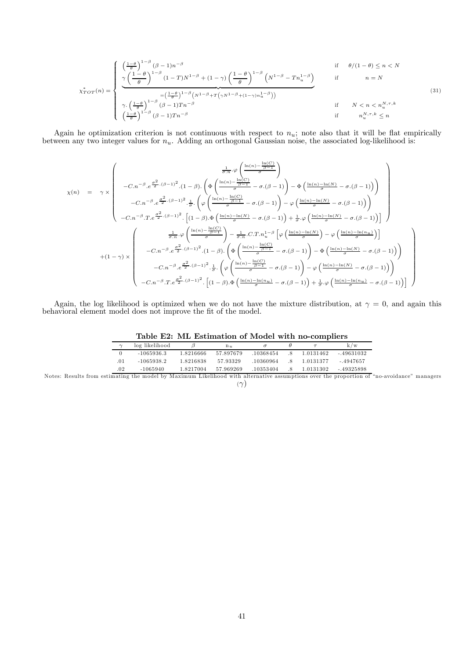$$
\chi^*_{TOT}(n) = \begin{cases}\n\frac{\left(\frac{1-\theta}{\theta}\right)^{1-\beta} (\beta-1)n^{-\beta}}{\gamma \left(\frac{1-\theta}{\theta}\right)^{1-\beta} (1-T)N^{1-\beta} + (1-\gamma) \left(\frac{1-\theta}{\theta}\right)^{1-\beta} \left(N^{1-\beta}-Tn_u^{1-\beta}\right)} & \text{if } n=N \\
\frac{\left(\frac{1-\theta}{\theta}\right)^{1-\beta} (1-T)N^{1-\beta} + (1-\gamma) \left(\frac{1-\theta}{\theta}\right)^{1-\beta} \left(N^{1-\beta}-Tn_u^{1-\beta}\right)}{\gamma \left(\frac{1-\theta}{\theta}\right)^{1-\beta} (\beta-1)Tn^{-\beta}} & \text{if } N < n < n_u^{N,\tau,k} \\
\left(\frac{1-\theta}{\theta}\right)^{1-\beta} (\beta-1)Tn^{-\beta} & \text{if } n_u^{N,\tau,k} \le n\n\end{cases}
$$
\n(31)

Again he optimization criterion is not continuous with respect to  $n_u$ ; note also that it will be flat empirically between any two integer values for  $n_u$ . Adding an orthogonal Gaussian noise, the associated log-likelihood is:

$$
\chi(n) = \gamma \times \begin{pmatrix}\n\frac{1}{\sigma.n} \cdot \varphi \left( \frac{\ln(n) - \frac{\ln(C)}{\beta - 1}}{\sigma} \right) \\
-C.n^{-\beta} \cdot e^{\frac{\sigma^2}{2} \cdot (\beta - 1)^2} \cdot (1 - \beta) \cdot \left( \Phi \left( \frac{\ln(n) - \frac{\ln(C)}{\beta - 1}}{\sigma} - \sigma \cdot (\beta - 1) \right) - \Phi \left( \frac{\ln(n) - \ln(N)}{\sigma} - \sigma \cdot (\beta - 1) \right) \right) \\
-C.n^{-\beta} \cdot e^{\frac{\sigma^2}{2} \cdot (\beta - 1)^2} \cdot \frac{1}{\sigma} \cdot \left( \varphi \left( \frac{\ln(n) - \frac{\ln(C)}{\beta - 1}}{\sigma} - \sigma \cdot (\beta - 1) \right) - \varphi \left( \frac{\ln(n) - \ln(N)}{\sigma} - \sigma \cdot (\beta - 1) \right) \right)\n\end{pmatrix}
$$
\n
$$
+ (1 - \gamma) \times \begin{pmatrix}\n\frac{1}{\sigma.n} \cdot \varphi \left( \frac{\ln(n) - \ln(N)}{\sigma} - \sigma \cdot (\beta - 1) \right) + \frac{1}{\sigma} \cdot \varphi \left( \frac{\ln(n) - \ln(N)}{\sigma} - \sigma \cdot (\beta - 1) \right)\n\end{pmatrix}
$$
\n
$$
+ (1 - \gamma) \times \begin{pmatrix}\n\frac{1}{\sigma.n} \cdot \varphi \left( \frac{\ln(n) - \frac{\ln(C)}{\sigma}}{\sigma} \right) - \frac{1}{\sigma.n} \cdot C \cdot T \cdot n_{u}^{1 - \beta} \left[ \varphi \left( \frac{\ln(n) - \ln(N)}{\sigma} \right) - \varphi \left( \frac{\ln(n) - \ln(n_{u})}{\sigma} \right) \right]\n\end{pmatrix}
$$
\n
$$
- C \cdot n^{-\beta} \cdot e^{\frac{\sigma^2}{2} \cdot (\beta - 1)^2} \cdot (1 - \beta) \cdot \left( \Phi \left( \frac{\ln(n) - \frac{\ln(C)}{\beta - 1}}{\sigma} - \sigma \cdot (\beta - 1) \right) - \Phi \left( \frac{\ln(n) - \ln(N)}{\sigma} - \sigma \cdot (\beta - 1) \right) \right)
$$
\n
$$
- C \cdot n^{-\beta} \cdot e^{\frac{\sigma^2}{2} \cdot (\beta - 1)^2
$$

Again, the log likelihood is optimized when we do not have the mixture distribution, at  $\gamma = 0$ , and again this behavioral element model does not improve the fit of the model.

|        | Lable E2: ML Estimation of Model with no-compliers |           |           |           |     |           |             |
|--------|----------------------------------------------------|-----------|-----------|-----------|-----|-----------|-------------|
| $\sim$ | log likelihood                                     |           | $n_u$     |           |     |           | k/w         |
|        | $-1065936.3$                                       | 1.8216666 | 57.897679 | .10368454 | -8  | 1.0131462 | $-49631032$ |
| .01    | $-1065938.2$                                       | 1.8216838 | 57.93329  | .10360964 | -8  | 1.0131377 | $-.4947657$ |
| .02    | -1065940                                           | 1.8217004 | 57.969269 | .10353404 | - 8 | 1.0131302 | $-49325898$ |

Table E2: ML Estimation of Model with no-compliers

Notes: Results from estimating the model by Maximum Likelihood with alternative assumptions over the proportion of "no-avoidance" managers  $(\gamma)$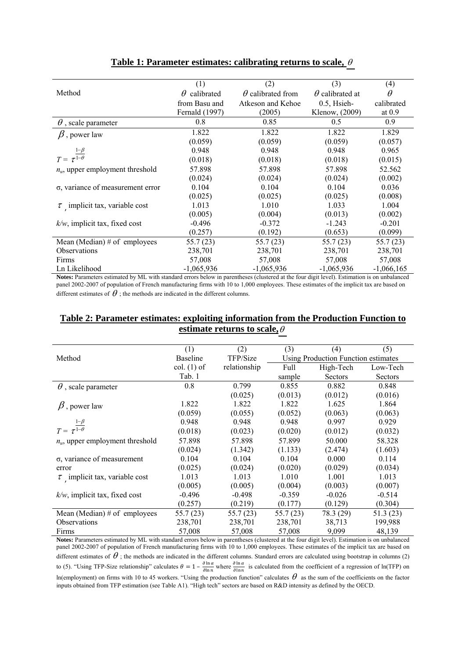|                                        | (1)                    | (2)                      | (3)                    | (4)          |
|----------------------------------------|------------------------|--------------------------|------------------------|--------------|
| Method                                 | calibrated<br>$\theta$ | $\theta$ calibrated from | $\theta$ calibrated at | $\theta$     |
|                                        | from Basu and          | Atkeson and Kehoe        | $0.5$ , Hsieh-         | calibrated   |
|                                        | Fernald (1997)         | (2005)                   | Klenow, (2009)         | at $0.9$     |
| $\theta$ , scale parameter             | 0.8                    | 0.85                     | 0.5                    | 0.9          |
| $\beta$ , power law                    | 1.822                  | 1.822                    | 1.822                  | 1.829        |
|                                        | (0.059)                | (0.059)                  | (0.059)                | (0.057)      |
| $T = \tau^{\frac{1-\beta}{1-\theta}}$  | 0.948                  | 0.948                    | 0.948                  | 0.965        |
|                                        | (0.018)                | (0.018)                  | (0.018)                | (0.015)      |
| $n_{\mu}$ , upper employment threshold | 57.898                 | 57.898                   | 57.898                 | 52.562       |
|                                        | (0.024)                | (0.024)                  | (0.024)                | (0.002)      |
| σ, variance of measurement error       | 0.104                  | 0.104                    | 0.104                  | 0.036        |
|                                        | (0.025)                | (0.025)                  | (0.025)                | (0.008)      |
| $\tau$ implicit tax, variable cost     | 1.013                  | 1.010                    | 1.033                  | 1.004        |
|                                        | (0.005)                | (0.004)                  | (0.013)                | (0.002)      |
| $k/w$ , implicit tax, fixed cost       | $-0.496$               | $-0.372$                 | $-1.243$               | $-0.201$     |
|                                        | (0.257)                | (0.192)                  | (0.653)                | (0.099)      |
| Mean (Median) $#$ of employees         | 55.7 (23)              | 55.7(23)                 | 55.7(23)               | 55.7(23)     |
| <b>Observations</b>                    | 238,701                | 238,701                  | 238,701                | 238,701      |
| Firms                                  | 57,008                 | 57,008                   | 57,008                 | 57,008       |
| Ln Likelihood                          | $-1,065,936$           | $-1,065,936$             | $-1,065,936$           | $-1,066,165$ |

**Table 1: Parameter estimates: calibrating returns to scale,** 

**Notes:** Parameters estimated by ML with standard errors below in parentheses (clustered at the four digit level). Estimation is on unbalanced panel 2002-2007 of population of French manufacturing firms with 10 to 1,000 employees. These estimates of the implicit tax are based on different estimates of  $\theta$ ; the methods are indicated in the different columns.

### **Table 2: Parameter estimates: exploiting information from the Production Function to estimate returns to scale,**

| (1)             | (2)          | (3)      | (4)       | (5)                                 |
|-----------------|--------------|----------|-----------|-------------------------------------|
| <b>Baseline</b> | TFP/Size     |          |           |                                     |
| col. (1) of     | relationship | Full     | High-Tech | Low-Tech                            |
| Tab. 1          |              | sample   | Sectors   | Sectors                             |
| 0.8             | 0.799        | 0.855    | 0.882     | 0.848                               |
|                 | (0.025)      | (0.013)  | (0.012)   | (0.016)                             |
| 1.822           | 1.822        | 1.822    | 1.625     | 1.864                               |
| (0.059)         | (0.055)      | (0.052)  | (0.063)   | (0.063)                             |
| 0.948           | 0.948        | 0.948    | 0.997     | 0.929                               |
| (0.018)         | (0.023)      | (0.020)  | (0.012)   | (0.032)                             |
| 57.898          | 57.898       | 57.899   | 50.000    | 58.328                              |
| (0.024)         | (1.342)      | (1.133)  | (2.474)   | (1.603)                             |
| 0.104           | 0.104        | 0.104    | 0.000     | 0.114                               |
| (0.025)         | (0.024)      | (0.020)  | (0.029)   | (0.034)                             |
| 1.013           | 1.013        | 1.010    | 1.001     | 1.013                               |
| (0.005)         | (0.005)      | (0.004)  | (0.003)   | (0.007)                             |
| $-0.496$        | $-0.498$     | $-0.359$ | $-0.026$  | $-0.514$                            |
| (0.257)         | (0.219)      | (0.177)  | (0.129)   | (0.304)                             |
| 55.7(23)        | 55.7(23)     | 55.7(23) | 78.3 (29) | 51.3 (23)                           |
| 238,701         | 238,701      | 238,701  | 38,713    | 199,988                             |
| 57,008          | 57,008       | 57,008   | 9,099     | 48,139                              |
|                 |              |          |           | Using Production Function estimates |

**Notes:** Parameters estimated by ML with standard errors below in parentheses (clustered at the four digit level). Estimation is on unbalanced panel 2002-2007 of population of French manufacturing firms with 10 to 1,000 employees. These estimates of the implicit tax are based on different estimates of  $\theta$ ; the methods are indicated in the different columns. Standard errors are calculated using bootstrap in columns (2) to (5). "Using TFP-Size relationship" calculates  $\theta = 1 - \frac{\partial \ln \alpha}{\partial \ln n}$  where  $\frac{\partial \ln \alpha}{\partial \ln n}$  is calculated from the coefficient of a regression of ln(TFP) on ln(employment) on firms with 10 to 45 workers. "Using the production function" calculates  $\theta$  as the sum of the coefficients on the factor inputs obtained from TFP estimation (see Table A1). "High tech" sectors are based on R&D intensity as defined by the OECD.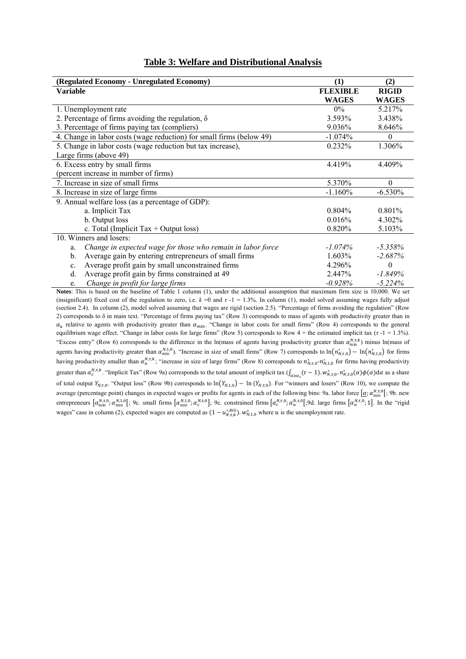#### **Table 3: Welfare and Distributional Analysis**

| (Regulated Economy - Unregulated Economy)                            | $\bf(1)$        | (2)          |
|----------------------------------------------------------------------|-----------------|--------------|
| <b>Variable</b>                                                      | <b>FLEXIBLE</b> | <b>RIGID</b> |
|                                                                      | <b>WAGES</b>    | <b>WAGES</b> |
| 1. Unemployment rate                                                 | $0\%$           | 5.217%       |
| 2. Percentage of firms avoiding the regulation, $\delta$             | 3.593%          | 3.438%       |
| 3. Percentage of firms paying tax (compliers)                        | 9.036%          | 8.646%       |
| 4. Change in labor costs (wage reduction) for small firms (below 49) | $-1.074%$       | 0            |
| 5. Change in labor costs (wage reduction but tax increase),          | $0.232\%$       | 1.306%       |
| Large firms (above 49)                                               |                 |              |
| 6. Excess entry by small firms                                       | 4.419%          | 4.409%       |
| (percent increase in number of firms)                                |                 |              |
| 7. Increase in size of small firms                                   | 5.370%          | $\theta$     |
| 8. Increase in size of large firms                                   | $-1.160%$       | $-6.530%$    |
| 9. Annual welfare loss (as a percentage of GDP):                     |                 |              |
| a. Implicit Tax                                                      | 0.804%          | $0.801\%$    |
| b. Output loss                                                       | $0.016\%$       | 4.302%       |
| c. Total (Implicit Tax $+$ Output loss)                              | 0.820%          | 5.103%       |
| 10. Winners and losers:                                              |                 |              |
| Change in expected wage for those who remain in labor force<br>a.    | $-1.074\%$      | $-5.358\%$   |
| Average gain by entering entrepreneurs of small firms<br>b.          | $1.603\%$       | $-2.687\%$   |
| Average profit gain by small unconstrained firms<br>c.               | 4.296%          | $\Omega$     |
| Average profit gain by firms constrained at 49<br>d.                 | 2.447%          | $-1.849%$    |
| Change in profit for large firms<br>e.                               | $-0.928%$       | $-5.224%$    |

**Notes**: This is based on the baseline of Table 1 column (1), under the additional assumption that maximum firm size is 10,000. We set (insignificant) fixed cost of the regulation to zero, i.e.  $k = 0$  and  $\tau - 1 = 1.3\%$ . In column (1), model solved assuming wages fully adjust (section 2.4). In column (2), model solved assuming that wages are rigid (section 2.5). "Percentage of firms avoiding the regulation" (Row 2) corresponds to δ in main text. "Percentage of firms paying tax" (Row 3) corresponds to mass of agents with productivity greater than in  $\alpha_u$  relative to agents with productivity greater than  $\alpha_{min}$ . "Change in labor costs for small firms" (Row 4) corresponds to the general equilibrium wage effect. "Change in labor costs for large firms" (Row 5) corresponds to Row 4 + the estimated implicit tax (*τ* -1 = 1.3%). "Excess entry" (Row 6) corresponds to the difference in the ln(mass of agents having productivity greater than  $\alpha_{\min}^{N,\tau,k}$ ) minus ln(mass of agents having productivity greater than  $\alpha_{\min}^{N,1,0}$ . "Increase in size of small firms" (Row 7) corresponds to  $\ln(n_{N,T,0}^*) - \ln(n_{N,1,0}^*)$  for firms having productivity smaller than  $\alpha_u^{N,\tau,k}$ ; "increase in size of large firms" (Row 8) corresponds to  $n_{N,\tau,0}^*$ - $n_{N,1,0}^*$  for firms having productivity greater than  $\alpha_c^{N,\tau,k}$ . "Implicit Tax" (Row 9a) corresponds to the total amount of implicit tax  $\int_{\alpha \ge \alpha_c} (\tau - 1) w_{N,\tau,0}^* \cdot n_{N,\tau,0}^*(\alpha) \phi(\alpha) d\alpha$  as a share of total output  $Y_{N,t,0}$ . "Output loss" (Row 9b) corresponds to  $\ln(Y_{N,t,0}) - \ln(Y_{N,t,0})$ . For "winners and losers" (Row 10), we compute the average (percentage point) changes in expected wages or profits for agents in each of the following bins: 9a. labor force  $[\alpha; \alpha_{\min}^{N,\tau,0}]$ ; 9b. new entrepreneurs  $[\alpha_{\min}^{N,\tau,0}, \alpha_{\min}^{N,1,0}]$ ; 9c. small firms  $[\alpha_{\min}^{N,\tau,0}, \alpha_{c}^{N,\tau,0}]$ ; 9c. constrained firms  $[\alpha_{c}^{N,\tau,0}, \alpha_{u}^{N,\tau,0}]$ . large firms  $[\alpha_{u}^{N,\tau,0}, 1]$ . In the "rigid" wages" case in column (2), expected wages are computed as  $(1 - u_{N,\tau,k}^{*,HG})$ .  $w_{N,1,0}^*$  where u is the unemployment rate.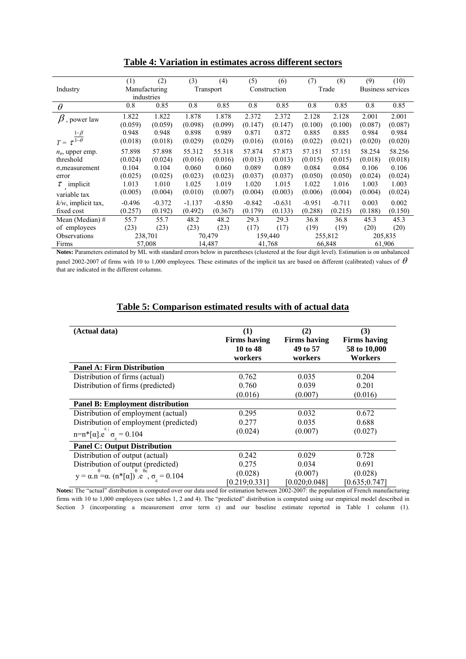|                                       | (1)      | (2)                         | (3)      | (4)       | (5)      | (6)          | (7)      | (8)                          | (9)     | (10)                     |
|---------------------------------------|----------|-----------------------------|----------|-----------|----------|--------------|----------|------------------------------|---------|--------------------------|
| Industry                              |          | Manufacturing               |          | Transport |          | Construction |          | Trade                        |         | <b>Business services</b> |
|                                       |          | industries                  |          |           |          |              |          |                              |         |                          |
| $\theta$                              | 0.8      | 0.85                        | 0.8      | 0.85      | 0.8      | 0.85         | 0.8      | 0.85                         | 0.8     | 0.85                     |
| $\beta$ , power law                   | 1.822    | 1.822                       | 1.878    | 1.878     | 2.372    | 2.372        | 2.128    | 2.128                        | 2.001   | 2.001                    |
|                                       | (0.059)  | (0.059)                     | (0.098)  | (0.099)   | (0.147)  | (0.147)      | (0.100)  | (0.100)                      | (0.087) | (0.087)                  |
|                                       | 0.948    | 0.948                       | 0.898    | 0.989     | 0.871    | 0.872        | 0.885    | 0.885                        | 0.984   | 0.984                    |
| $T = \tau^{\frac{1-\beta}{1-\theta}}$ | (0.018)  | (0.018)                     | (0.029)  | (0.029)   | (0.016)  | (0.016)      | (0.022)  | (0.021)                      | (0.020) | (0.020)                  |
| $n_u$ , upper emp.                    | 57.898   | 57.898                      | 55.312   | 55.318    | 57.874   | 57.873       | 57.151   | 57.151                       | 58.254  | 58.256                   |
| threshold                             | (0.024)  | (0.024)                     | (0.016)  | (0.016)   | (0.013)  | (0.013)      | (0.015)  | (0.015)                      | (0.018) | (0.018)                  |
| $\sigma$ , measurement                | 0.104    | 0.104                       | 0.060    | 0.060     | 0.089    | 0.089        | 0.084    | 0.084                        | 0.106   | 0.106                    |
| error                                 | (0.025)  | (0.025)                     | (0.023)  | (0.023)   | (0.037)  | (0.037)      | (0.050)  | (0.050)                      | (0.024) | (0.024)                  |
| $\tau$ implicit                       | 1.013    | 1.010                       | 1.025    | 1.019     | 1.020    | 1.015        | 1.022    | 1.016                        | 1.003   | 1.003                    |
| variable tax                          | (0.005)  | (0.004)                     | (0.010)  | (0.007)   | (0.004)  | (0.003)      | (0.006)  | (0.004)                      | (0.004) | (0.024)                  |
| $k/w$ , implicit tax,                 | $-0.496$ | $-0.372$                    | $-1.137$ | $-0.850$  | $-0.842$ | $-0.631$     | $-0.951$ | $-0.711$                     | 0.003   | 0.002                    |
| fixed cost                            | (0.257)  | (0.192)                     | (0.492)  | (0.367)   | (0.179)  | (0.133)      | (0.288)  | (0.215)                      | (0.188) | (0.150)                  |
| Mean (Median) $#$                     | 55.7     | 55.7                        | 48.2     | 48.2      | 29.3     | 29.3         | 36.8     | 36.8                         | 45.3    | 45.3                     |
| of employees                          | (23)     | (23)                        | (23)     | (23)      | (17)     | (17)         | (19)     | (19)                         | (20)    | (20)                     |
| Observations                          | 238,701  |                             |          | 70,479    |          | 159,440      |          | 255,812                      |         | 205,835                  |
| Firms<br>$\sim$                       | 11.727   | 57,008<br>the common common |          | 14,487    |          | 41,768       |          | 66,848<br>and the control of |         | 61,906                   |

**Table 4: Variation in estimates across different sectors**

**Notes:** Parameters estimated by ML with standard errors below in parentheses (clustered at the four digit level). Estimation is on unbalanced panel 2002-2007 of firms with 10 to 1,000 employees. These estimates of the implicit tax are based on different (calibrated) values of  $\theta$ that are indicated in the different columns.

### **Table 5: Comparison estimated results with of actual data**

| (Actual data)                                                                                            | (1)<br><b>Firms having</b><br>10 to 48<br>workers | (2)<br><b>Firms having</b><br>49 to 57<br>workers | (3)<br><b>Firms having</b><br>58 to 10,000<br>Workers |
|----------------------------------------------------------------------------------------------------------|---------------------------------------------------|---------------------------------------------------|-------------------------------------------------------|
| <b>Panel A: Firm Distribution</b>                                                                        |                                                   |                                                   |                                                       |
| Distribution of firms (actual)                                                                           | 0.762                                             | 0.035                                             | 0.204                                                 |
| Distribution of firms (predicted)                                                                        | 0.760                                             | 0.039                                             | 0.201                                                 |
|                                                                                                          | (0.016)                                           | (0.007)                                           | (0.016)                                               |
| <b>Panel B: Employment distribution</b>                                                                  |                                                   |                                                   |                                                       |
| Distribution of employment (actual)                                                                      | 0.295                                             | 0.032                                             | 0.672                                                 |
| Distribution of employment (predicted)                                                                   | 0.277                                             | 0.035                                             | 0.688                                                 |
| $n=n*[{\alpha}]$ . $e^{{\epsilon} \atop{\beta}}$ , $\sigma_{\epsilon}=0.104$                             | (0.024)                                           | (0.007)                                           | (0.027)                                               |
| <b>Panel C: Output Distribution</b>                                                                      |                                                   |                                                   |                                                       |
| Distribution of output (actual)                                                                          | 0.242                                             | 0.029                                             | 0.728                                                 |
| Distribution of output (predicted)                                                                       | 0.275                                             | 0.034                                             | 0.691                                                 |
| $y = \alpha.n^{\theta} = \alpha. (n^{*}[\alpha])^{\theta} \cdot e^{\theta \epsilon}, \sigma_{s} = 0.104$ | (0.028)<br>[0.219; 0.331]                         | (0.007)<br>[0.020; 0.048]                         | (0.028)<br>[0.635; 0.747]                             |

**Notes:** The "actual" distribution is computed over our data used for estimation between 2002-2007: the population of French manufacturing firms with 10 to 1,000 employees (see tables 1, 2 and 4). The "predicted" distribution is computed using our empirical model described in Section 3 (incorporating a measurement error term  $\varepsilon$ ) and our baseline estimate reported in Table 1 column (1).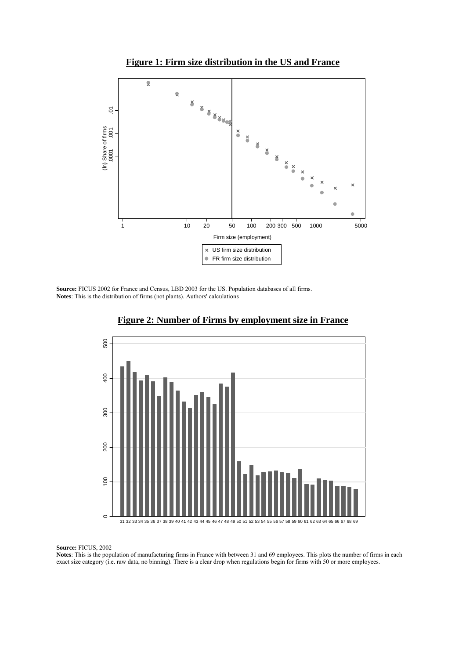



**Source:** FICUS 2002 for France and Census, LBD 2003 for the US. Population databases of all firms. **Notes**: This is the distribution of firms (not plants). Authors' calculations



### **Figure 2: Number of Firms by employment size in France**

**Source:** FICUS, 2002

**Notes**: This is the population of manufacturing firms in France with between 31 and 69 employees. This plots the number of firms in each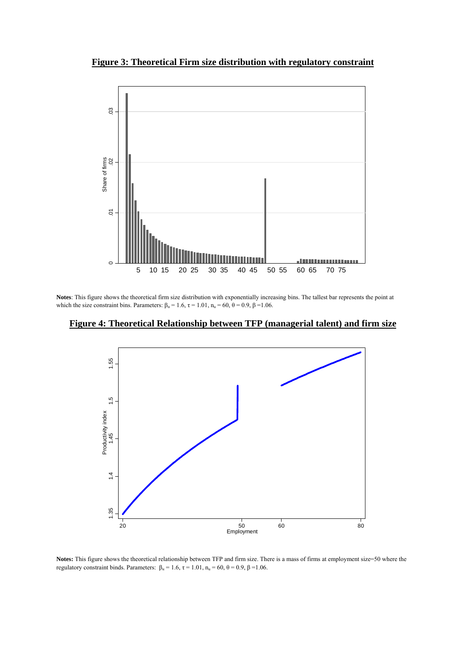**Figure 3: Theoretical Firm size distribution with regulatory constraint** 



**Notes**: This figure shows the theoretical firm size distribution with exponentially increasing bins. The tallest bar represents the point at which the size constraint bins. Parameters:  $\beta_{\alpha} = 1.6$ ,  $\tau = 1.01$ ,  $n_{\mu} = 60$ ,  $\theta = 0.9$ ,  $\beta = 1.06$ .





**Notes:** This figure shows the theoretical relationship between TFP and firm size. There is a mass of firms at employment size=50 where the regulatory constraint binds. Parameters:  $β<sub>α</sub> = 1.6$ ,  $τ = 1.01$ ,  $n<sub>u</sub> = 60$ ,  $θ = 0.9$ ,  $β = 1.06$ .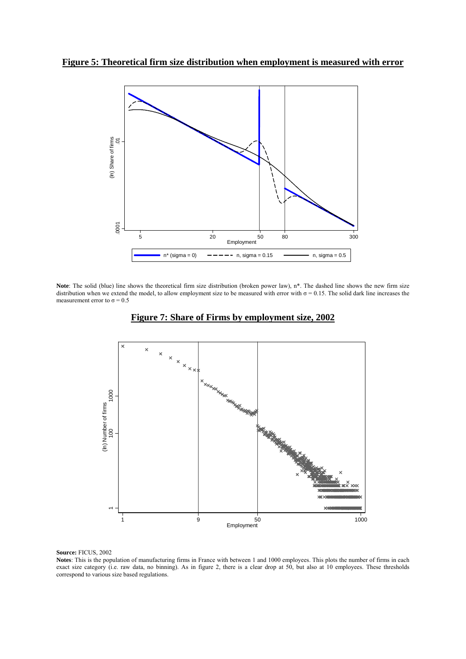

Note: The solid (blue) line shows the theoretical firm size distribution (broken power law), n<sup>\*</sup>. The dashed line shows the new firm size distribution when we extend the model, to allow employment size to be measured with error with  $\sigma = 0.15$ . The solid dark line increases the measurement error to  $\sigma = 0.5$ 



**Figure 7: Share of Firms by employment size, 2002**

**Source:** FICUS, 2002

**Notes**: This is the population of manufacturing firms in France with between 1 and 1000 employees. This plots the number of firms in each exact size category (i.e. raw data, no binning). As in figure 2, there is a clear drop at 50, but also at 10 employees. These thresholds correspond to various size based regulations.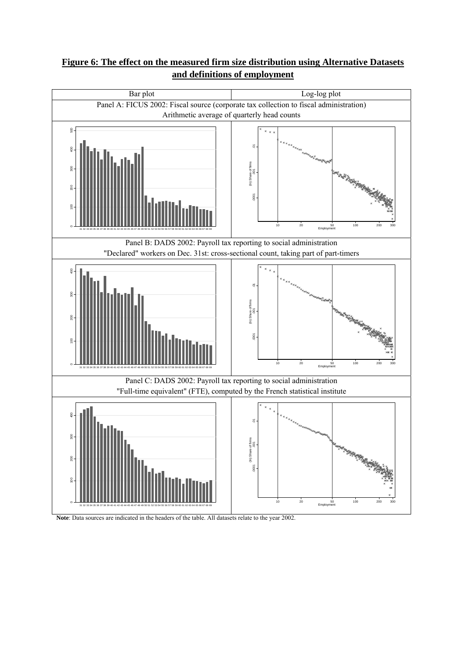### **Figure 6: The effect on the measured firm size distribution using Alternative Datasets and definitions of employment**



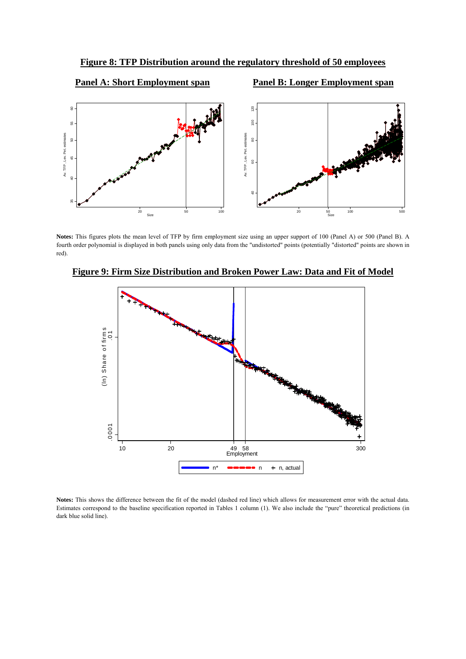**Figure 8: TFP Distribution around the regulatory threshold of 50 employees**



**Notes:** This figures plots the mean level of TFP by firm employment size using an upper support of 100 (Panel A) or 500 (Panel B). A fourth order polynomial is displayed in both panels using only data from the "undistorted" points (potentially "distorted" points are shown in red).



**Figure 9: Firm Size Distribution and Broken Power Law: Data and Fit of Model**

**Notes:** This shows the difference between the fit of the model (dashed red line) which allows for measurement error with the actual data. Estimates correspond to the baseline specification reported in Tables 1 column (1). We also include the "pure" theoretical predictions (in dark blue solid line).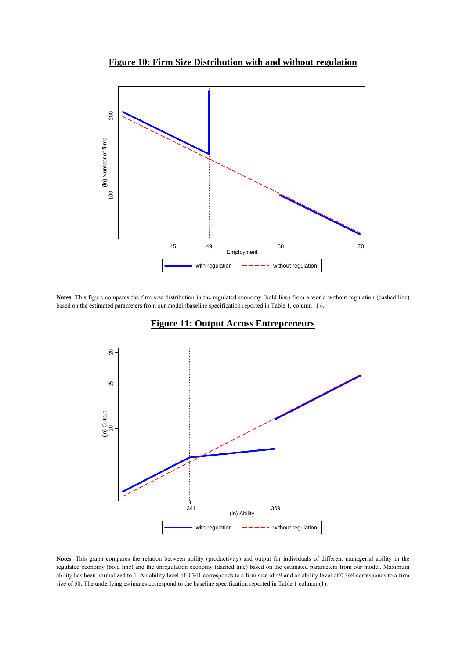**Figure 10: Firm Size Distribution with and without regulation**



**Notes**: This figure compares the firm size distribution in the regulated economy (bold line) from a world without regulation (dashed line) based on the estimated parameters from our model (baseline specification reported in Table 1, column (1)).



### **Figure 11: Output Across Entrepreneurs**

**Notes**: This graph compares the relation between ability (productivity) and output for individuals of different managerial ability in the regulated economy (bold line) and the unregulation economy (dashed line) based on the estimated parameters from our model. Maximum ability has been normalized to 1. An ability level of 0.341 corresponds to a firm size of 49 and an ability level of 0.369 corresponds to a firm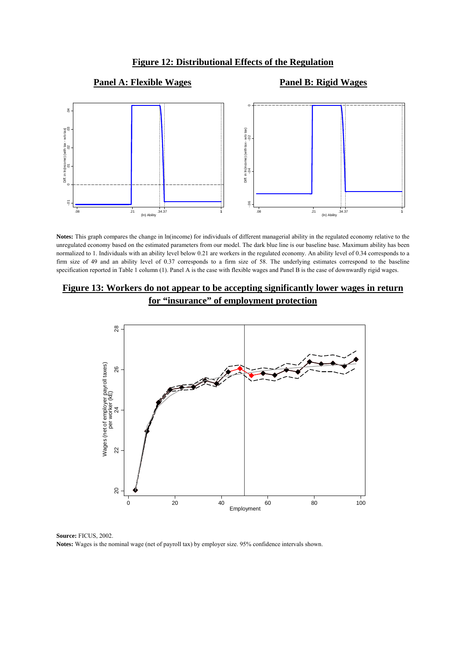#### **Figure 12: Distributional Effects of the Regulation**

### **Panel A: Flexible Wages Panel B: Rigid Wages**



**Notes:** This graph compares the change in ln(income) for individuals of different managerial ability in the regulated economy relative to the unregulated economy based on the estimated parameters from our model. The dark blue line is our baseline base. Maximum ability has been normalized to 1. Individuals with an ability level below 0.21 are workers in the regulated economy. An ability level of 0.34 corresponds to a firm size of 49 and an ability level of 0.37 corresponds to a firm size of 58. The underlying estimates correspond to the baseline specification reported in Table 1 column (1). Panel A is the case with flexible wages and Panel B is the case of downwardly rigid wages.

### **Figure 13: Workers do not appear to be accepting significantly lower wages in return for "insurance" of employment protection**



**Source:** FICUS, 2002.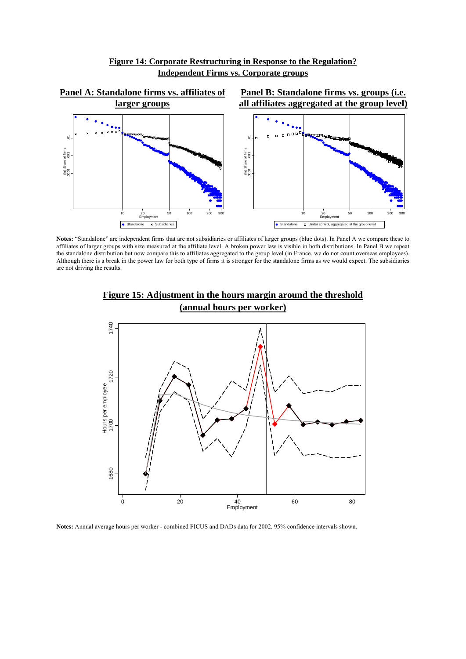



**Notes:** "Standalone" are independent firms that are not subsidiaries or affiliates of larger groups (blue dots). In Panel A we compare these to affiliates of larger groups with size measured at the affiliate level. A broken power law is visible in both distributions. In Panel B we repeat the standalone distribution but now compare this to affiliates aggregated to the group level (in France, we do not count overseas employees). Although there is a break in the power law for both type of firms it is stronger for the standalone firms as we would expect. The subsidiaries are not driving the results.



**Figure 15: Adjustment in the hours margin around the threshold (annual hours per worker)**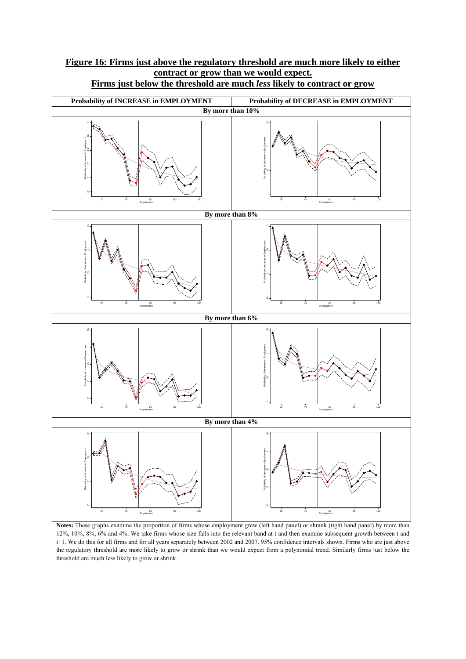### **Figure 16: Firms just above the regulatory threshold are much more likely to either contract or grow than we would expect. Firms just below the threshold are much** *less* **likely to contract or grow**



**Notes:** These graphs examine the proportion of firms whose employment grew (left hand panel) or shrank (tight hand panel) by more than 12%, 10%, 8%, 6% and 4%. We take firms whose size falls into the relevant band at t and then examine subsequent growth between t and t+1. We do this for all firms and for all years separately between 2002 and 2007. 95% confidence intervals shown. Firms who are just above the regulatory threshold are more likely to grow or shrink than we would expect from a polynomial trend. Similarly firms just below the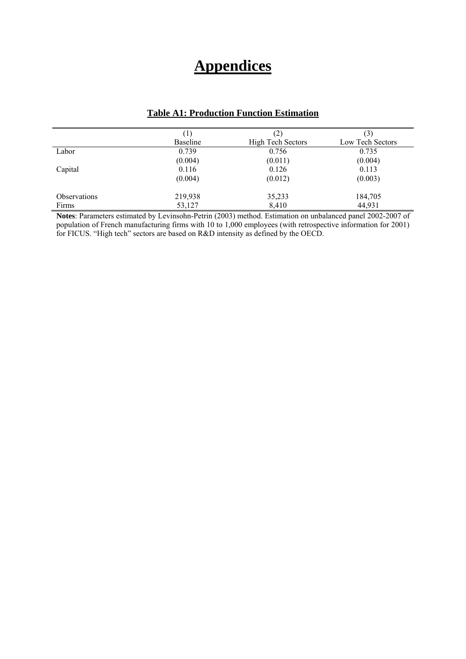## **Appendices**

|                     | $\Box$          | (2)                      |                  |
|---------------------|-----------------|--------------------------|------------------|
|                     | <b>Baseline</b> | <b>High Tech Sectors</b> | Low Tech Sectors |
| Labor               | 0.739           | 0.756                    | 0.735            |
|                     | (0.004)         | (0.011)                  | (0.004)          |
| Capital             | 0.116           | 0.126                    | 0.113            |
|                     | (0.004)         | (0.012)                  | (0.003)          |
| <b>Observations</b> | 219,938         | 35,233                   | 184,705          |
| Firms               | 53,127          | 8,410                    | 44,931           |

### **Table A1: Production Function Estimation**

**Notes**: Parameters estimated by Levinsohn-Petrin (2003) method. Estimation on unbalanced panel 2002-2007 of population of French manufacturing firms with 10 to 1,000 employees (with retrospective information for 2001) for FICUS. "High tech" sectors are based on R&D intensity as defined by the OECD.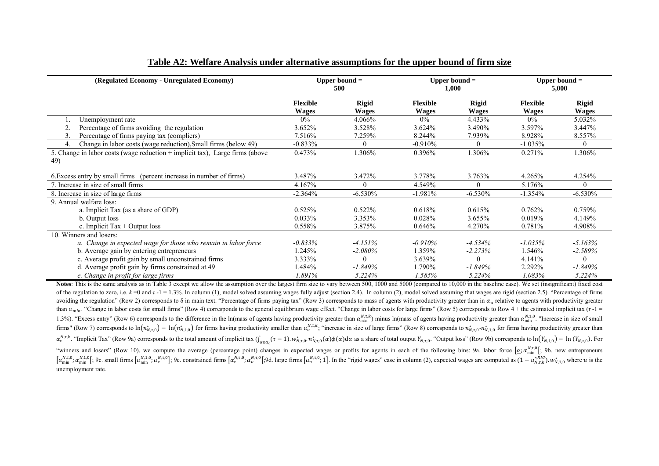| (Regulated Economy - Unregulated Economy)                                           | Upper bound $=$<br>500   |                              |                                 | Upper bound $=$<br>1,000     |                          | Upper bound $=$<br>5,000     |  |
|-------------------------------------------------------------------------------------|--------------------------|------------------------------|---------------------------------|------------------------------|--------------------------|------------------------------|--|
|                                                                                     | Flexible<br><b>Wages</b> | <b>Rigid</b><br><b>Wages</b> | <b>Flexible</b><br><b>Wages</b> | <b>Rigid</b><br><b>Wages</b> | <b>Flexible</b><br>Wages | <b>Rigid</b><br><b>Wages</b> |  |
| Unemployment rate                                                                   | $0\%$                    | 4.066%                       | $0\%$                           | 4.433%                       | 0%                       | 5.032%                       |  |
| Percentage of firms avoiding the regulation                                         | 3.652%                   | 3.528%                       | 3.624%                          | 3.490%                       | 3.597%                   | 3.447%                       |  |
| Percentage of firms paying tax (compliers)                                          | 7.516%                   | 7.259%                       | 8.244%                          | 7.939%                       | 8.928%                   | 8.557%                       |  |
| Change in labor costs (wage reduction), Small firms (below 49)<br>4                 | $-0.833%$                | $\theta$                     | $-0.910%$                       | 0                            | $-1.035%$                | $\theta$                     |  |
| 5. Change in labor costs (wage reduction + implicit tax), Large firms (above<br>49) | 0.473%                   | 1.306%                       | 0.396%                          | 1.306%                       | 0.271%                   | 1.306%                       |  |
| 6. Excess entry by small firms (percent increase in number of firms)                | 3.487%                   | 3.472%                       | 3.778%                          | 3.763%                       | 4.265%                   | 4.254%                       |  |
| . Increase in size of small firms                                                   | 4.167%                   | 0                            | 4.549%                          | 0                            | 5.176%                   | $\theta$                     |  |
| 8. Increase in size of large firms                                                  | $-2.364\%$               | $-6.530%$                    | $-1.981%$                       | $-6.530%$                    | $-1.354\%$               | $-6.530%$                    |  |
| 9. Annual welfare loss:                                                             |                          |                              |                                 |                              |                          |                              |  |
| a. Implicit Tax (as a share of GDP)                                                 | 0.525%                   | 0.522%                       | 0.618%                          | 0.615%                       | 0.762%                   | 0.759%                       |  |
| b. Output loss                                                                      | $0.033\%$                | 3.353%                       | 0.028%                          | $3.655\%$                    | 0.019%                   | 4.149%                       |  |
| c. Implicit $\text{Tax} + \text{Output loss}$                                       | 0.558%                   | 3.875%                       | 0.646%                          | 4.270%                       | 0.781%                   | 4.908%                       |  |
| 10. Winners and losers:                                                             |                          |                              |                                 |                              |                          |                              |  |
| a. Change in expected wage for those who remain in labor force                      | $-0.833%$                | $-4.151\%$                   | $-0.910%$                       | $-4.534\%$                   | $-1.035\%$               | $-5.163%$                    |  |
| b. Average gain by entering entrepreneurs                                           | 1.245%                   | $-2.080\%$                   | 1.359%                          | $-2.273%$                    | 1.546%                   | $-2.589%$                    |  |
| c. Average profit gain by small unconstrained firms                                 | 3.333%                   |                              | 3.639%                          | $\theta$                     | 4.141%                   | $\theta$                     |  |
| d. Average profit gain by firms constrained at 49                                   | 1.484%                   | $-1.849%$                    | 1.790%                          | $-1.849%$                    | 2.292%                   | $-1.849%$                    |  |
| e. Change in profit for large firms                                                 | $-1.891%$                | $-5.224%$                    | $-1.585\%$                      | $-5.224%$                    | $-1.083%$                | $-5.224%$                    |  |

### **Table A2: Welfare Analysis under alternative assumptions for the upper bound of firm size**

Notes: This is the same analysis as in Table 3 except we allow the assumption over the largest firm size to vary between 500, 1000 and 5000 (compared to 10,000 in the baseline case). We set (insignificant) fixed cost of the regulation to zero, i.e.  $k = 0$  and  $\tau - 1 = 1.3\%$ . In column (1), model solved assuming wages fully adjust (section 2.4). In column (2), model solved assuming that wages are rigid (section 2.5). "Percentage of fir avoiding the regulation" (Row 2) corresponds to  $\delta$  in main text. "Percentage of firms paying tax" (Row 3) corresponds to mass of agents with productivity greater than in  $\alpha_u$  relative to agents with productivity greate than  $\alpha_{min}$ . "Change in labor costs for small firms" (Row 4) corresponds to the general equilibrium wage effect. "Change in labor costs for large firms" (Row 5) corresponds to Row 4 + the estimated implicit tax (*r* -1 = 1.3%). "Excess entry" (Row 6) corresponds to the difference in the ln(mass of agents having productivity greater than  $\alpha_{min}^{N,\tau,k}$ ) minus ln(mass of agents having productivity greater than  $\alpha_{min}^{N,\tau}$ ). "Increase in siz firms" (Row 7) corresponds to  $\ln(n_{N,T,0}^{*})$  –  $\ln(n_{N,T,0}^{*})$  for firms having productivity smaller than  $\alpha_{u}^{N,\tau,k}$ ; "increase in size of large firms" (Row 8) corresponds to  $n_{N,T,0}^{*}$  - $n_{N,T,0}^{*}$  for firms having  $\alpha_c^{N,\tau,k}$ . "Implicit Tax" (Row 9a) corresponds to the total amount of implicit tax  $\int_{\alpha \ge \alpha_c} (\tau - 1) w_{N,\tau,0}^* n_{N,\tau,0}^* (\alpha) \phi(\alpha) d\alpha$  as a share of total output  $Y_{N,\tau,0}$ . "Output loss" (Row 9b) corresponds to  $\ln(Y_{N,\tau$ "winners and losers" (Row 10), we compute the average (percentage point) changes in expected wages or profits for agents in each of the following bins: 9a. labor force  $[\alpha; \alpha^{\text{M},\text{n}}_{\text{min}}]$ ; 9b. new entrepreneurs  $\left[\alpha_{\min}^{N,t,0},\alpha_{\min}^{N,t,0}\right]$ ; 9c. small firms  $\left[\alpha_{\min}^{N,t,0},\alpha_{\ell}^{N,t,0}\right]$ ; 9c. constrained firms  $\left[\alpha_{\ell}^{N,t,0},\alpha_{\ell}^{N,t,0}\right]$ ; 9d. large firms  $\left[\alpha_{\ell}^{N,t,0};1\right]$ . In the "rigid wages" case in column (2), expected unemployment rate.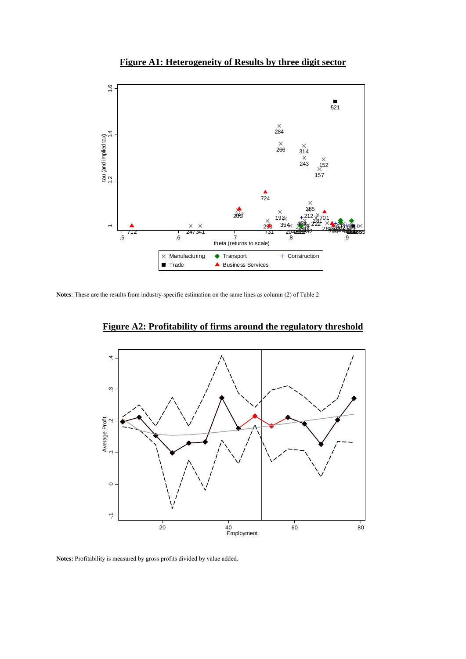### **Figure A1: Heterogeneity of Results by three digit sector**



**Notes**: These are the results from industry-specific estimation on the same lines as column (2) of Table 2



**Figure A2: Profitability of firms around the regulatory threshold** 

**Notes:** Profitability is measured by gross profits divided by value added.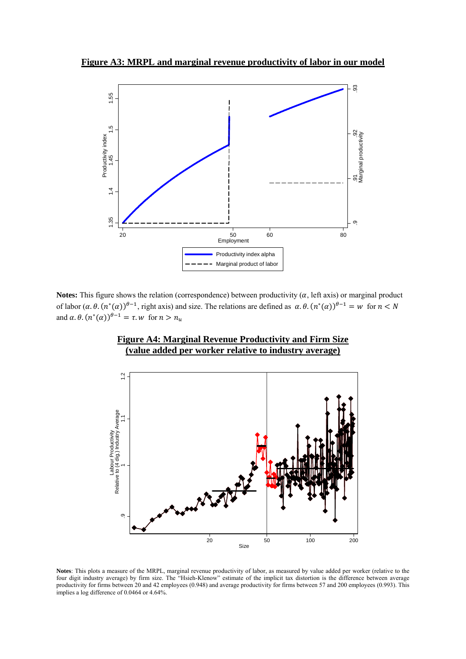**Figure A3: MRPL and marginal revenue productivity of labor in our model**



**Notes:** This figure shows the relation (correspondence) between productivity  $(\alpha$ , left axis) or marginal product of labor  $(\alpha, \theta, (n^*(\alpha))^{\theta-1}$ , right axis) and size. The relations are defined as  $\alpha, \theta, (n^*(\alpha))^{\theta-1} = w$  for  $n < N$ and  $\alpha$ .  $\theta$ .  $(n^*(\alpha))^{\theta-1} = \tau$ . w for  $n > n_u$ 



**Figure A4: Marginal Revenue Productivity and Firm Size (value added per worker relative to industry average)** 

Notes: This plots a measure of the MRPL, marginal revenue productivity of labor, as measured by value added per worker (relative to the four digit industry average) by firm size. The "Hsieh-Klenow" estimate of the implicit tax distortion is the difference between average productivity for firms between 20 and 42 employees (0.948) and average productivity for firms between 57 and 200 employees (0.993). This implies a log difference of 0.0464 or 4.64%.

Size